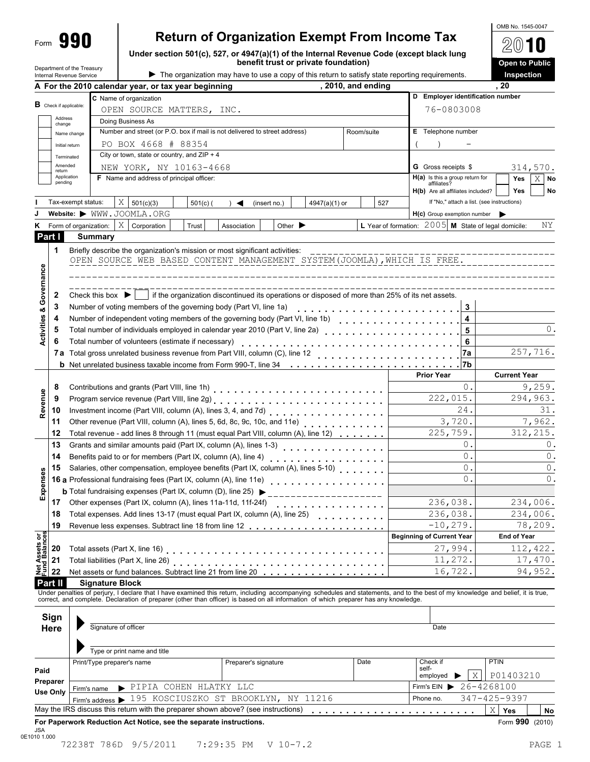# **Return of Organization Exempt From Income Tax**

**Under section 501(c), 527, or 4947(a)(1) of the Internal Revenue Code (except black lung**

| OMB No. 1545-0047 |  |
|-------------------|--|
| 2010              |  |

|                                                                                                                                                                                                                                                                                                                                                                                                                                                                                                                                                                                                                                                                                                                                                                                                                                                                                                                                                                                                                                                                                                                                                                                                                                                                                                                                                                                                                                                                                                                                                                                                                                                                                                                                                                                                                                                                                                                                                                                                                                                                                                                                                                                                                                                                                                                                                                                                                                                                                                                                                                                                                                                                                                                                                                                                                                                                                                                                                                                                                                                                                                                                                                                                                                                                                                                                                                                                                                                                                                                                                                                                                                                                                                                                                                                                                                                                                                                                                                                                                                                                                                                                                                                                                                                         |             |                        |                                                          |       |                                        | <b>Open to Public</b> |  |  |
|---------------------------------------------------------------------------------------------------------------------------------------------------------------------------------------------------------------------------------------------------------------------------------------------------------------------------------------------------------------------------------------------------------------------------------------------------------------------------------------------------------------------------------------------------------------------------------------------------------------------------------------------------------------------------------------------------------------------------------------------------------------------------------------------------------------------------------------------------------------------------------------------------------------------------------------------------------------------------------------------------------------------------------------------------------------------------------------------------------------------------------------------------------------------------------------------------------------------------------------------------------------------------------------------------------------------------------------------------------------------------------------------------------------------------------------------------------------------------------------------------------------------------------------------------------------------------------------------------------------------------------------------------------------------------------------------------------------------------------------------------------------------------------------------------------------------------------------------------------------------------------------------------------------------------------------------------------------------------------------------------------------------------------------------------------------------------------------------------------------------------------------------------------------------------------------------------------------------------------------------------------------------------------------------------------------------------------------------------------------------------------------------------------------------------------------------------------------------------------------------------------------------------------------------------------------------------------------------------------------------------------------------------------------------------------------------------------------------------------------------------------------------------------------------------------------------------------------------------------------------------------------------------------------------------------------------------------------------------------------------------------------------------------------------------------------------------------------------------------------------------------------------------------------------------------------------------------------------------------------------------------------------------------------------------------------------------------------------------------------------------------------------------------------------------------------------------------------------------------------------------------------------------------------------------------------------------------------------------------------------------------------------------------------------------------------------------------------------------------------------------------------------------------------------------------------------------------------------------------------------------------------------------------------------------------------------------------------------------------------------------------------------------------------------------------------------------------------------------------------------------------------------------------------------------------------------------------------------------------------------------------|-------------|------------------------|----------------------------------------------------------|-------|----------------------------------------|-----------------------|--|--|
|                                                                                                                                                                                                                                                                                                                                                                                                                                                                                                                                                                                                                                                                                                                                                                                                                                                                                                                                                                                                                                                                                                                                                                                                                                                                                                                                                                                                                                                                                                                                                                                                                                                                                                                                                                                                                                                                                                                                                                                                                                                                                                                                                                                                                                                                                                                                                                                                                                                                                                                                                                                                                                                                                                                                                                                                                                                                                                                                                                                                                                                                                                                                                                                                                                                                                                                                                                                                                                                                                                                                                                                                                                                                                                                                                                                                                                                                                                                                                                                                                                                                                                                                                                                                                                                         |             |                        |                                                          |       |                                        | Inspection            |  |  |
|                                                                                                                                                                                                                                                                                                                                                                                                                                                                                                                                                                                                                                                                                                                                                                                                                                                                                                                                                                                                                                                                                                                                                                                                                                                                                                                                                                                                                                                                                                                                                                                                                                                                                                                                                                                                                                                                                                                                                                                                                                                                                                                                                                                                                                                                                                                                                                                                                                                                                                                                                                                                                                                                                                                                                                                                                                                                                                                                                                                                                                                                                                                                                                                                                                                                                                                                                                                                                                                                                                                                                                                                                                                                                                                                                                                                                                                                                                                                                                                                                                                                                                                                                                                                                                                         |             |                        |                                                          |       |                                        |                       |  |  |
|                                                                                                                                                                                                                                                                                                                                                                                                                                                                                                                                                                                                                                                                                                                                                                                                                                                                                                                                                                                                                                                                                                                                                                                                                                                                                                                                                                                                                                                                                                                                                                                                                                                                                                                                                                                                                                                                                                                                                                                                                                                                                                                                                                                                                                                                                                                                                                                                                                                                                                                                                                                                                                                                                                                                                                                                                                                                                                                                                                                                                                                                                                                                                                                                                                                                                                                                                                                                                                                                                                                                                                                                                                                                                                                                                                                                                                                                                                                                                                                                                                                                                                                                                                                                                                                         |             |                        |                                                          |       |                                        |                       |  |  |
|                                                                                                                                                                                                                                                                                                                                                                                                                                                                                                                                                                                                                                                                                                                                                                                                                                                                                                                                                                                                                                                                                                                                                                                                                                                                                                                                                                                                                                                                                                                                                                                                                                                                                                                                                                                                                                                                                                                                                                                                                                                                                                                                                                                                                                                                                                                                                                                                                                                                                                                                                                                                                                                                                                                                                                                                                                                                                                                                                                                                                                                                                                                                                                                                                                                                                                                                                                                                                                                                                                                                                                                                                                                                                                                                                                                                                                                                                                                                                                                                                                                                                                                                                                                                                                                         |             |                        |                                                          |       |                                        |                       |  |  |
|                                                                                                                                                                                                                                                                                                                                                                                                                                                                                                                                                                                                                                                                                                                                                                                                                                                                                                                                                                                                                                                                                                                                                                                                                                                                                                                                                                                                                                                                                                                                                                                                                                                                                                                                                                                                                                                                                                                                                                                                                                                                                                                                                                                                                                                                                                                                                                                                                                                                                                                                                                                                                                                                                                                                                                                                                                                                                                                                                                                                                                                                                                                                                                                                                                                                                                                                                                                                                                                                                                                                                                                                                                                                                                                                                                                                                                                                                                                                                                                                                                                                                                                                                                                                                                                         |             |                        |                                                          |       |                                        |                       |  |  |
|                                                                                                                                                                                                                                                                                                                                                                                                                                                                                                                                                                                                                                                                                                                                                                                                                                                                                                                                                                                                                                                                                                                                                                                                                                                                                                                                                                                                                                                                                                                                                                                                                                                                                                                                                                                                                                                                                                                                                                                                                                                                                                                                                                                                                                                                                                                                                                                                                                                                                                                                                                                                                                                                                                                                                                                                                                                                                                                                                                                                                                                                                                                                                                                                                                                                                                                                                                                                                                                                                                                                                                                                                                                                                                                                                                                                                                                                                                                                                                                                                                                                                                                                                                                                                                                         |             |                        |                                                          |       |                                        |                       |  |  |
|                                                                                                                                                                                                                                                                                                                                                                                                                                                                                                                                                                                                                                                                                                                                                                                                                                                                                                                                                                                                                                                                                                                                                                                                                                                                                                                                                                                                                                                                                                                                                                                                                                                                                                                                                                                                                                                                                                                                                                                                                                                                                                                                                                                                                                                                                                                                                                                                                                                                                                                                                                                                                                                                                                                                                                                                                                                                                                                                                                                                                                                                                                                                                                                                                                                                                                                                                                                                                                                                                                                                                                                                                                                                                                                                                                                                                                                                                                                                                                                                                                                                                                                                                                                                                                                         |             |                        |                                                          |       |                                        |                       |  |  |
|                                                                                                                                                                                                                                                                                                                                                                                                                                                                                                                                                                                                                                                                                                                                                                                                                                                                                                                                                                                                                                                                                                                                                                                                                                                                                                                                                                                                                                                                                                                                                                                                                                                                                                                                                                                                                                                                                                                                                                                                                                                                                                                                                                                                                                                                                                                                                                                                                                                                                                                                                                                                                                                                                                                                                                                                                                                                                                                                                                                                                                                                                                                                                                                                                                                                                                                                                                                                                                                                                                                                                                                                                                                                                                                                                                                                                                                                                                                                                                                                                                                                                                                                                                                                                                                         |             |                        |                                                          |       |                                        |                       |  |  |
|                                                                                                                                                                                                                                                                                                                                                                                                                                                                                                                                                                                                                                                                                                                                                                                                                                                                                                                                                                                                                                                                                                                                                                                                                                                                                                                                                                                                                                                                                                                                                                                                                                                                                                                                                                                                                                                                                                                                                                                                                                                                                                                                                                                                                                                                                                                                                                                                                                                                                                                                                                                                                                                                                                                                                                                                                                                                                                                                                                                                                                                                                                                                                                                                                                                                                                                                                                                                                                                                                                                                                                                                                                                                                                                                                                                                                                                                                                                                                                                                                                                                                                                                                                                                                                                         |             |                        |                                                          |       |                                        |                       |  |  |
|                                                                                                                                                                                                                                                                                                                                                                                                                                                                                                                                                                                                                                                                                                                                                                                                                                                                                                                                                                                                                                                                                                                                                                                                                                                                                                                                                                                                                                                                                                                                                                                                                                                                                                                                                                                                                                                                                                                                                                                                                                                                                                                                                                                                                                                                                                                                                                                                                                                                                                                                                                                                                                                                                                                                                                                                                                                                                                                                                                                                                                                                                                                                                                                                                                                                                                                                                                                                                                                                                                                                                                                                                                                                                                                                                                                                                                                                                                                                                                                                                                                                                                                                                                                                                                                         |             |                        |                                                          |       |                                        | 314,570.              |  |  |
|                                                                                                                                                                                                                                                                                                                                                                                                                                                                                                                                                                                                                                                                                                                                                                                                                                                                                                                                                                                                                                                                                                                                                                                                                                                                                                                                                                                                                                                                                                                                                                                                                                                                                                                                                                                                                                                                                                                                                                                                                                                                                                                                                                                                                                                                                                                                                                                                                                                                                                                                                                                                                                                                                                                                                                                                                                                                                                                                                                                                                                                                                                                                                                                                                                                                                                                                                                                                                                                                                                                                                                                                                                                                                                                                                                                                                                                                                                                                                                                                                                                                                                                                                                                                                                                         |             |                        |                                                          |       |                                        | X<br>No<br>Yes        |  |  |
|                                                                                                                                                                                                                                                                                                                                                                                                                                                                                                                                                                                                                                                                                                                                                                                                                                                                                                                                                                                                                                                                                                                                                                                                                                                                                                                                                                                                                                                                                                                                                                                                                                                                                                                                                                                                                                                                                                                                                                                                                                                                                                                                                                                                                                                                                                                                                                                                                                                                                                                                                                                                                                                                                                                                                                                                                                                                                                                                                                                                                                                                                                                                                                                                                                                                                                                                                                                                                                                                                                                                                                                                                                                                                                                                                                                                                                                                                                                                                                                                                                                                                                                                                                                                                                                         |             |                        |                                                          |       | affiliates?                            |                       |  |  |
|                                                                                                                                                                                                                                                                                                                                                                                                                                                                                                                                                                                                                                                                                                                                                                                                                                                                                                                                                                                                                                                                                                                                                                                                                                                                                                                                                                                                                                                                                                                                                                                                                                                                                                                                                                                                                                                                                                                                                                                                                                                                                                                                                                                                                                                                                                                                                                                                                                                                                                                                                                                                                                                                                                                                                                                                                                                                                                                                                                                                                                                                                                                                                                                                                                                                                                                                                                                                                                                                                                                                                                                                                                                                                                                                                                                                                                                                                                                                                                                                                                                                                                                                                                                                                                                         |             |                        |                                                          |       |                                        | No                    |  |  |
| benefit trust or private foundation)<br>Department of the Treasury<br>The organization may have to use a copy of this return to satisfy state reporting requirements.<br>Internal Revenue Service<br>, 2010, and ending<br>, 20<br>A For the 2010 calendar year, or tax year beginning<br>D Employer identification number<br>C Name of organization<br><b>B</b> Check if applicable:<br>76-0803008<br>OPEN SOURCE MATTERS, INC.<br>Address<br>Doing Business As<br>change<br>Number and street (or P.O. box if mail is not delivered to street address)<br>E Telephone number<br>Room/suite<br>Name change<br>PO BOX 4668 # 88354<br>Initial return<br>City or town, state or country, and $ZIP + 4$<br>Terminated<br>Amended<br>NEW YORK, NY 10163-4668<br><b>G</b> Gross receipts \$<br>return<br>Application<br><b>F</b> Name and address of principal officer:<br>$H(a)$ is this a group return for<br>pending<br>Yes<br>H(b) Are all affiliates included?<br>X<br>If "No," attach a list. (see instructions)<br>Tax-exempt status:<br>527<br>501(c)(3)<br>$501(c)$ (<br>(insert no.)<br>$4947(a)(1)$ or<br>◀<br>Website: WWW.JOOMLA.ORG<br>H(c) Group exemption number<br>L Year of formation: $2005$ M State of legal domicile:<br>X <sub>1</sub><br>Form of organization:<br>Corporation<br>Trust<br>Association<br>Other $\blacktriangleright$<br>ĸ<br>Part I<br><b>Summary</b><br>1<br>Briefly describe the organization's mission or most significant activities:<br>OPEN SOURCE WEB BASED CONTENT MANAGEMENT SYSTEM(JOOMLA), WHICH IS FREE.<br>if the organization discontinued its operations or disposed of more than 25% of its net assets.<br>2<br>Check this box $\blacktriangleright$<br>Number of voting members of the governing body (Part VI, line 1a)<br>3<br>3<br>Number of independent voting members of the governing body (Part VI, line 1b)<br>4<br>4<br>.<br>5<br>5<br>Total number of volunteers (estimate if necessary)<br>6<br>6<br><b>7a</b> Total gross unrelated business revenue from Part VIII, column (C), line 12<br>7a<br>.<br><b>b</b> Net unrelated business taxable income from Form 990-T, line 34<br>l7b<br><b>Prior Year</b><br>0.<br>8<br>Revenue<br>222,015.<br>9<br>24.<br>Investment income (Part VIII, column (A), lines 3, 4, and 7d)<br>10<br>3,720.<br>Other revenue (Part VIII, column (A), lines 5, 6d, 8c, 9c, 10c, and 11e)<br>11<br>225,759.<br>12<br>Total revenue - add lines 8 through 11 (must equal Part VIII, column (A), line 12)<br>0.<br>13<br>Grants and similar amounts paid (Part IX, column (A), lines 1-3)<br>$0$ .<br>Benefits paid to or for members (Part IX, column (A), line 4)<br>14<br>.<br>0.<br>Salaries, other compensation, employee benefits (Part IX, column (A), lines 5-10)<br>15<br>penses<br>0.<br>16 a Professional fundraising fees (Part IX, column (A), line 11e)<br>16 a Professional fundraising fees (Part IX, column (A), line 11e)<br><b>b</b> Total fundraising expenses (Part IX, column (D), line 25)<br>ű<br>236,038.<br>17<br>Other expenses (Part IX, column (A), lines 11a-11d, 11f-24f)<br>.<br>236,038.<br>Total expenses. Add lines 13-17 (must equal Part IX, column (A), line 25)<br>18<br>$-10, 279.$<br>19<br>t Assets or<br><b>Beginning of Current Year</b><br>27,994.<br>20<br>21<br>11,272.<br>Total liabilities (Part X, line 26) [14] (2000) [24] (2000) [24] (2000) [24] (2000) [24] (2000) [24] (2000) [24] (2000) [24] (2000) [24] (2000) [24] (2000) [24] (2000) [24] (2000) [24] (2000) [24] (2000) [24] (2000) [24] (<br>툂<br>Net assets or fund balances. Subtract line 21 from line 20 [10] Net assets or fund balances. Subtract line 21 from line 20<br>16,722.<br>22<br><b>Part II</b><br><b>Signature Block</b><br>Under penalties of perjury, I declare that I have examined this return, including accompanying schedules and statements, and to the best of my knowledge and belief, it is true,<br>correct, and complete. Declaration of preparer (other than officer) is based on all information of which preparer has any knowledge.<br>Sign<br>Signature of officer<br>Here<br>Date<br>Type or print name and title<br><b>PTIN</b><br>Print/Type preparer's name<br>Date<br>Check if<br>Preparer's signature |             |                        |                                                          |       |                                        |                       |  |  |
|                                                                                                                                                                                                                                                                                                                                                                                                                                                                                                                                                                                                                                                                                                                                                                                                                                                                                                                                                                                                                                                                                                                                                                                                                                                                                                                                                                                                                                                                                                                                                                                                                                                                                                                                                                                                                                                                                                                                                                                                                                                                                                                                                                                                                                                                                                                                                                                                                                                                                                                                                                                                                                                                                                                                                                                                                                                                                                                                                                                                                                                                                                                                                                                                                                                                                                                                                                                                                                                                                                                                                                                                                                                                                                                                                                                                                                                                                                                                                                                                                                                                                                                                                                                                                                                         |             |                        |                                                          |       |                                        |                       |  |  |
|                                                                                                                                                                                                                                                                                                                                                                                                                                                                                                                                                                                                                                                                                                                                                                                                                                                                                                                                                                                                                                                                                                                                                                                                                                                                                                                                                                                                                                                                                                                                                                                                                                                                                                                                                                                                                                                                                                                                                                                                                                                                                                                                                                                                                                                                                                                                                                                                                                                                                                                                                                                                                                                                                                                                                                                                                                                                                                                                                                                                                                                                                                                                                                                                                                                                                                                                                                                                                                                                                                                                                                                                                                                                                                                                                                                                                                                                                                                                                                                                                                                                                                                                                                                                                                                         |             |                        |                                                          |       |                                        | ΝY                    |  |  |
|                                                                                                                                                                                                                                                                                                                                                                                                                                                                                                                                                                                                                                                                                                                                                                                                                                                                                                                                                                                                                                                                                                                                                                                                                                                                                                                                                                                                                                                                                                                                                                                                                                                                                                                                                                                                                                                                                                                                                                                                                                                                                                                                                                                                                                                                                                                                                                                                                                                                                                                                                                                                                                                                                                                                                                                                                                                                                                                                                                                                                                                                                                                                                                                                                                                                                                                                                                                                                                                                                                                                                                                                                                                                                                                                                                                                                                                                                                                                                                                                                                                                                                                                                                                                                                                         |             |                        |                                                          |       |                                        |                       |  |  |
| Activities & Governance<br>257,716.                                                                                                                                                                                                                                                                                                                                                                                                                                                                                                                                                                                                                                                                                                                                                                                                                                                                                                                                                                                                                                                                                                                                                                                                                                                                                                                                                                                                                                                                                                                                                                                                                                                                                                                                                                                                                                                                                                                                                                                                                                                                                                                                                                                                                                                                                                                                                                                                                                                                                                                                                                                                                                                                                                                                                                                                                                                                                                                                                                                                                                                                                                                                                                                                                                                                                                                                                                                                                                                                                                                                                                                                                                                                                                                                                                                                                                                                                                                                                                                                                                                                                                                                                                                                                     |             |                        |                                                          |       |                                        |                       |  |  |
|                                                                                                                                                                                                                                                                                                                                                                                                                                                                                                                                                                                                                                                                                                                                                                                                                                                                                                                                                                                                                                                                                                                                                                                                                                                                                                                                                                                                                                                                                                                                                                                                                                                                                                                                                                                                                                                                                                                                                                                                                                                                                                                                                                                                                                                                                                                                                                                                                                                                                                                                                                                                                                                                                                                                                                                                                                                                                                                                                                                                                                                                                                                                                                                                                                                                                                                                                                                                                                                                                                                                                                                                                                                                                                                                                                                                                                                                                                                                                                                                                                                                                                                                                                                                                                                         |             |                        |                                                          |       |                                        |                       |  |  |
|                                                                                                                                                                                                                                                                                                                                                                                                                                                                                                                                                                                                                                                                                                                                                                                                                                                                                                                                                                                                                                                                                                                                                                                                                                                                                                                                                                                                                                                                                                                                                                                                                                                                                                                                                                                                                                                                                                                                                                                                                                                                                                                                                                                                                                                                                                                                                                                                                                                                                                                                                                                                                                                                                                                                                                                                                                                                                                                                                                                                                                                                                                                                                                                                                                                                                                                                                                                                                                                                                                                                                                                                                                                                                                                                                                                                                                                                                                                                                                                                                                                                                                                                                                                                                                                         |             |                        |                                                          |       |                                        |                       |  |  |
|                                                                                                                                                                                                                                                                                                                                                                                                                                                                                                                                                                                                                                                                                                                                                                                                                                                                                                                                                                                                                                                                                                                                                                                                                                                                                                                                                                                                                                                                                                                                                                                                                                                                                                                                                                                                                                                                                                                                                                                                                                                                                                                                                                                                                                                                                                                                                                                                                                                                                                                                                                                                                                                                                                                                                                                                                                                                                                                                                                                                                                                                                                                                                                                                                                                                                                                                                                                                                                                                                                                                                                                                                                                                                                                                                                                                                                                                                                                                                                                                                                                                                                                                                                                                                                                         |             |                        |                                                          |       |                                        |                       |  |  |
|                                                                                                                                                                                                                                                                                                                                                                                                                                                                                                                                                                                                                                                                                                                                                                                                                                                                                                                                                                                                                                                                                                                                                                                                                                                                                                                                                                                                                                                                                                                                                                                                                                                                                                                                                                                                                                                                                                                                                                                                                                                                                                                                                                                                                                                                                                                                                                                                                                                                                                                                                                                                                                                                                                                                                                                                                                                                                                                                                                                                                                                                                                                                                                                                                                                                                                                                                                                                                                                                                                                                                                                                                                                                                                                                                                                                                                                                                                                                                                                                                                                                                                                                                                                                                                                         |             |                        |                                                          |       |                                        |                       |  |  |
|                                                                                                                                                                                                                                                                                                                                                                                                                                                                                                                                                                                                                                                                                                                                                                                                                                                                                                                                                                                                                                                                                                                                                                                                                                                                                                                                                                                                                                                                                                                                                                                                                                                                                                                                                                                                                                                                                                                                                                                                                                                                                                                                                                                                                                                                                                                                                                                                                                                                                                                                                                                                                                                                                                                                                                                                                                                                                                                                                                                                                                                                                                                                                                                                                                                                                                                                                                                                                                                                                                                                                                                                                                                                                                                                                                                                                                                                                                                                                                                                                                                                                                                                                                                                                                                         |             |                        |                                                          |       |                                        |                       |  |  |
|                                                                                                                                                                                                                                                                                                                                                                                                                                                                                                                                                                                                                                                                                                                                                                                                                                                                                                                                                                                                                                                                                                                                                                                                                                                                                                                                                                                                                                                                                                                                                                                                                                                                                                                                                                                                                                                                                                                                                                                                                                                                                                                                                                                                                                                                                                                                                                                                                                                                                                                                                                                                                                                                                                                                                                                                                                                                                                                                                                                                                                                                                                                                                                                                                                                                                                                                                                                                                                                                                                                                                                                                                                                                                                                                                                                                                                                                                                                                                                                                                                                                                                                                                                                                                                                         |             |                        |                                                          |       |                                        |                       |  |  |
|                                                                                                                                                                                                                                                                                                                                                                                                                                                                                                                                                                                                                                                                                                                                                                                                                                                                                                                                                                                                                                                                                                                                                                                                                                                                                                                                                                                                                                                                                                                                                                                                                                                                                                                                                                                                                                                                                                                                                                                                                                                                                                                                                                                                                                                                                                                                                                                                                                                                                                                                                                                                                                                                                                                                                                                                                                                                                                                                                                                                                                                                                                                                                                                                                                                                                                                                                                                                                                                                                                                                                                                                                                                                                                                                                                                                                                                                                                                                                                                                                                                                                                                                                                                                                                                         |             |                        |                                                          |       |                                        |                       |  |  |
|                                                                                                                                                                                                                                                                                                                                                                                                                                                                                                                                                                                                                                                                                                                                                                                                                                                                                                                                                                                                                                                                                                                                                                                                                                                                                                                                                                                                                                                                                                                                                                                                                                                                                                                                                                                                                                                                                                                                                                                                                                                                                                                                                                                                                                                                                                                                                                                                                                                                                                                                                                                                                                                                                                                                                                                                                                                                                                                                                                                                                                                                                                                                                                                                                                                                                                                                                                                                                                                                                                                                                                                                                                                                                                                                                                                                                                                                                                                                                                                                                                                                                                                                                                                                                                                         |             |                        |                                                          |       |                                        | 0.                    |  |  |
|                                                                                                                                                                                                                                                                                                                                                                                                                                                                                                                                                                                                                                                                                                                                                                                                                                                                                                                                                                                                                                                                                                                                                                                                                                                                                                                                                                                                                                                                                                                                                                                                                                                                                                                                                                                                                                                                                                                                                                                                                                                                                                                                                                                                                                                                                                                                                                                                                                                                                                                                                                                                                                                                                                                                                                                                                                                                                                                                                                                                                                                                                                                                                                                                                                                                                                                                                                                                                                                                                                                                                                                                                                                                                                                                                                                                                                                                                                                                                                                                                                                                                                                                                                                                                                                         |             |                        |                                                          |       |                                        |                       |  |  |
|                                                                                                                                                                                                                                                                                                                                                                                                                                                                                                                                                                                                                                                                                                                                                                                                                                                                                                                                                                                                                                                                                                                                                                                                                                                                                                                                                                                                                                                                                                                                                                                                                                                                                                                                                                                                                                                                                                                                                                                                                                                                                                                                                                                                                                                                                                                                                                                                                                                                                                                                                                                                                                                                                                                                                                                                                                                                                                                                                                                                                                                                                                                                                                                                                                                                                                                                                                                                                                                                                                                                                                                                                                                                                                                                                                                                                                                                                                                                                                                                                                                                                                                                                                                                                                                         |             |                        |                                                          |       |                                        |                       |  |  |
|                                                                                                                                                                                                                                                                                                                                                                                                                                                                                                                                                                                                                                                                                                                                                                                                                                                                                                                                                                                                                                                                                                                                                                                                                                                                                                                                                                                                                                                                                                                                                                                                                                                                                                                                                                                                                                                                                                                                                                                                                                                                                                                                                                                                                                                                                                                                                                                                                                                                                                                                                                                                                                                                                                                                                                                                                                                                                                                                                                                                                                                                                                                                                                                                                                                                                                                                                                                                                                                                                                                                                                                                                                                                                                                                                                                                                                                                                                                                                                                                                                                                                                                                                                                                                                                         |             |                        |                                                          |       |                                        |                       |  |  |
|                                                                                                                                                                                                                                                                                                                                                                                                                                                                                                                                                                                                                                                                                                                                                                                                                                                                                                                                                                                                                                                                                                                                                                                                                                                                                                                                                                                                                                                                                                                                                                                                                                                                                                                                                                                                                                                                                                                                                                                                                                                                                                                                                                                                                                                                                                                                                                                                                                                                                                                                                                                                                                                                                                                                                                                                                                                                                                                                                                                                                                                                                                                                                                                                                                                                                                                                                                                                                                                                                                                                                                                                                                                                                                                                                                                                                                                                                                                                                                                                                                                                                                                                                                                                                                                         |             |                        |                                                          |       |                                        |                       |  |  |
|                                                                                                                                                                                                                                                                                                                                                                                                                                                                                                                                                                                                                                                                                                                                                                                                                                                                                                                                                                                                                                                                                                                                                                                                                                                                                                                                                                                                                                                                                                                                                                                                                                                                                                                                                                                                                                                                                                                                                                                                                                                                                                                                                                                                                                                                                                                                                                                                                                                                                                                                                                                                                                                                                                                                                                                                                                                                                                                                                                                                                                                                                                                                                                                                                                                                                                                                                                                                                                                                                                                                                                                                                                                                                                                                                                                                                                                                                                                                                                                                                                                                                                                                                                                                                                                         |             |                        |                                                          |       |                                        | <b>Current Year</b>   |  |  |
|                                                                                                                                                                                                                                                                                                                                                                                                                                                                                                                                                                                                                                                                                                                                                                                                                                                                                                                                                                                                                                                                                                                                                                                                                                                                                                                                                                                                                                                                                                                                                                                                                                                                                                                                                                                                                                                                                                                                                                                                                                                                                                                                                                                                                                                                                                                                                                                                                                                                                                                                                                                                                                                                                                                                                                                                                                                                                                                                                                                                                                                                                                                                                                                                                                                                                                                                                                                                                                                                                                                                                                                                                                                                                                                                                                                                                                                                                                                                                                                                                                                                                                                                                                                                                                                         |             |                        |                                                          |       |                                        | 9,259.                |  |  |
|                                                                                                                                                                                                                                                                                                                                                                                                                                                                                                                                                                                                                                                                                                                                                                                                                                                                                                                                                                                                                                                                                                                                                                                                                                                                                                                                                                                                                                                                                                                                                                                                                                                                                                                                                                                                                                                                                                                                                                                                                                                                                                                                                                                                                                                                                                                                                                                                                                                                                                                                                                                                                                                                                                                                                                                                                                                                                                                                                                                                                                                                                                                                                                                                                                                                                                                                                                                                                                                                                                                                                                                                                                                                                                                                                                                                                                                                                                                                                                                                                                                                                                                                                                                                                                                         |             |                        |                                                          |       |                                        | 294,963.              |  |  |
|                                                                                                                                                                                                                                                                                                                                                                                                                                                                                                                                                                                                                                                                                                                                                                                                                                                                                                                                                                                                                                                                                                                                                                                                                                                                                                                                                                                                                                                                                                                                                                                                                                                                                                                                                                                                                                                                                                                                                                                                                                                                                                                                                                                                                                                                                                                                                                                                                                                                                                                                                                                                                                                                                                                                                                                                                                                                                                                                                                                                                                                                                                                                                                                                                                                                                                                                                                                                                                                                                                                                                                                                                                                                                                                                                                                                                                                                                                                                                                                                                                                                                                                                                                                                                                                         |             |                        |                                                          |       | 31.                                    |                       |  |  |
|                                                                                                                                                                                                                                                                                                                                                                                                                                                                                                                                                                                                                                                                                                                                                                                                                                                                                                                                                                                                                                                                                                                                                                                                                                                                                                                                                                                                                                                                                                                                                                                                                                                                                                                                                                                                                                                                                                                                                                                                                                                                                                                                                                                                                                                                                                                                                                                                                                                                                                                                                                                                                                                                                                                                                                                                                                                                                                                                                                                                                                                                                                                                                                                                                                                                                                                                                                                                                                                                                                                                                                                                                                                                                                                                                                                                                                                                                                                                                                                                                                                                                                                                                                                                                                                         |             |                        |                                                          |       |                                        | 7,962.                |  |  |
|                                                                                                                                                                                                                                                                                                                                                                                                                                                                                                                                                                                                                                                                                                                                                                                                                                                                                                                                                                                                                                                                                                                                                                                                                                                                                                                                                                                                                                                                                                                                                                                                                                                                                                                                                                                                                                                                                                                                                                                                                                                                                                                                                                                                                                                                                                                                                                                                                                                                                                                                                                                                                                                                                                                                                                                                                                                                                                                                                                                                                                                                                                                                                                                                                                                                                                                                                                                                                                                                                                                                                                                                                                                                                                                                                                                                                                                                                                                                                                                                                                                                                                                                                                                                                                                         |             |                        |                                                          |       |                                        |                       |  |  |
|                                                                                                                                                                                                                                                                                                                                                                                                                                                                                                                                                                                                                                                                                                                                                                                                                                                                                                                                                                                                                                                                                                                                                                                                                                                                                                                                                                                                                                                                                                                                                                                                                                                                                                                                                                                                                                                                                                                                                                                                                                                                                                                                                                                                                                                                                                                                                                                                                                                                                                                                                                                                                                                                                                                                                                                                                                                                                                                                                                                                                                                                                                                                                                                                                                                                                                                                                                                                                                                                                                                                                                                                                                                                                                                                                                                                                                                                                                                                                                                                                                                                                                                                                                                                                                                         |             |                        |                                                          |       |                                        | 312, 215.             |  |  |
|                                                                                                                                                                                                                                                                                                                                                                                                                                                                                                                                                                                                                                                                                                                                                                                                                                                                                                                                                                                                                                                                                                                                                                                                                                                                                                                                                                                                                                                                                                                                                                                                                                                                                                                                                                                                                                                                                                                                                                                                                                                                                                                                                                                                                                                                                                                                                                                                                                                                                                                                                                                                                                                                                                                                                                                                                                                                                                                                                                                                                                                                                                                                                                                                                                                                                                                                                                                                                                                                                                                                                                                                                                                                                                                                                                                                                                                                                                                                                                                                                                                                                                                                                                                                                                                         |             |                        |                                                          |       |                                        | 0.                    |  |  |
|                                                                                                                                                                                                                                                                                                                                                                                                                                                                                                                                                                                                                                                                                                                                                                                                                                                                                                                                                                                                                                                                                                                                                                                                                                                                                                                                                                                                                                                                                                                                                                                                                                                                                                                                                                                                                                                                                                                                                                                                                                                                                                                                                                                                                                                                                                                                                                                                                                                                                                                                                                                                                                                                                                                                                                                                                                                                                                                                                                                                                                                                                                                                                                                                                                                                                                                                                                                                                                                                                                                                                                                                                                                                                                                                                                                                                                                                                                                                                                                                                                                                                                                                                                                                                                                         |             |                        |                                                          | 0.    |                                        |                       |  |  |
|                                                                                                                                                                                                                                                                                                                                                                                                                                                                                                                                                                                                                                                                                                                                                                                                                                                                                                                                                                                                                                                                                                                                                                                                                                                                                                                                                                                                                                                                                                                                                                                                                                                                                                                                                                                                                                                                                                                                                                                                                                                                                                                                                                                                                                                                                                                                                                                                                                                                                                                                                                                                                                                                                                                                                                                                                                                                                                                                                                                                                                                                                                                                                                                                                                                                                                                                                                                                                                                                                                                                                                                                                                                                                                                                                                                                                                                                                                                                                                                                                                                                                                                                                                                                                                                         |             |                        |                                                          |       | 0.                                     |                       |  |  |
|                                                                                                                                                                                                                                                                                                                                                                                                                                                                                                                                                                                                                                                                                                                                                                                                                                                                                                                                                                                                                                                                                                                                                                                                                                                                                                                                                                                                                                                                                                                                                                                                                                                                                                                                                                                                                                                                                                                                                                                                                                                                                                                                                                                                                                                                                                                                                                                                                                                                                                                                                                                                                                                                                                                                                                                                                                                                                                                                                                                                                                                                                                                                                                                                                                                                                                                                                                                                                                                                                                                                                                                                                                                                                                                                                                                                                                                                                                                                                                                                                                                                                                                                                                                                                                                         |             |                        |                                                          |       |                                        | 0.                    |  |  |
|                                                                                                                                                                                                                                                                                                                                                                                                                                                                                                                                                                                                                                                                                                                                                                                                                                                                                                                                                                                                                                                                                                                                                                                                                                                                                                                                                                                                                                                                                                                                                                                                                                                                                                                                                                                                                                                                                                                                                                                                                                                                                                                                                                                                                                                                                                                                                                                                                                                                                                                                                                                                                                                                                                                                                                                                                                                                                                                                                                                                                                                                                                                                                                                                                                                                                                                                                                                                                                                                                                                                                                                                                                                                                                                                                                                                                                                                                                                                                                                                                                                                                                                                                                                                                                                         |             |                        |                                                          |       |                                        |                       |  |  |
|                                                                                                                                                                                                                                                                                                                                                                                                                                                                                                                                                                                                                                                                                                                                                                                                                                                                                                                                                                                                                                                                                                                                                                                                                                                                                                                                                                                                                                                                                                                                                                                                                                                                                                                                                                                                                                                                                                                                                                                                                                                                                                                                                                                                                                                                                                                                                                                                                                                                                                                                                                                                                                                                                                                                                                                                                                                                                                                                                                                                                                                                                                                                                                                                                                                                                                                                                                                                                                                                                                                                                                                                                                                                                                                                                                                                                                                                                                                                                                                                                                                                                                                                                                                                                                                         |             |                        |                                                          |       |                                        | 234,006.              |  |  |
|                                                                                                                                                                                                                                                                                                                                                                                                                                                                                                                                                                                                                                                                                                                                                                                                                                                                                                                                                                                                                                                                                                                                                                                                                                                                                                                                                                                                                                                                                                                                                                                                                                                                                                                                                                                                                                                                                                                                                                                                                                                                                                                                                                                                                                                                                                                                                                                                                                                                                                                                                                                                                                                                                                                                                                                                                                                                                                                                                                                                                                                                                                                                                                                                                                                                                                                                                                                                                                                                                                                                                                                                                                                                                                                                                                                                                                                                                                                                                                                                                                                                                                                                                                                                                                                         |             |                        |                                                          |       |                                        |                       |  |  |
|                                                                                                                                                                                                                                                                                                                                                                                                                                                                                                                                                                                                                                                                                                                                                                                                                                                                                                                                                                                                                                                                                                                                                                                                                                                                                                                                                                                                                                                                                                                                                                                                                                                                                                                                                                                                                                                                                                                                                                                                                                                                                                                                                                                                                                                                                                                                                                                                                                                                                                                                                                                                                                                                                                                                                                                                                                                                                                                                                                                                                                                                                                                                                                                                                                                                                                                                                                                                                                                                                                                                                                                                                                                                                                                                                                                                                                                                                                                                                                                                                                                                                                                                                                                                                                                         |             |                        |                                                          |       |                                        | 234,006.              |  |  |
|                                                                                                                                                                                                                                                                                                                                                                                                                                                                                                                                                                                                                                                                                                                                                                                                                                                                                                                                                                                                                                                                                                                                                                                                                                                                                                                                                                                                                                                                                                                                                                                                                                                                                                                                                                                                                                                                                                                                                                                                                                                                                                                                                                                                                                                                                                                                                                                                                                                                                                                                                                                                                                                                                                                                                                                                                                                                                                                                                                                                                                                                                                                                                                                                                                                                                                                                                                                                                                                                                                                                                                                                                                                                                                                                                                                                                                                                                                                                                                                                                                                                                                                                                                                                                                                         |             |                        |                                                          |       |                                        | 78,209.               |  |  |
|                                                                                                                                                                                                                                                                                                                                                                                                                                                                                                                                                                                                                                                                                                                                                                                                                                                                                                                                                                                                                                                                                                                                                                                                                                                                                                                                                                                                                                                                                                                                                                                                                                                                                                                                                                                                                                                                                                                                                                                                                                                                                                                                                                                                                                                                                                                                                                                                                                                                                                                                                                                                                                                                                                                                                                                                                                                                                                                                                                                                                                                                                                                                                                                                                                                                                                                                                                                                                                                                                                                                                                                                                                                                                                                                                                                                                                                                                                                                                                                                                                                                                                                                                                                                                                                         |             |                        |                                                          |       |                                        | <b>End of Year</b>    |  |  |
|                                                                                                                                                                                                                                                                                                                                                                                                                                                                                                                                                                                                                                                                                                                                                                                                                                                                                                                                                                                                                                                                                                                                                                                                                                                                                                                                                                                                                                                                                                                                                                                                                                                                                                                                                                                                                                                                                                                                                                                                                                                                                                                                                                                                                                                                                                                                                                                                                                                                                                                                                                                                                                                                                                                                                                                                                                                                                                                                                                                                                                                                                                                                                                                                                                                                                                                                                                                                                                                                                                                                                                                                                                                                                                                                                                                                                                                                                                                                                                                                                                                                                                                                                                                                                                                         |             |                        |                                                          |       |                                        | 112,422.              |  |  |
|                                                                                                                                                                                                                                                                                                                                                                                                                                                                                                                                                                                                                                                                                                                                                                                                                                                                                                                                                                                                                                                                                                                                                                                                                                                                                                                                                                                                                                                                                                                                                                                                                                                                                                                                                                                                                                                                                                                                                                                                                                                                                                                                                                                                                                                                                                                                                                                                                                                                                                                                                                                                                                                                                                                                                                                                                                                                                                                                                                                                                                                                                                                                                                                                                                                                                                                                                                                                                                                                                                                                                                                                                                                                                                                                                                                                                                                                                                                                                                                                                                                                                                                                                                                                                                                         |             |                        |                                                          |       |                                        | 17,470.               |  |  |
|                                                                                                                                                                                                                                                                                                                                                                                                                                                                                                                                                                                                                                                                                                                                                                                                                                                                                                                                                                                                                                                                                                                                                                                                                                                                                                                                                                                                                                                                                                                                                                                                                                                                                                                                                                                                                                                                                                                                                                                                                                                                                                                                                                                                                                                                                                                                                                                                                                                                                                                                                                                                                                                                                                                                                                                                                                                                                                                                                                                                                                                                                                                                                                                                                                                                                                                                                                                                                                                                                                                                                                                                                                                                                                                                                                                                                                                                                                                                                                                                                                                                                                                                                                                                                                                         |             |                        |                                                          |       |                                        | 94,952.               |  |  |
|                                                                                                                                                                                                                                                                                                                                                                                                                                                                                                                                                                                                                                                                                                                                                                                                                                                                                                                                                                                                                                                                                                                                                                                                                                                                                                                                                                                                                                                                                                                                                                                                                                                                                                                                                                                                                                                                                                                                                                                                                                                                                                                                                                                                                                                                                                                                                                                                                                                                                                                                                                                                                                                                                                                                                                                                                                                                                                                                                                                                                                                                                                                                                                                                                                                                                                                                                                                                                                                                                                                                                                                                                                                                                                                                                                                                                                                                                                                                                                                                                                                                                                                                                                                                                                                         |             |                        |                                                          |       |                                        |                       |  |  |
|                                                                                                                                                                                                                                                                                                                                                                                                                                                                                                                                                                                                                                                                                                                                                                                                                                                                                                                                                                                                                                                                                                                                                                                                                                                                                                                                                                                                                                                                                                                                                                                                                                                                                                                                                                                                                                                                                                                                                                                                                                                                                                                                                                                                                                                                                                                                                                                                                                                                                                                                                                                                                                                                                                                                                                                                                                                                                                                                                                                                                                                                                                                                                                                                                                                                                                                                                                                                                                                                                                                                                                                                                                                                                                                                                                                                                                                                                                                                                                                                                                                                                                                                                                                                                                                         |             |                        |                                                          |       |                                        |                       |  |  |
|                                                                                                                                                                                                                                                                                                                                                                                                                                                                                                                                                                                                                                                                                                                                                                                                                                                                                                                                                                                                                                                                                                                                                                                                                                                                                                                                                                                                                                                                                                                                                                                                                                                                                                                                                                                                                                                                                                                                                                                                                                                                                                                                                                                                                                                                                                                                                                                                                                                                                                                                                                                                                                                                                                                                                                                                                                                                                                                                                                                                                                                                                                                                                                                                                                                                                                                                                                                                                                                                                                                                                                                                                                                                                                                                                                                                                                                                                                                                                                                                                                                                                                                                                                                                                                                         |             |                        |                                                          |       |                                        |                       |  |  |
|                                                                                                                                                                                                                                                                                                                                                                                                                                                                                                                                                                                                                                                                                                                                                                                                                                                                                                                                                                                                                                                                                                                                                                                                                                                                                                                                                                                                                                                                                                                                                                                                                                                                                                                                                                                                                                                                                                                                                                                                                                                                                                                                                                                                                                                                                                                                                                                                                                                                                                                                                                                                                                                                                                                                                                                                                                                                                                                                                                                                                                                                                                                                                                                                                                                                                                                                                                                                                                                                                                                                                                                                                                                                                                                                                                                                                                                                                                                                                                                                                                                                                                                                                                                                                                                         |             |                        |                                                          |       |                                        |                       |  |  |
|                                                                                                                                                                                                                                                                                                                                                                                                                                                                                                                                                                                                                                                                                                                                                                                                                                                                                                                                                                                                                                                                                                                                                                                                                                                                                                                                                                                                                                                                                                                                                                                                                                                                                                                                                                                                                                                                                                                                                                                                                                                                                                                                                                                                                                                                                                                                                                                                                                                                                                                                                                                                                                                                                                                                                                                                                                                                                                                                                                                                                                                                                                                                                                                                                                                                                                                                                                                                                                                                                                                                                                                                                                                                                                                                                                                                                                                                                                                                                                                                                                                                                                                                                                                                                                                         |             |                        |                                                          |       |                                        |                       |  |  |
|                                                                                                                                                                                                                                                                                                                                                                                                                                                                                                                                                                                                                                                                                                                                                                                                                                                                                                                                                                                                                                                                                                                                                                                                                                                                                                                                                                                                                                                                                                                                                                                                                                                                                                                                                                                                                                                                                                                                                                                                                                                                                                                                                                                                                                                                                                                                                                                                                                                                                                                                                                                                                                                                                                                                                                                                                                                                                                                                                                                                                                                                                                                                                                                                                                                                                                                                                                                                                                                                                                                                                                                                                                                                                                                                                                                                                                                                                                                                                                                                                                                                                                                                                                                                                                                         |             |                        |                                                          |       |                                        |                       |  |  |
|                                                                                                                                                                                                                                                                                                                                                                                                                                                                                                                                                                                                                                                                                                                                                                                                                                                                                                                                                                                                                                                                                                                                                                                                                                                                                                                                                                                                                                                                                                                                                                                                                                                                                                                                                                                                                                                                                                                                                                                                                                                                                                                                                                                                                                                                                                                                                                                                                                                                                                                                                                                                                                                                                                                                                                                                                                                                                                                                                                                                                                                                                                                                                                                                                                                                                                                                                                                                                                                                                                                                                                                                                                                                                                                                                                                                                                                                                                                                                                                                                                                                                                                                                                                                                                                         |             |                        |                                                          |       |                                        |                       |  |  |
|                                                                                                                                                                                                                                                                                                                                                                                                                                                                                                                                                                                                                                                                                                                                                                                                                                                                                                                                                                                                                                                                                                                                                                                                                                                                                                                                                                                                                                                                                                                                                                                                                                                                                                                                                                                                                                                                                                                                                                                                                                                                                                                                                                                                                                                                                                                                                                                                                                                                                                                                                                                                                                                                                                                                                                                                                                                                                                                                                                                                                                                                                                                                                                                                                                                                                                                                                                                                                                                                                                                                                                                                                                                                                                                                                                                                                                                                                                                                                                                                                                                                                                                                                                                                                                                         |             |                        |                                                          |       |                                        |                       |  |  |
|                                                                                                                                                                                                                                                                                                                                                                                                                                                                                                                                                                                                                                                                                                                                                                                                                                                                                                                                                                                                                                                                                                                                                                                                                                                                                                                                                                                                                                                                                                                                                                                                                                                                                                                                                                                                                                                                                                                                                                                                                                                                                                                                                                                                                                                                                                                                                                                                                                                                                                                                                                                                                                                                                                                                                                                                                                                                                                                                                                                                                                                                                                                                                                                                                                                                                                                                                                                                                                                                                                                                                                                                                                                                                                                                                                                                                                                                                                                                                                                                                                                                                                                                                                                                                                                         |             |                        |                                                          |       |                                        |                       |  |  |
|                                                                                                                                                                                                                                                                                                                                                                                                                                                                                                                                                                                                                                                                                                                                                                                                                                                                                                                                                                                                                                                                                                                                                                                                                                                                                                                                                                                                                                                                                                                                                                                                                                                                                                                                                                                                                                                                                                                                                                                                                                                                                                                                                                                                                                                                                                                                                                                                                                                                                                                                                                                                                                                                                                                                                                                                                                                                                                                                                                                                                                                                                                                                                                                                                                                                                                                                                                                                                                                                                                                                                                                                                                                                                                                                                                                                                                                                                                                                                                                                                                                                                                                                                                                                                                                         |             |                        |                                                          | self- |                                        |                       |  |  |
|                                                                                                                                                                                                                                                                                                                                                                                                                                                                                                                                                                                                                                                                                                                                                                                                                                                                                                                                                                                                                                                                                                                                                                                                                                                                                                                                                                                                                                                                                                                                                                                                                                                                                                                                                                                                                                                                                                                                                                                                                                                                                                                                                                                                                                                                                                                                                                                                                                                                                                                                                                                                                                                                                                                                                                                                                                                                                                                                                                                                                                                                                                                                                                                                                                                                                                                                                                                                                                                                                                                                                                                                                                                                                                                                                                                                                                                                                                                                                                                                                                                                                                                                                                                                                                                         |             |                        |                                                          |       |                                        |                       |  |  |
|                                                                                                                                                                                                                                                                                                                                                                                                                                                                                                                                                                                                                                                                                                                                                                                                                                                                                                                                                                                                                                                                                                                                                                                                                                                                                                                                                                                                                                                                                                                                                                                                                                                                                                                                                                                                                                                                                                                                                                                                                                                                                                                                                                                                                                                                                                                                                                                                                                                                                                                                                                                                                                                                                                                                                                                                                                                                                                                                                                                                                                                                                                                                                                                                                                                                                                                                                                                                                                                                                                                                                                                                                                                                                                                                                                                                                                                                                                                                                                                                                                                                                                                                                                                                                                                         |             |                        |                                                          |       | X<br>employed                          | P01403210             |  |  |
|                                                                                                                                                                                                                                                                                                                                                                                                                                                                                                                                                                                                                                                                                                                                                                                                                                                                                                                                                                                                                                                                                                                                                                                                                                                                                                                                                                                                                                                                                                                                                                                                                                                                                                                                                                                                                                                                                                                                                                                                                                                                                                                                                                                                                                                                                                                                                                                                                                                                                                                                                                                                                                                                                                                                                                                                                                                                                                                                                                                                                                                                                                                                                                                                                                                                                                                                                                                                                                                                                                                                                                                                                                                                                                                                                                                                                                                                                                                                                                                                                                                                                                                                                                                                                                                         | Firm's name | PIPIA COHEN HLATKY LLC |                                                          |       | Firm's EIN $\triangleright$ 26-4268100 |                       |  |  |
| Paid<br>Preparer<br><b>Use Only</b>                                                                                                                                                                                                                                                                                                                                                                                                                                                                                                                                                                                                                                                                                                                                                                                                                                                                                                                                                                                                                                                                                                                                                                                                                                                                                                                                                                                                                                                                                                                                                                                                                                                                                                                                                                                                                                                                                                                                                                                                                                                                                                                                                                                                                                                                                                                                                                                                                                                                                                                                                                                                                                                                                                                                                                                                                                                                                                                                                                                                                                                                                                                                                                                                                                                                                                                                                                                                                                                                                                                                                                                                                                                                                                                                                                                                                                                                                                                                                                                                                                                                                                                                                                                                                     |             |                        | Firm's address > 195 KOSCIUSZKO ST BROOKLYN, NY<br>11216 |       | Phone no.                              | 347-425-9397          |  |  |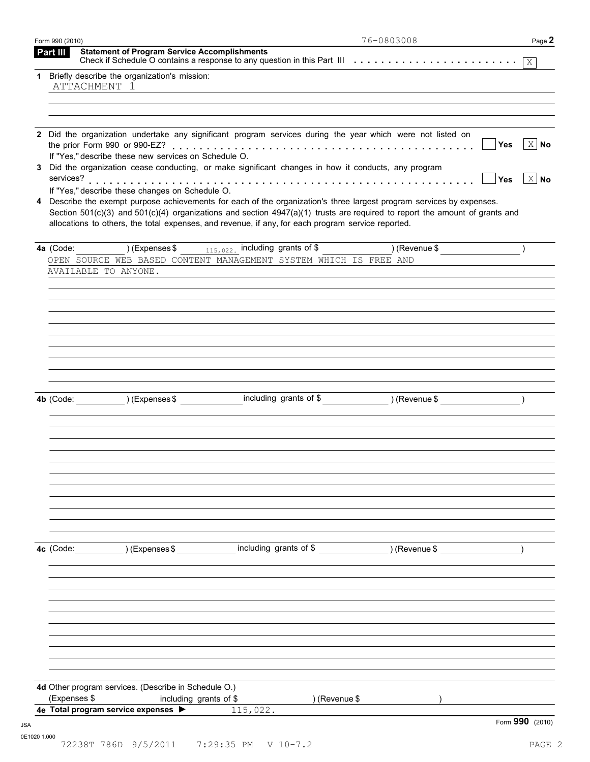| Part III     | <b>Statement of Program Service Accomplishments</b>  |                                                                                                                                   |               |                              |
|--------------|------------------------------------------------------|-----------------------------------------------------------------------------------------------------------------------------------|---------------|------------------------------|
|              | 1 Briefly describe the organization's mission:       |                                                                                                                                   |               |                              |
| ATTACHMENT 1 |                                                      |                                                                                                                                   |               |                              |
|              |                                                      |                                                                                                                                   |               |                              |
|              |                                                      |                                                                                                                                   |               |                              |
| 2            |                                                      | Did the organization undertake any significant program services during the year which were not listed on                          |               |                              |
|              | If "Yes," describe these new services on Schedule O. |                                                                                                                                   |               | $\mid$ X   No<br><b>Yes</b>  |
|              |                                                      | 3 Did the organization cease conducting, or make significant changes in how it conducts, any program                              |               |                              |
|              |                                                      |                                                                                                                                   |               | $\vert$ X $\vert$ No<br>∣Yes |
|              | If "Yes," describe these changes on Schedule O.      | 4 Describe the exempt purpose achievements for each of the organization's three largest program services by expenses.             |               |                              |
|              |                                                      | Section $501(c)(3)$ and $501(c)(4)$ organizations and section $4947(a)(1)$ trusts are required to report the amount of grants and |               |                              |
|              |                                                      | allocations to others, the total expenses, and revenue, if any, for each program service reported.                                |               |                              |
|              |                                                      | <b>4a</b> (Code: ) (Expenses \$ $_{115,022}$ including grants of \$ ) (Revenue \$ )                                               |               |                              |
|              |                                                      | OPEN SOURCE WEB BASED CONTENT MANAGEMENT SYSTEM WHICH IS FREE AND                                                                 |               |                              |
|              | AVAILABLE TO ANYONE.                                 |                                                                                                                                   |               |                              |
|              |                                                      |                                                                                                                                   |               |                              |
|              |                                                      |                                                                                                                                   |               |                              |
|              |                                                      |                                                                                                                                   |               |                              |
|              |                                                      |                                                                                                                                   |               |                              |
|              |                                                      |                                                                                                                                   |               |                              |
|              |                                                      |                                                                                                                                   |               |                              |
|              |                                                      |                                                                                                                                   |               |                              |
|              |                                                      |                                                                                                                                   |               |                              |
|              |                                                      | 4b (Code: ) (Expenses \$ including grants of \$ ) (Revenue \$ )                                                                   |               |                              |
|              |                                                      |                                                                                                                                   |               |                              |
|              |                                                      |                                                                                                                                   |               |                              |
|              |                                                      |                                                                                                                                   |               |                              |
|              |                                                      |                                                                                                                                   |               |                              |
|              |                                                      |                                                                                                                                   |               |                              |
|              |                                                      |                                                                                                                                   |               |                              |
|              |                                                      |                                                                                                                                   |               |                              |
|              |                                                      |                                                                                                                                   |               |                              |
|              |                                                      |                                                                                                                                   |               |                              |
|              | 4c (Code: ) (Expenses \$                             | including grants of \$                                                                                                            | ) (Revenue \$ |                              |
|              |                                                      |                                                                                                                                   |               |                              |
|              |                                                      |                                                                                                                                   |               |                              |
|              |                                                      |                                                                                                                                   |               |                              |
|              |                                                      |                                                                                                                                   |               |                              |
|              |                                                      |                                                                                                                                   |               |                              |
|              |                                                      |                                                                                                                                   |               |                              |
|              |                                                      |                                                                                                                                   |               |                              |
|              |                                                      |                                                                                                                                   |               |                              |
|              | 4d Other program services. (Describe in Schedule O.) |                                                                                                                                   |               |                              |
|              |                                                      | ) (Revenue \$                                                                                                                     |               |                              |
| (Expenses \$ | including grants of \$                               |                                                                                                                                   |               |                              |
|              | 4e Total program service expenses >                  | 115,022.                                                                                                                          |               | Form 990 (2010)              |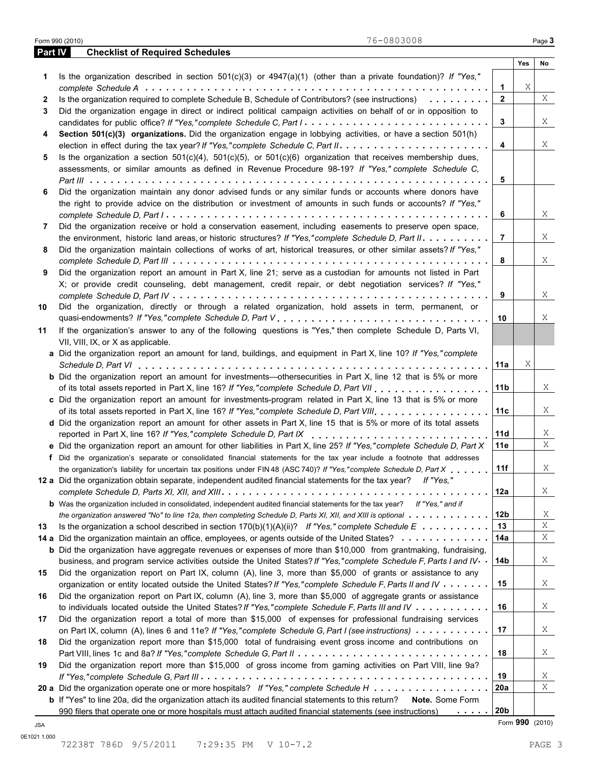|         | 76-0803008<br>Form 990 (2010)                                                                                                         |                 |                 | Page 3      |
|---------|---------------------------------------------------------------------------------------------------------------------------------------|-----------------|-----------------|-------------|
| Part IV | <b>Checklist of Required Schedules</b>                                                                                                |                 |                 |             |
|         |                                                                                                                                       |                 | Yes             | No          |
| 1.      | Is the organization described in section $501(c)(3)$ or $4947(a)(1)$ (other than a private foundation)? If "Yes,"                     |                 |                 |             |
|         |                                                                                                                                       | $\mathbf{1}$    | Χ               |             |
| 2       | Is the organization required to complete Schedule B, Schedule of Contributors? (see instructions)                                     | $\mathbf{2}$    |                 | X           |
| 3       | Did the organization engage in direct or indirect political campaign activities on behalf of or in opposition to                      |                 |                 |             |
|         | candidates for public office? If "Yes,"complete Schedule C, Part I                                                                    | 3               |                 | X           |
| 4       | Section 501(c)(3) organizations. Did the organization engage in lobbying activities, or have a section 501(h)                         |                 |                 |             |
|         | election in effect during the tax year? If "Yes," complete Schedule C, Part II.                                                       | 4               |                 | Χ           |
| 5       | Is the organization a section $501(c)(4)$ , $501(c)(5)$ , or $501(c)(6)$ organization that receives membership dues,                  |                 |                 |             |
|         | assessments, or similar amounts as defined in Revenue Procedure 98-19? If "Yes," complete Schedule C,                                 |                 |                 |             |
|         |                                                                                                                                       | 5               |                 |             |
| 6       | Did the organization maintain any donor advised funds or any similar funds or accounts where donors have                              |                 |                 |             |
|         | the right to provide advice on the distribution or investment of amounts in such funds or accounts? If "Yes,"                         |                 |                 |             |
|         |                                                                                                                                       | 6               |                 | Χ           |
| 7       | Did the organization receive or hold a conservation easement, including easements to preserve open space,                             |                 |                 |             |
|         | the environment, historic land areas, or historic structures? If "Yes,"complete Schedule D, Part II.                                  | 7               |                 | Χ           |
| 8       | Did the organization maintain collections of works of art, historical treasures, or other similar assets? If "Yes,"                   |                 |                 |             |
|         |                                                                                                                                       | 8               |                 | Χ           |
| 9       | Did the organization report an amount in Part X, line 21; serve as a custodian for amounts not listed in Part                         |                 |                 |             |
|         | X; or provide credit counseling, debt management, credit repair, or debt negotiation services? If "Yes,"                              |                 |                 |             |
|         |                                                                                                                                       | 9               |                 | Χ           |
| 10      | Did the organization, directly or through a related organization, hold assets in term, permanent, or                                  |                 |                 |             |
|         |                                                                                                                                       | 10              |                 | X           |
| 11      | If the organization's answer to any of the following questions is "Yes," then complete Schedule D, Parts VI,                          |                 |                 |             |
|         | VII, VIII, IX, or X as applicable.                                                                                                    |                 |                 |             |
|         | a Did the organization report an amount for land, buildings, and equipment in Part X, line 10? If "Yes," complete                     |                 |                 |             |
|         |                                                                                                                                       | 11a             | Χ               |             |
|         | <b>b</b> Did the organization report an amount for investments—othersecurities in Part X, line 12 that is 5% or more                  |                 |                 |             |
|         |                                                                                                                                       | 11 <sub>b</sub> |                 | X           |
|         | c Did the organization report an amount for investments-program related in Part X, line 13 that is 5% or more                         |                 |                 |             |
|         | of its total assets reported in Part X, line 16? If "Yes," complete Schedule D, Part VIII                                             | 11c             |                 | X           |
|         | d Did the organization report an amount for other assets in Part X, line 15 that is 5% or more of its total assets                    |                 |                 |             |
|         | reported in Part X, line 16? If "Yes,"complete Schedule D, Part IX                                                                    | 11d             |                 | X           |
|         | e Did the organization report an amount for other liabilities in Part X, line 25? If "Yes," complete Schedule D, Part X               | 11e             |                 | Χ           |
|         | f Did the organization's separate or consolidated financial statements for the tax year include a footnote that addresses             |                 |                 |             |
|         | the organization's liability for uncertain tax positions under FIN 48 (ASC 740)? If "Yes," complete Schedule D, Part X                | 11f             |                 | Χ           |
|         | 12 a Did the organization obtain separate, independent audited financial statements for the tax year? If "Yes,"                       |                 |                 |             |
|         |                                                                                                                                       | 12a             |                 | Χ           |
|         | <b>b</b> Was the organization included in consolidated, independent audited financial statements for the tax year? If "Yes," and if   |                 |                 |             |
|         | the organization answered "No" to line 12a, then completing Schedule D, Parts XI, XII, and XIII is optional                           | 12 <sub>b</sub> |                 | Χ           |
| 13      | Is the organization a school described in section $170(b)(1)(A)(ii)?$ If "Yes," complete Schedule E                                   | 13              |                 | $\mathbf X$ |
|         | 14 a Did the organization maintain an office, employees, or agents outside of the United States?                                      | 14a             |                 | X           |
|         | <b>b</b> Did the organization have aggregate revenues or expenses of more than \$10,000 from grantmaking, fundraising,                |                 |                 |             |
|         | business, and program service activities outside the United States? If "Yes," complete Schedule F, Parts I and IV                     | 14b             |                 | Χ           |
| 15      | Did the organization report on Part IX, column (A), line 3, more than \$5,000 of grants or assistance to any                          |                 |                 |             |
|         | organization or entity located outside the United States? If "Yes," complete Schedule F, Parts II and IV                              | 15              |                 | Χ           |
| 16      | Did the organization report on Part IX, column (A), line 3, more than \$5,000 of aggregate grants or assistance                       |                 |                 |             |
|         | to individuals located outside the United States? If "Yes," complete Schedule F, Parts III and IV                                     | 16              |                 | Χ           |
| 17      | Did the organization report a total of more than \$15,000 of expenses for professional fundraising services                           |                 |                 |             |
|         | on Part IX, column (A), lines 6 and 11e? If "Yes," complete Schedule G, Part I (see instructions)                                     | 17              |                 | Χ           |
| 18      | Did the organization report more than \$15,000 total of fundraising event gross income and contributions on                           |                 |                 |             |
|         |                                                                                                                                       | 18              |                 | Χ           |
| 19      | Did the organization report more than \$15,000 of gross income from gaming activities on Part VIII, line 9a?                          |                 |                 |             |
|         |                                                                                                                                       | 19              |                 | Χ           |
|         | 20 a Did the organization operate one or more hospitals? If "Yes," complete Schedule H                                                | 20a             |                 | X           |
|         | <b>b</b> If "Yes" to line 20a, did the organization attach its audited financial statements to this return?<br><b>Note.</b> Some Form |                 |                 |             |
|         | 990 filers that operate one or more hospitals must attach audited financial statements (see instructions)                             | 20b             |                 |             |
| JSA     |                                                                                                                                       |                 | Form 990 (2010) |             |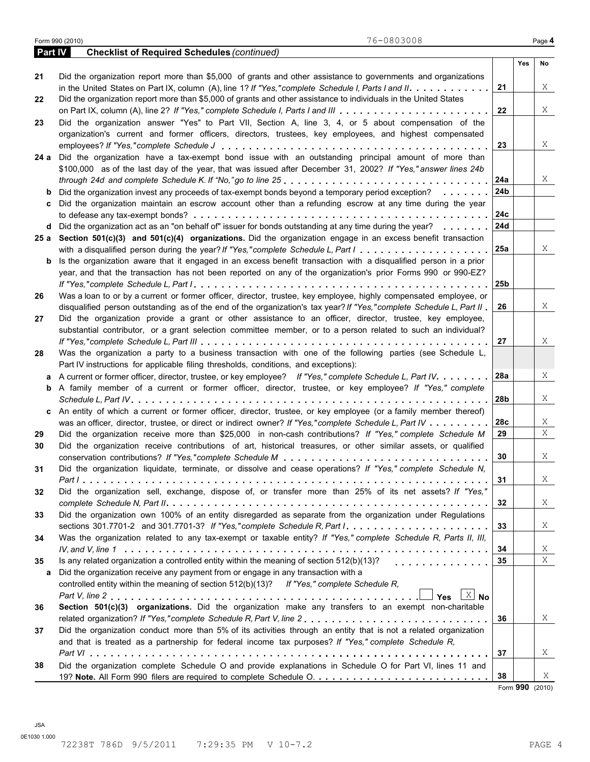|         | 76-0803008<br>Form 990 (2010)                                                                                               |     |     | Page 4 |
|---------|-----------------------------------------------------------------------------------------------------------------------------|-----|-----|--------|
| Part IV | <b>Checklist of Required Schedules (continued)</b>                                                                          |     |     |        |
|         |                                                                                                                             |     | Yes | No     |
| 21      | Did the organization report more than \$5,000 of grants and other assistance to governments and organizations               |     |     |        |
|         |                                                                                                                             | 21  |     | X      |
| 22      | Did the organization report more than \$5,000 of grants and other assistance to individuals in the United States            |     |     |        |
|         |                                                                                                                             | 22  |     | X      |
| 23      | Did the organization answer "Yes" to Part VII, Section A, line 3, 4, or 5 about compensation of the                         |     |     |        |
|         | organization's current and former officers, directors, trustees, key employees, and highest compensated                     |     |     |        |
|         |                                                                                                                             | 23  |     | Χ      |
|         | 24 a Did the organization have a tax-exempt bond issue with an outstanding principal amount of more than                    |     |     |        |
|         | \$100,000 as of the last day of the year, that was issued after December 31, 2002? If "Yes," answer lines 24b               |     |     |        |
|         |                                                                                                                             | 24a |     | X      |
| b       | Did the organization invest any proceeds of tax-exempt bonds beyond a temporary period exception?<br>                       | 24b |     |        |
| c       | Did the organization maintain an escrow account other than a refunding escrow at any time during the year                   |     |     |        |
|         |                                                                                                                             | 24c |     |        |
|         | d Did the organization act as an "on behalf of" issuer for bonds outstanding at any time during the year?                   | 24d |     |        |
|         | 25 a Section 501(c)(3) and 501(c)(4) organizations. Did the organization engage in an excess benefit transaction            |     |     |        |
|         |                                                                                                                             | 25a |     | X      |
|         |                                                                                                                             |     |     |        |
|         | <b>b</b> Is the organization aware that it engaged in an excess benefit transaction with a disqualified person in a prior   |     |     |        |
|         | year, and that the transaction has not been reported on any of the organization's prior Forms 990 or 990-EZ?                |     |     |        |
|         |                                                                                                                             | 25b |     |        |
| 26      | Was a loan to or by a current or former officer, director, trustee, key employee, highly compensated employee, or           |     |     |        |
|         | disqualified person outstanding as of the end of the organization's tax year? If "Yes," complete Schedule L, Part II        | 26  |     | X      |
| 27      | Did the organization provide a grant or other assistance to an officer, director, trustee, key employee,                    |     |     |        |
|         | substantial contributor, or a grant selection committee member, or to a person related to such an individual?               |     |     |        |
|         |                                                                                                                             | 27  |     | Χ      |
| 28      | Was the organization a party to a business transaction with one of the following parties (see Schedule L,                   |     |     |        |
|         | Part IV instructions for applicable filing thresholds, conditions, and exceptions):                                         |     |     |        |
| а       | A current or former officer, director, trustee, or key employee? If "Yes," complete Schedule L, Part IV.                    | 28a |     | Χ      |
|         | <b>b</b> A family member of a current or former officer, director, trustee, or key employee? If "Yes," complete             |     |     |        |
|         |                                                                                                                             | 28b |     | X      |
|         | c An entity of which a current or former officer, director, trustee, or key employee (or a family member thereof)           |     |     |        |
|         | was an officer, director, trustee, or direct or indirect owner? If "Yes," complete Schedule L, Part IV                      | 28c |     | Χ      |
| 29      | Did the organization receive more than \$25,000 in non-cash contributions? If "Yes," complete Schedule M                    | 29  |     | Χ      |
| 30      | Did the organization receive contributions of art, historical treasures, or other similar assets, or qualified              |     |     |        |
|         |                                                                                                                             | 30  |     | X      |
| 31      | Did the organization liquidate, terminate, or dissolve and cease operations? If "Yes," complete Schedule N,                 |     |     |        |
|         |                                                                                                                             | 31  |     | X      |
| 32      | Did the organization sell, exchange, dispose of, or transfer more than 25% of its net assets? If "Yes,"                     |     |     |        |
|         |                                                                                                                             | 32  |     | X      |
| 33      | Did the organization own 100% of an entity disregarded as separate from the organization under Regulations                  |     |     |        |
|         | sections 301.7701-2 and 301.7701-3? If "Yes," complete Schedule R, Part $1, \ldots, \ldots, \ldots, \ldots, \ldots, \ldots$ | 33  |     | X      |
| 34      | Was the organization related to any tax-exempt or taxable entity? If "Yes," complete Schedule R, Parts II, III,             |     |     |        |
|         |                                                                                                                             | 34  |     | X      |
|         | Is any related organization a controlled entity within the meaning of section 512(b)(13)?                                   |     |     | X      |
| 35      | .                                                                                                                           | 35  |     |        |
| а       | Did the organization receive any payment from or engage in any transaction with a                                           |     |     |        |
|         | controlled entity within the meaning of section 512(b)(13)? If "Yes," complete Schedule R,                                  |     |     |        |
|         | Yes $X$ No                                                                                                                  |     |     |        |
| 36      | Section 501(c)(3) organizations. Did the organization make any transfers to an exempt non-charitable                        |     |     |        |
|         | related organization? If "Yes,"complete Schedule R, Part V, line 2                                                          | 36  |     | X      |
| 37      | Did the organization conduct more than 5% of its activities through an entity that is not a related organization            |     |     |        |
|         | and that is treated as a partnership for federal income tax purposes? If "Yes," complete Schedule R,                        |     |     |        |
|         |                                                                                                                             | 37  |     | X      |
|         | Did the organization complete Schedule O and provide explanations in Schedule O for Part VI, lines 11 and                   |     |     |        |
| 38      |                                                                                                                             |     |     |        |

Form **990** (2010)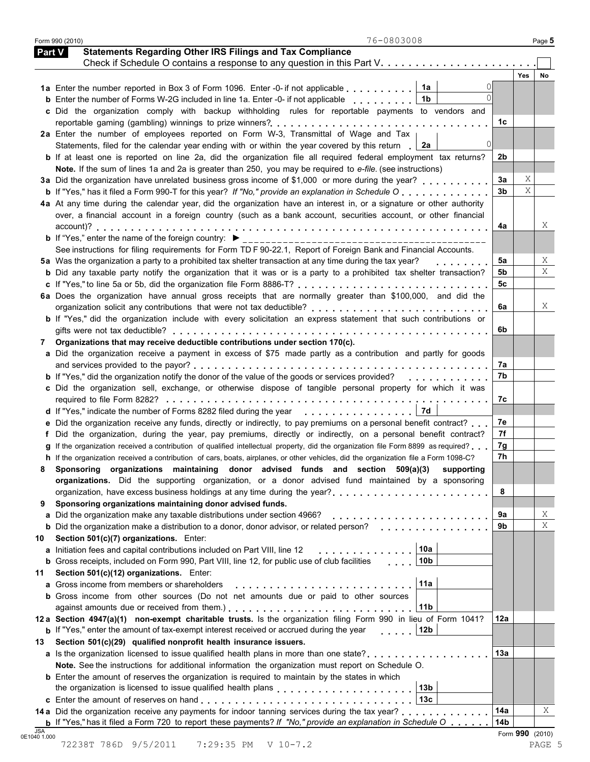|    | 76-0803008<br>Form 990 (2010)                                                                                                        |                |            | Page 5 |
|----|--------------------------------------------------------------------------------------------------------------------------------------|----------------|------------|--------|
|    | <b>Statements Regarding Other IRS Filings and Tax Compliance</b><br><b>Part V</b>                                                    |                |            |        |
|    |                                                                                                                                      |                |            |        |
|    |                                                                                                                                      |                | <b>Yes</b> | No     |
|    | 1a<br>1a Enter the number reported in Box 3 of Form 1096. Enter -0- if not applicable                                                |                |            |        |
|    | 1b<br><b>b</b> Enter the number of Forms W-2G included in line 1a. Enter -0- if not applicable                                       |                |            |        |
|    | c Did the organization comply with backup withholding rules for reportable payments to vendors and                                   |                |            |        |
|    |                                                                                                                                      | 1c             |            |        |
|    | 2a Enter the number of employees reported on Form W-3, Transmittal of Wage and Tax                                                   |                |            |        |
|    | $\Omega$<br>Statements, filed for the calendar year ending with or within the year covered by this return<br>2a                      |                |            |        |
|    | b If at least one is reported on line 2a, did the organization file all required federal employment tax returns?                     | 2b             |            |        |
|    | Note. If the sum of lines 1a and 2a is greater than 250, you may be required to e-file. (see instructions)                           |                |            |        |
|    | 3a Did the organization have unrelated business gross income of \$1,000 or more during the year?                                     | За             | Χ          |        |
|    | <b>b</b> If "Yes," has it filed a Form 990-T for this year? If "No," provide an explanation in Schedule O                            | 3 <sub>b</sub> | X          |        |
|    | 4a At any time during the calendar year, did the organization have an interest in, or a signature or other authority                 |                |            |        |
|    | over, a financial account in a foreign country (such as a bank account, securities account, or other financial                       |                |            |        |
|    |                                                                                                                                      | 4a             |            | Χ      |
|    |                                                                                                                                      |                |            |        |
|    | See instructions for filing requirements for Form TD F 90-22.1, Report of Foreign Bank and Financial Accounts.                       |                |            |        |
|    | 5a Was the organization a party to a prohibited tax shelter transaction at any time during the tax year?                             | 5а             |            | Χ      |
|    | <b>b</b> Did any taxable party notify the organization that it was or is a party to a prohibited tax shelter transaction?            | 5b             |            | Χ      |
|    |                                                                                                                                      | 5c             |            |        |
|    | 6a Does the organization have annual gross receipts that are normally greater than \$100,000, and did the                            |                |            |        |
|    | organization solicit any contributions that were not tax deductible?                                                                 | 6а             |            | X      |
|    | b If "Yes," did the organization include with every solicitation an express statement that such contributions or                     |                |            |        |
|    |                                                                                                                                      | 6b             |            |        |
| 7  | Organizations that may receive deductible contributions under section 170(c).                                                        |                |            |        |
|    | a Did the organization receive a payment in excess of \$75 made partly as a contribution and partly for goods                        |                |            |        |
|    |                                                                                                                                      | 7а             |            |        |
|    | <b>b</b> If "Yes," did the organization notify the donor of the value of the goods or services provided?<br>.                        | 7b             |            |        |
|    | c Did the organization sell, exchange, or otherwise dispose of tangible personal property for which it was                           |                |            |        |
|    |                                                                                                                                      | 7с             |            |        |
|    | 7d<br>d If "Yes," indicate the number of Forms 8282 filed during the year                                                            |                |            |        |
|    | e Did the organization receive any funds, directly or indirectly, to pay premiums on a personal benefit contract?                    | 7e             |            |        |
|    | Did the organization, during the year, pay premiums, directly or indirectly, on a personal benefit contract?                         | 7f             |            |        |
|    | If the organization received a contribution of qualified intellectual property, did the organization file Form 8899 as required?     | 7g             |            |        |
|    | h If the organization received a contribution of cars, boats, airplanes, or other vehicles, did the organization file a Form 1098-C? | 7h             |            |        |
| 8  | Sponsoring organizations maintaining donor advised funds and section 509(a)(3) supporting                                            |                |            |        |
|    | organizations. Did the supporting organization, or a donor advised fund maintained by a sponsoring                                   |                |            |        |
|    |                                                                                                                                      | 8              |            |        |
| 9  | Sponsoring organizations maintaining donor advised funds.                                                                            |                |            |        |
|    | a Did the organization make any taxable distributions under section 4966?                                                            | 9а             |            | Χ      |
|    | <b>b</b> Did the organization make a distribution to a donor, donor advisor, or related person?<br>di di strandi di di di s          | 9b             |            | X      |
| 10 | Section 501(c)(7) organizations. Enter:                                                                                              |                |            |        |
|    | 10a<br>a Initiation fees and capital contributions included on Part VIII, line 12<br>.                                               |                |            |        |
|    | 10 <sub>b</sub><br><b>b</b> Gross receipts, included on Form 990, Part VIII, line 12, for public use of club facilities              |                |            |        |
| 11 | Section 501(c)(12) organizations. Enter:                                                                                             |                |            |        |
|    | 11a<br><b>a</b> Gross income from members or shareholders                                                                            |                |            |        |
|    | <b>b</b> Gross income from other sources (Do not net amounts due or paid to other sources                                            |                |            |        |
|    | 11b                                                                                                                                  |                |            |        |
|    | 12 a Section 4947(a)(1) non-exempt charitable trusts. Is the organization filing Form 990 in lieu of Form 1041?                      | 12a            |            |        |
|    | <b>b</b> If "Yes," enter the amount of tax-exempt interest received or accrued during the year<br>12 <sub>b</sub>                    |                |            |        |
| 13 | Section 501(c)(29) qualified nonprofit health insurance issuers.                                                                     |                |            |        |
|    | a Is the organization licensed to issue qualified health plans in more than one state?                                               | 13а            |            |        |
|    | Note. See the instructions for additional information the organization must report on Schedule O.                                    |                |            |        |
|    | <b>b</b> Enter the amount of reserves the organization is required to maintain by the states in which                                |                |            |        |
|    | 13 <sub>b</sub><br>the organization is licensed to issue qualified health plans entitled in the set of the control of the control    |                |            |        |
|    |                                                                                                                                      |                |            |        |
|    | 13 <sub>c</sub>                                                                                                                      |                |            |        |
|    | 14 a Did the organization receive any payments for indoor tanning services during the tax year?                                      | 14a            |            | Χ      |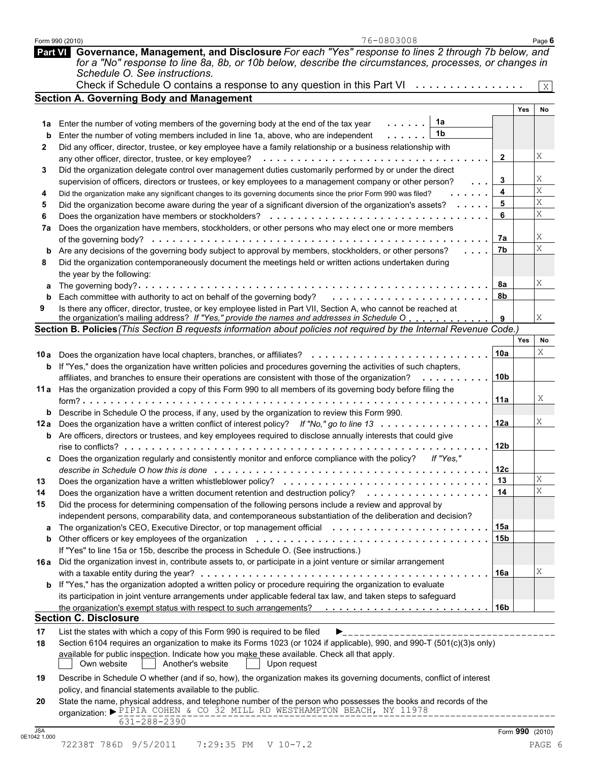|      | 76-0803008<br>Form 990 (2010)                                                                                                                                                                                                                      |                 |            | Page 6 |
|------|----------------------------------------------------------------------------------------------------------------------------------------------------------------------------------------------------------------------------------------------------|-----------------|------------|--------|
|      | Part VI Governance, Management, and Disclosure For each "Yes" response to lines 2 through 7b below, and<br>for a "No" response to line 8a, 8b, or 10b below, describe the circumstances, processes, or changes in<br>Schedule O. See instructions. |                 |            |        |
|      | Check if Schedule O contains a response to any question in this Part VI $\cdots$                                                                                                                                                                   |                 |            | X      |
|      | <b>Section A. Governing Body and Management</b>                                                                                                                                                                                                    |                 |            |        |
|      |                                                                                                                                                                                                                                                    |                 | Yes        | No     |
| 1a   | 1a<br>Enter the number of voting members of the governing body at the end of the tax year                                                                                                                                                          |                 |            |        |
| b    | 1b<br>Enter the number of voting members included in line 1a, above, who are independent                                                                                                                                                           |                 |            |        |
| 2    | Did any officer, director, trustee, or key employee have a family relationship or a business relationship with                                                                                                                                     |                 |            |        |
|      | any other officer, director, trustee, or key employee? $\ldots \ldots \ldots \ldots \ldots \ldots \ldots \ldots \ldots \ldots \ldots \ldots$                                                                                                       | $\mathbf{2}$    |            | Χ      |
|      | Did the organization delegate control over management duties customarily performed by or under the direct                                                                                                                                          |                 |            |        |
| 3    |                                                                                                                                                                                                                                                    | 3               |            | Χ      |
|      | supervision of officers, directors or trustees, or key employees to a management company or other person?<br>a a a                                                                                                                                 | 4               |            | Χ      |
| 4    | Did the organization make any significant changes to its governing documents since the prior Form 990 was filed?                                                                                                                                   |                 |            | Χ      |
| 5    | Did the organization become aware during the year of a significant diversion of the organization's assets?                                                                                                                                         | 5               |            | Χ      |
| 6    |                                                                                                                                                                                                                                                    | 6               |            |        |
| 7a   | Does the organization have members, stockholders, or other persons who may elect one or more members                                                                                                                                               |                 |            |        |
|      |                                                                                                                                                                                                                                                    | 7a              |            | Χ      |
| b    | Are any decisions of the governing body subject to approval by members, stockholders, or other persons?<br>$\sim$ 100 $\sim$ 100 $\sim$                                                                                                            | 7b              |            | X      |
| 8    | Did the organization contemporaneously document the meetings held or written actions undertaken during                                                                                                                                             |                 |            |        |
|      | the year by the following:                                                                                                                                                                                                                         |                 |            |        |
| а    |                                                                                                                                                                                                                                                    | 8а              |            | Χ      |
| b    | Each committee with authority to act on behalf of the governing body?                                                                                                                                                                              | 8b              |            |        |
| 9    | Is there any officer, director, trustee, or key employee listed in Part VII, Section A, who cannot be reached at                                                                                                                                   |                 |            |        |
|      | the organization's mailing address? If "Yes," provide the names and addresses in Schedule O                                                                                                                                                        | 9               |            | Χ      |
|      | Section B. Policies (This Section B requests information about policies not required by the Internal Revenue Code.)                                                                                                                                |                 |            |        |
|      |                                                                                                                                                                                                                                                    |                 | <b>Yes</b> | No     |
|      | 10a Does the organization have local chapters, branches, or affiliates?                                                                                                                                                                            | 10a             |            | Χ      |
|      | <b>b</b> If "Yes," does the organization have written policies and procedures governing the activities of such chapters,                                                                                                                           |                 |            |        |
|      | affiliates, and branches to ensure their operations are consistent with those of the organization?<br>. <b>.</b> .                                                                                                                                 | 10 <sub>b</sub> |            |        |
|      |                                                                                                                                                                                                                                                    |                 |            |        |
|      | 11a Has the organization provided a copy of this Form 990 to all members of its governing body before filing the                                                                                                                                   |                 |            | Χ      |
|      |                                                                                                                                                                                                                                                    | 11a             |            |        |
|      | <b>b</b> Describe in Schedule O the process, if any, used by the organization to review this Form 990.                                                                                                                                             |                 |            |        |
|      | 12a Does the organization have a written conflict of interest policy? If "No," go to line 13                                                                                                                                                       | 12a             |            | Χ      |
|      | <b>b</b> Are officers, directors or trustees, and key employees required to disclose annually interests that could give                                                                                                                            |                 |            |        |
|      |                                                                                                                                                                                                                                                    | 12b             |            |        |
|      | Does the organization regularly and consistently monitor and enforce compliance with the policy?<br>If "Yes."                                                                                                                                      |                 |            |        |
|      |                                                                                                                                                                                                                                                    | 12 <sub>c</sub> |            |        |
| 13   |                                                                                                                                                                                                                                                    | 13              |            | Χ      |
| 14   | Does the organization have a written document retention and destruction policy?<br>.                                                                                                                                                               | 14              |            | X      |
| 15   | Did the process for determining compensation of the following persons include a review and approval by                                                                                                                                             |                 |            |        |
|      | independent persons, comparability data, and contemporaneous substantiation of the deliberation and decision?                                                                                                                                      |                 |            |        |
|      | The organization's CEO, Executive Director, or top management official                                                                                                                                                                             | 15a             |            |        |
| a    |                                                                                                                                                                                                                                                    |                 |            |        |
| b    |                                                                                                                                                                                                                                                    | 15 <sub>b</sub> |            |        |
|      | If "Yes" to line 15a or 15b, describe the process in Schedule O. (See instructions.)                                                                                                                                                               |                 |            |        |
| 16 a | Did the organization invest in, contribute assets to, or participate in a joint venture or similar arrangement                                                                                                                                     |                 |            |        |
|      |                                                                                                                                                                                                                                                    | 16a             |            | Χ      |
|      | b If "Yes," has the organization adopted a written policy or procedure requiring the organization to evaluate                                                                                                                                      |                 |            |        |
|      | its participation in joint venture arrangements under applicable federal tax law, and taken steps to safeguard                                                                                                                                     |                 |            |        |
|      | the organization's exempt status with respect to such arrangements?                                                                                                                                                                                | 16b             |            |        |
|      | <b>Section C. Disclosure</b>                                                                                                                                                                                                                       |                 |            |        |
| 17   | List the states with which a copy of this Form 990 is required to be filed                                                                                                                                                                         |                 |            |        |
| 18   | Section 6104 requires an organization to make its Forms 1023 (or 1024 if applicable), 990, and 990-T (501(c)(3)s only)                                                                                                                             |                 |            |        |
|      | available for public inspection. Indicate how you make these available. Check all that apply.                                                                                                                                                      |                 |            |        |
|      | Another's website<br>Own website<br>Upon request                                                                                                                                                                                                   |                 |            |        |
|      |                                                                                                                                                                                                                                                    |                 |            |        |
|      |                                                                                                                                                                                                                                                    |                 |            |        |
| 19   | Describe in Schedule O whether (and if so, how), the organization makes its governing documents, conflict of interest                                                                                                                              |                 |            |        |
|      | policy, and financial statements available to the public.                                                                                                                                                                                          |                 |            |        |
| 20   | State the name, physical address, and telephone number of the person who possesses the books and records of the                                                                                                                                    |                 |            |        |
|      | organization: PIPIA COHEN & CO 32 MILL RD WESTHAMPTON BEACH, NY 11978<br>631-288-2390                                                                                                                                                              |                 |            |        |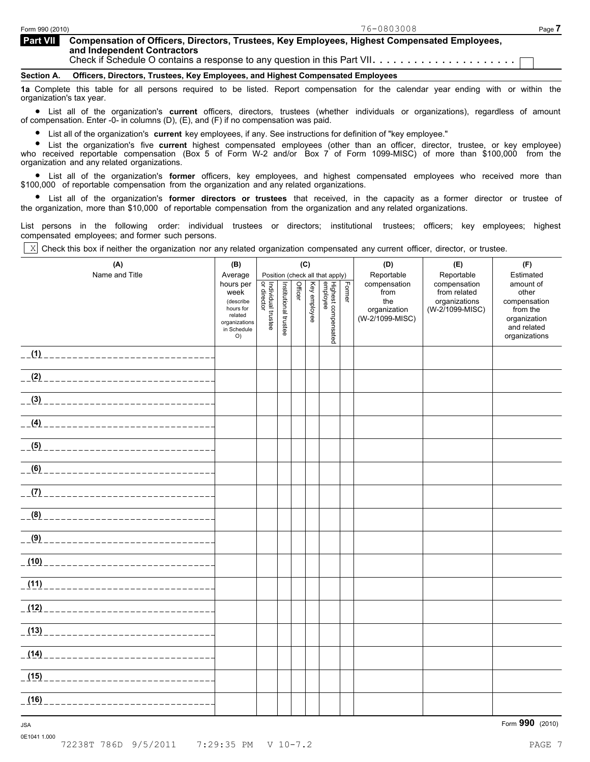| <b>Part VII</b> | Compensation of Officers, Directors, Trustees, Key Employees, Highest Compensated Employees,<br>and Independent Contractors         |  |  |  |  |  |  |  |  |
|-----------------|-------------------------------------------------------------------------------------------------------------------------------------|--|--|--|--|--|--|--|--|
|                 | Section A. Officers, Directors, Trustees, Key Employees, and Highest Compensated Employees                                          |  |  |  |  |  |  |  |  |
|                 | und According Additional Constitution of the Board Broad consequently and the coloration of the college of the constitution and the |  |  |  |  |  |  |  |  |

**1a** Complete this table for all persons required to be listed. Report compensation for the calendar year ending with or within the

organization's tax year.<br>● List all of the organization's **current** officers, directors, trustees (whether individuals or organizations), regardless of amount<br>of compensation Enter 0, in columns (D) (E) and (E) if no comp of compensation. Enter -0- in columns (D), (E), and (F) if no compensation was paid.

List all of the organization's **current** key employees, if any. See instructions for definition of "key employee."

List all of the organization's **current** key employees, if any. See instructions for definition of "key employee."<br>• List the organization's five **current** highest compensated employees (other than an officer, director, tr who received reportable compensation (Box 5 of Form W-2 and/or Box 7 of Form 1099-MISC) of more than \$100,000 from the organization and any related organizations.

anization and any related organization's.<br>● List all of the organization's **former** officers, key employees, and highest compensated employees who received more than \$100,000 of reportable compensation from the organization and any related organizations.

% List all of the organization's **former directors or trustees** that received, in the capacity as a former director or trustee of the organization, more than \$10,000 of reportable compensation from the organization and any related organizations.

List persons in the following order: individual trustees or directors; institutional trustees; officers; key employees; highest compensated employees; and former such persons.

Check this box if neither the organization nor any related organization compensated any current officer, director, or trustee.  $\lceil x \rceil$ 

| (A)                                     | (B)                               | (C)                                       |                       | (D)     | (E)          | (F)                              |        |                                 |                               |                              |
|-----------------------------------------|-----------------------------------|-------------------------------------------|-----------------------|---------|--------------|----------------------------------|--------|---------------------------------|-------------------------------|------------------------------|
| Name and Title                          | Average<br>hours per              |                                           |                       |         |              | Position (check all that apply)  |        | Reportable<br>compensation      | Reportable<br>compensation    | Estimated<br>amount of       |
|                                         | week<br>(describe                 | <br>  Individual trustee<br>  or director | Institutional trustee | Officer | Key employee | Highest compensated<br> employee | Former | from<br>the                     | from related<br>organizations | other<br>compensation        |
|                                         | hours for<br>related              |                                           |                       |         |              |                                  |        | organization<br>(W-2/1099-MISC) | (W-2/1099-MISC)               | from the<br>organization     |
|                                         | organizations<br>in Schedule<br>O |                                           |                       |         |              |                                  |        |                                 |                               | and related<br>organizations |
|                                         |                                   |                                           |                       |         |              |                                  |        |                                 |                               |                              |
|                                         |                                   |                                           |                       |         |              |                                  |        |                                 |                               |                              |
|                                         |                                   |                                           |                       |         |              |                                  |        |                                 |                               |                              |
|                                         |                                   |                                           |                       |         |              |                                  |        |                                 |                               |                              |
|                                         |                                   |                                           |                       |         |              |                                  |        |                                 |                               |                              |
|                                         |                                   |                                           |                       |         |              |                                  |        |                                 |                               |                              |
|                                         |                                   |                                           |                       |         |              |                                  |        |                                 |                               |                              |
|                                         |                                   |                                           |                       |         |              |                                  |        |                                 |                               |                              |
|                                         |                                   |                                           |                       |         |              |                                  |        |                                 |                               |                              |
|                                         |                                   |                                           |                       |         |              |                                  |        |                                 |                               |                              |
|                                         |                                   |                                           |                       |         |              |                                  |        |                                 |                               |                              |
|                                         |                                   |                                           |                       |         |              |                                  |        |                                 |                               |                              |
|                                         |                                   |                                           |                       |         |              |                                  |        |                                 |                               |                              |
|                                         |                                   |                                           |                       |         |              |                                  |        |                                 |                               |                              |
|                                         |                                   |                                           |                       |         |              |                                  |        |                                 |                               |                              |
|                                         |                                   |                                           |                       |         |              |                                  |        |                                 |                               |                              |
| (16)<br>_______________________________ |                                   |                                           |                       |         |              |                                  |        |                                 |                               |                              |

0E1041 1.000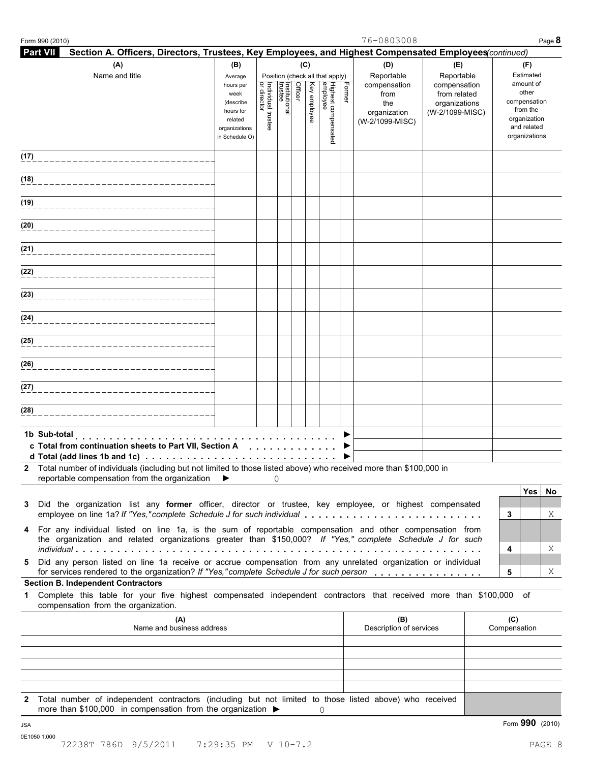| Form 990 (2010) |                                                                                                                                                                                                                      |                                                                      |                                   |                          |         |              |                                 |        | 76-0803008                                |                                                   |                     |                                                                          | Page 8  |
|-----------------|----------------------------------------------------------------------------------------------------------------------------------------------------------------------------------------------------------------------|----------------------------------------------------------------------|-----------------------------------|--------------------------|---------|--------------|---------------------------------|--------|-------------------------------------------|---------------------------------------------------|---------------------|--------------------------------------------------------------------------|---------|
| <b>Part VII</b> | Section A. Officers, Directors, Trustees, Key Employees, and Highest Compensated Employees(continued)                                                                                                                |                                                                      |                                   |                          |         |              |                                 |        |                                           |                                                   |                     |                                                                          |         |
|                 | (A)<br>Name and title                                                                                                                                                                                                | (B)<br>Average<br>hours per<br>week                                  |                                   |                          | Officer | (C)          | Position (check all that apply) | Former | (D)<br>Reportable<br>compensation<br>from | (E)<br>Reportable<br>compensation<br>from related |                     | (F)<br>Estimated<br>amount of<br>other                                   |         |
|                 |                                                                                                                                                                                                                      | (describe<br>hours for<br>related<br>organizations<br>in Schedule O) | or director<br>Individual trustee | Institutional<br>trustee |         | Key employee | Highest compensated<br>employee |        | the<br>organization<br>(W-2/1099-MISC)    | organizations<br>(W-2/1099-MISC)                  |                     | compensation<br>from the<br>organization<br>and related<br>organizations |         |
| (17)            |                                                                                                                                                                                                                      |                                                                      |                                   |                          |         |              |                                 |        |                                           |                                                   |                     |                                                                          |         |
| (18)            |                                                                                                                                                                                                                      |                                                                      |                                   |                          |         |              |                                 |        |                                           |                                                   |                     |                                                                          |         |
| (19)            |                                                                                                                                                                                                                      |                                                                      |                                   |                          |         |              |                                 |        |                                           |                                                   |                     |                                                                          |         |
| (20)            |                                                                                                                                                                                                                      |                                                                      |                                   |                          |         |              |                                 |        |                                           |                                                   |                     |                                                                          |         |
| (21)            |                                                                                                                                                                                                                      |                                                                      |                                   |                          |         |              |                                 |        |                                           |                                                   |                     |                                                                          |         |
| (22)            |                                                                                                                                                                                                                      |                                                                      |                                   |                          |         |              |                                 |        |                                           |                                                   |                     |                                                                          |         |
| (23)            |                                                                                                                                                                                                                      |                                                                      |                                   |                          |         |              |                                 |        |                                           |                                                   |                     |                                                                          |         |
| (24)            |                                                                                                                                                                                                                      |                                                                      |                                   |                          |         |              |                                 |        |                                           |                                                   |                     |                                                                          |         |
| (25)            |                                                                                                                                                                                                                      |                                                                      |                                   |                          |         |              |                                 |        |                                           |                                                   |                     |                                                                          |         |
| (26)            |                                                                                                                                                                                                                      |                                                                      |                                   |                          |         |              |                                 |        |                                           |                                                   |                     |                                                                          |         |
| (27)            |                                                                                                                                                                                                                      |                                                                      |                                   |                          |         |              |                                 |        |                                           |                                                   |                     |                                                                          |         |
| (28)            |                                                                                                                                                                                                                      |                                                                      |                                   |                          |         |              |                                 |        |                                           |                                                   |                     |                                                                          |         |
|                 | c Total from continuation sheets to Part VII, Section A<br>d Total (add lines 1b and 1c) $\ldots \ldots \ldots \ldots \ldots \ldots \ldots \ldots \ldots$                                                            |                                                                      |                                   |                          |         |              |                                 |        |                                           |                                                   |                     |                                                                          |         |
|                 | Total number of individuals (including but not limited to those listed above) who received more than \$100,000 in<br>reportable compensation from the organization $\blacktriangleright$                             |                                                                      |                                   | 0                        |         |              |                                 |        |                                           |                                                   |                     |                                                                          |         |
|                 | Did the organization list any former officer, director or trustee, key employee, or highest compensated                                                                                                              |                                                                      |                                   |                          |         |              |                                 |        |                                           |                                                   | 3                   | Yes                                                                      | No<br>Χ |
|                 | For any individual listed on line 1a, is the sum of reportable compensation and other compensation from<br>the organization and related organizations greater than \$150,000? If "Yes," complete Schedule J for such |                                                                      |                                   |                          |         |              |                                 |        |                                           |                                                   | 4                   |                                                                          | Χ       |
|                 | Did any person listed on line 1a receive or accrue compensation from any unrelated organization or individual<br>for services rendered to the organization? If "Yes,"complete Schedule J for such person             |                                                                      |                                   |                          |         |              |                                 |        |                                           |                                                   | 5                   |                                                                          | Χ       |
|                 | <b>Section B. Independent Contractors</b>                                                                                                                                                                            |                                                                      |                                   |                          |         |              |                                 |        |                                           |                                                   |                     |                                                                          |         |
|                 | Complete this table for your five highest compensated independent contractors that received more than \$100,000 of<br>compensation from the organization.                                                            |                                                                      |                                   |                          |         |              |                                 |        |                                           |                                                   |                     |                                                                          |         |
|                 | (A)<br>Name and business address                                                                                                                                                                                     |                                                                      |                                   |                          |         |              |                                 |        | (B)<br>Description of services            |                                                   | (C)<br>Compensation |                                                                          |         |
|                 |                                                                                                                                                                                                                      |                                                                      |                                   |                          |         |              |                                 |        |                                           |                                                   |                     |                                                                          |         |
|                 |                                                                                                                                                                                                                      |                                                                      |                                   |                          |         |              |                                 |        |                                           |                                                   |                     |                                                                          |         |
| $\mathbf{2}$    | Total number of independent contractors (including but not limited to those listed above) who received                                                                                                               |                                                                      |                                   |                          |         |              |                                 |        |                                           |                                                   |                     |                                                                          |         |
|                 | more than \$100,000 in compensation from the organization $\blacktriangleright$                                                                                                                                      |                                                                      |                                   |                          |         |              | 0                               |        |                                           |                                                   |                     | Form 990 (2010)                                                          |         |
| 0E1050 1.000    | 72238T 786D 9/5/2011                                                                                                                                                                                                 | 7:29:35 PM V 10-7.2                                                  |                                   |                          |         |              |                                 |        |                                           |                                                   |                     |                                                                          | PAGE 8  |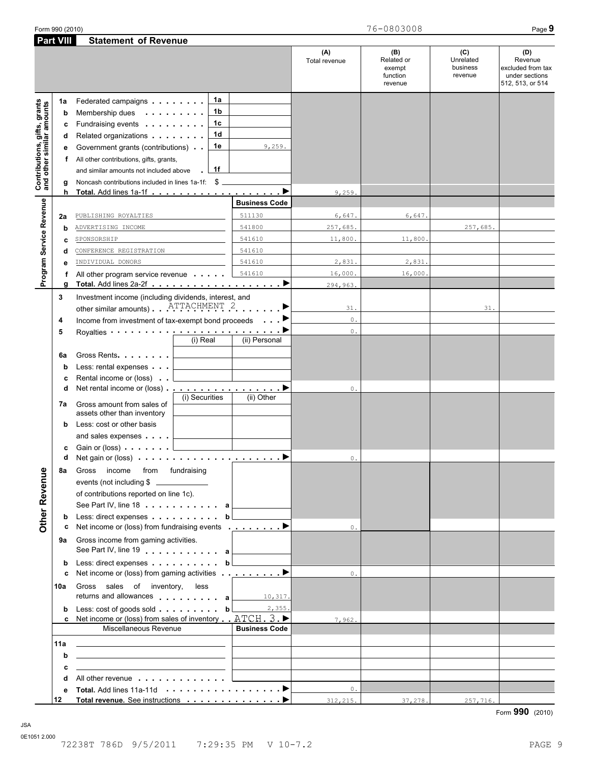|                                                           | <b>Part VIII</b> | <b>Statement of Revenue</b>                                                                                                                         |                      |                      |                                                    |                                         |                                                                           |
|-----------------------------------------------------------|------------------|-----------------------------------------------------------------------------------------------------------------------------------------------------|----------------------|----------------------|----------------------------------------------------|-----------------------------------------|---------------------------------------------------------------------------|
|                                                           |                  |                                                                                                                                                     |                      | (A)<br>Total revenue | (B)<br>Related or<br>exempt<br>function<br>revenue | (C)<br>Unrelated<br>business<br>revenue | (D)<br>Revenue<br>excluded from tax<br>under sections<br>512, 513, or 514 |
|                                                           | 1a               | 1a<br>Federated campaigns                                                                                                                           |                      |                      |                                                    |                                         |                                                                           |
| Contributions, gifts, grants<br>and other similar amounts | b                | 1 <sub>b</sub><br>Membership dues<br>a construction of the con-                                                                                     |                      |                      |                                                    |                                         |                                                                           |
|                                                           | c                | 1 <sub>c</sub><br>Fundraising events <b>Fundraising</b>                                                                                             |                      |                      |                                                    |                                         |                                                                           |
|                                                           | d                | 1d<br>Related organizations <b>contains</b>                                                                                                         |                      |                      |                                                    |                                         |                                                                           |
|                                                           |                  | 1e<br>Government grants (contributions)                                                                                                             | 9,259.               |                      |                                                    |                                         |                                                                           |
|                                                           | е                |                                                                                                                                                     |                      |                      |                                                    |                                         |                                                                           |
|                                                           | f                | All other contributions, gifts, grants,<br>1f                                                                                                       |                      |                      |                                                    |                                         |                                                                           |
|                                                           |                  | and similar amounts not included above                                                                                                              |                      |                      |                                                    |                                         |                                                                           |
|                                                           | g<br>h           | Noncash contributions included in lines 1a-1f: \$                                                                                                   |                      |                      |                                                    |                                         |                                                                           |
|                                                           |                  |                                                                                                                                                     | <b>Business Code</b> | 9,259                |                                                    |                                         |                                                                           |
|                                                           |                  |                                                                                                                                                     |                      |                      |                                                    |                                         |                                                                           |
|                                                           | 2a               | PUBLISHING ROYALTIES                                                                                                                                | 511130               | 6,647.               | 6,647.                                             |                                         |                                                                           |
|                                                           | b                | ADVERTISING INCOME                                                                                                                                  | 541800               | 257,685.             |                                                    | 257,685.                                |                                                                           |
|                                                           | c                | SPONSORSHIP                                                                                                                                         | 541610               | 11,800.              | 11,800.                                            |                                         |                                                                           |
|                                                           | d                | CONFERENCE REGISTRATION                                                                                                                             | 541610               |                      |                                                    |                                         |                                                                           |
| Program Service Revenue                                   | e                | INDIVIDUAL DONORS                                                                                                                                   | 541610               | 2,831.               | 2,831.                                             |                                         |                                                                           |
|                                                           | f                | All other program service revenue                                                                                                                   | 541610               | 16,000.              | 16,000                                             |                                         |                                                                           |
|                                                           | g                |                                                                                                                                                     |                      | 294,963.             |                                                    |                                         |                                                                           |
|                                                           | 3                | Investment income (including dividends, interest, and                                                                                               |                      |                      |                                                    |                                         |                                                                           |
|                                                           |                  | other similar amounts) ATTACHMENT 2                                                                                                                 |                      | 31.                  |                                                    | 31.                                     |                                                                           |
|                                                           | 4                | Income from investment of tax-exempt bond proceeds                                                                                                  |                      | $\mathbb O$ .        |                                                    |                                         |                                                                           |
|                                                           | 5                | Royalties <b>Constanting Construction</b>                                                                                                           |                      | $0$ .                |                                                    |                                         |                                                                           |
|                                                           |                  | (i) Real                                                                                                                                            | (ii) Personal        |                      |                                                    |                                         |                                                                           |
|                                                           | 6a               | Gross Rents                                                                                                                                         |                      |                      |                                                    |                                         |                                                                           |
|                                                           | b                | Less: rental expenses                                                                                                                               |                      |                      |                                                    |                                         |                                                                           |
|                                                           | с                | Rental income or (loss)                                                                                                                             |                      |                      |                                                    |                                         |                                                                           |
|                                                           | d                |                                                                                                                                                     |                      | 0.                   |                                                    |                                         |                                                                           |
|                                                           |                  | (i) Securities<br>Gross amount from sales of                                                                                                        | (ii) Other           |                      |                                                    |                                         |                                                                           |
|                                                           | 7a               | assets other than inventory                                                                                                                         |                      |                      |                                                    |                                         |                                                                           |
|                                                           | b                | Less: cost or other basis                                                                                                                           |                      |                      |                                                    |                                         |                                                                           |
|                                                           |                  | and sales expenses                                                                                                                                  |                      |                      |                                                    |                                         |                                                                           |
|                                                           | с                | Gain or (loss) example.<br>and the control of the control of                                                                                        |                      |                      |                                                    |                                         |                                                                           |
|                                                           | d                | Net gain or (loss) $\cdots$ $\cdots$ $\cdots$ $\cdots$ $\cdots$ $\cdots$                                                                            |                      | 0.                   |                                                    |                                         |                                                                           |
|                                                           | 8a               | from fundraising<br>Gross income                                                                                                                    |                      |                      |                                                    |                                         |                                                                           |
|                                                           |                  | events (not including \$                                                                                                                            |                      |                      |                                                    |                                         |                                                                           |
|                                                           |                  |                                                                                                                                                     |                      |                      |                                                    |                                         |                                                                           |
|                                                           |                  | of contributions reported on line 1c).                                                                                                              |                      |                      |                                                    |                                         |                                                                           |
|                                                           |                  | See Part IV, line 18 a                                                                                                                              |                      |                      |                                                    |                                         |                                                                           |
| Other Revenue                                             | b                | Less: direct expenses b<br>Net income or (loss) from fundraising events $\qquad \qquad \blacktriangleright$                                         |                      | $\mathbf{0}$ .       |                                                    |                                         |                                                                           |
|                                                           | с                |                                                                                                                                                     |                      |                      |                                                    |                                         |                                                                           |
|                                                           | 9а               | Gross income from gaming activities.                                                                                                                |                      |                      |                                                    |                                         |                                                                           |
|                                                           |                  | See Part IV, line 19 and the Lines of Allen                                                                                                         |                      |                      |                                                    |                                         |                                                                           |
|                                                           | b                | Less: direct expenses                                                                                                                               | b                    |                      |                                                    |                                         |                                                                           |
|                                                           | c                | Net income or (loss) from gaming activities $\qquad \qquad \blacksquare$                                                                            |                      | 0.                   |                                                    |                                         |                                                                           |
|                                                           | 10a              | Gross sales of inventory,<br>less                                                                                                                   |                      |                      |                                                    |                                         |                                                                           |
|                                                           |                  | returns and allowances and allowances                                                                                                               | 10, 317.             |                      |                                                    |                                         |                                                                           |
|                                                           | b                | Less: $\cosh$ of goods sold $\cdots$ $\cdots$ $\cdots$ b<br>c Net income or (loss) from sales of inventory $\Box$ ATCH $\Box$ $\blacktriangleright$ | 2,355.               |                      |                                                    |                                         |                                                                           |
|                                                           |                  | Miscellaneous Revenue                                                                                                                               | <b>Business Code</b> | 7,962.               |                                                    |                                         |                                                                           |
|                                                           |                  |                                                                                                                                                     |                      |                      |                                                    |                                         |                                                                           |
|                                                           | 11a              | <u> 1989 - Johann John Stone, markin film yn y brenin y brenin y brenin y brenin y brenin y brenin y brenin y br</u>                                |                      |                      |                                                    |                                         |                                                                           |
|                                                           | b                | <u> 1989 - Johann Barbara, martxa alemaniar arg</u>                                                                                                 |                      |                      |                                                    |                                         |                                                                           |
|                                                           | с                | <u> 1989 - Andrea Andrew Maria (h. 1989).</u>                                                                                                       |                      |                      |                                                    |                                         |                                                                           |
|                                                           | d                | All other revenue entitled and a series of the series of the series of the series of the series of the series                                       |                      |                      |                                                    |                                         |                                                                           |
|                                                           | е                |                                                                                                                                                     |                      | $0$ .                |                                                    |                                         |                                                                           |
|                                                           | 12               | Total revenue. See instructions ▶                                                                                                                   |                      | 312, 215.            | 37,278.                                            | 257,716.                                |                                                                           |

Form **990** (2010)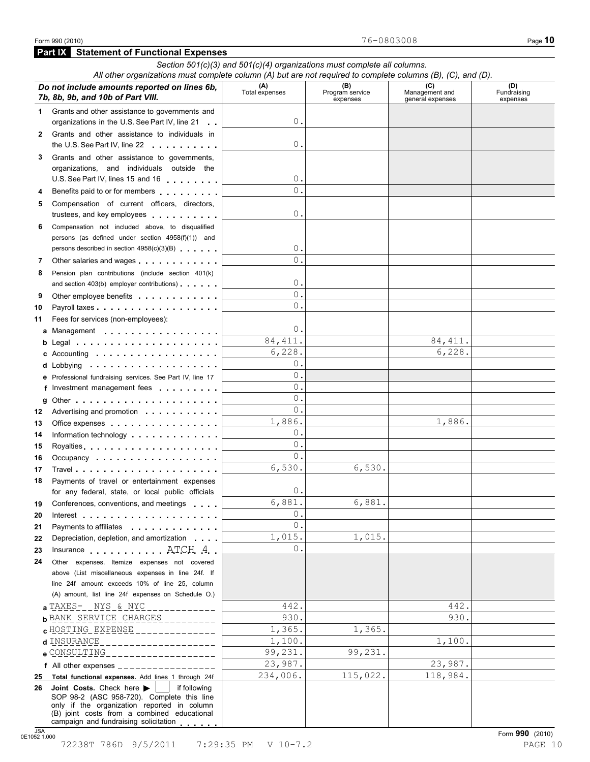|              | All other organizations must complete column (A) but are not required to complete columns (B), (C), and (D).                                                                                                                                                                                                                                             |                                | Section $501(c)(3)$ and $501(c)(4)$ organizations must complete all columns. |                                    |                                |
|--------------|----------------------------------------------------------------------------------------------------------------------------------------------------------------------------------------------------------------------------------------------------------------------------------------------------------------------------------------------------------|--------------------------------|------------------------------------------------------------------------------|------------------------------------|--------------------------------|
|              |                                                                                                                                                                                                                                                                                                                                                          |                                | (B)                                                                          | (C)                                |                                |
|              | Do not include amounts reported on lines 6b,<br>7b, 8b, 9b, and 10b of Part VIII.                                                                                                                                                                                                                                                                        | (A)<br>Total expenses          | Program service<br>expenses                                                  | Management and<br>general expenses | (D)<br>Fundraising<br>expenses |
| 1            | Grants and other assistance to governments and<br>organizations in the U.S. See Part IV, line 21                                                                                                                                                                                                                                                         | 0                              |                                                                              |                                    |                                |
| $\mathbf{2}$ | Grants and other assistance to individuals in<br>the U.S. See Part IV, line 22                                                                                                                                                                                                                                                                           | 0                              |                                                                              |                                    |                                |
| 3            | Grants and other assistance to governments,                                                                                                                                                                                                                                                                                                              |                                |                                                                              |                                    |                                |
|              | organizations, and individuals outside the                                                                                                                                                                                                                                                                                                               |                                |                                                                              |                                    |                                |
|              | U.S. See Part IV, lines 15 and 16                                                                                                                                                                                                                                                                                                                        | 0.                             |                                                                              |                                    |                                |
| 4            | Benefits paid to or for members                                                                                                                                                                                                                                                                                                                          | $\Omega$                       |                                                                              |                                    |                                |
| 5            | Compensation of current officers, directors,                                                                                                                                                                                                                                                                                                             |                                |                                                                              |                                    |                                |
|              | trustees, and key employees                                                                                                                                                                                                                                                                                                                              | 0                              |                                                                              |                                    |                                |
| 6            | Compensation not included above, to disqualified                                                                                                                                                                                                                                                                                                         |                                |                                                                              |                                    |                                |
|              | persons (as defined under section 4958(f)(1)) and                                                                                                                                                                                                                                                                                                        |                                |                                                                              |                                    |                                |
|              | persons described in section 4958(c)(3)(B)                                                                                                                                                                                                                                                                                                               | 0.                             |                                                                              |                                    |                                |
| 7            | Other salaries and wages                                                                                                                                                                                                                                                                                                                                 | $\Omega$ .                     |                                                                              |                                    |                                |
| 8            | Pension plan contributions (include section 401(k)                                                                                                                                                                                                                                                                                                       |                                |                                                                              |                                    |                                |
|              | and section 403(b) employer contributions)                                                                                                                                                                                                                                                                                                               | 0.                             |                                                                              |                                    |                                |
| 9            |                                                                                                                                                                                                                                                                                                                                                          | $\overline{0}$ .<br>$\Omega$ . |                                                                              |                                    |                                |
| 10           |                                                                                                                                                                                                                                                                                                                                                          |                                |                                                                              |                                    |                                |
| 11           | Fees for services (non-employees):                                                                                                                                                                                                                                                                                                                       | 0.                             |                                                                              |                                    |                                |
|              | a Management                                                                                                                                                                                                                                                                                                                                             | 84, 411.                       |                                                                              | 84, 411.                           |                                |
|              | c Accounting $\cdots$ , $\cdots$ , $\cdots$ , $\cdots$                                                                                                                                                                                                                                                                                                   | 6,228.                         |                                                                              | 6,228.                             |                                |
|              |                                                                                                                                                                                                                                                                                                                                                          | 0.                             |                                                                              |                                    |                                |
|              | e Professional fundraising services. See Part IV, line 17                                                                                                                                                                                                                                                                                                | $\Omega$ .                     |                                                                              |                                    |                                |
|              | f Investment management fees                                                                                                                                                                                                                                                                                                                             | $\Omega$ .                     |                                                                              |                                    |                                |
|              |                                                                                                                                                                                                                                                                                                                                                          | 0.                             |                                                                              |                                    |                                |
| 12           | Advertising and promotion                                                                                                                                                                                                                                                                                                                                | 0.                             |                                                                              |                                    |                                |
| 13           | Office expenses                                                                                                                                                                                                                                                                                                                                          | 1,886.                         |                                                                              | 1,886.                             |                                |
| 14           | Information technology experience in the control of the state of the state of the state of the state of the state of the state of the state of the state of the state of the state of the state of the state of the state of t                                                                                                                           | 0.                             |                                                                              |                                    |                                |
| 15           |                                                                                                                                                                                                                                                                                                                                                          | 0.                             |                                                                              |                                    |                                |
| 16           | Occupancy experiences and a series are a series of the series of the series of the series of the series of the                                                                                                                                                                                                                                           | 0.                             |                                                                              |                                    |                                |
| 17           |                                                                                                                                                                                                                                                                                                                                                          | 6,530.                         | 6,530.                                                                       |                                    |                                |
| 18           | Payments of travel or entertainment expenses                                                                                                                                                                                                                                                                                                             | 0                              |                                                                              |                                    |                                |
|              | for any federal, state, or local public officials<br>Conferences, conventions, and meetings                                                                                                                                                                                                                                                              | 6,881.                         | 6,881.                                                                       |                                    |                                |
| 19<br>20     | Interest the contract of the contract of the contract of the contract of the contract of the contract of the contract of the contract of the contract of the contract of the contract of the contract of the contract of the c                                                                                                                           | 0.                             |                                                                              |                                    |                                |
| 21           | Payments to affiliates <b>Example 2.1 Fig. 1.1 Fig. 1.1</b>                                                                                                                                                                                                                                                                                              | $\mathbf{0}$ .                 |                                                                              |                                    |                                |
| 22           | Depreciation, depletion, and amortization                                                                                                                                                                                                                                                                                                                | 1,015.                         | 1,015.                                                                       |                                    |                                |
| 23           | Insurance ATCH 4                                                                                                                                                                                                                                                                                                                                         | 0.                             |                                                                              |                                    |                                |
| 24           | Other expenses. Itemize expenses not covered                                                                                                                                                                                                                                                                                                             |                                |                                                                              |                                    |                                |
|              | above (List miscellaneous expenses in line 24f. If                                                                                                                                                                                                                                                                                                       |                                |                                                                              |                                    |                                |
|              | line 24f amount exceeds 10% of line 25, column                                                                                                                                                                                                                                                                                                           |                                |                                                                              |                                    |                                |
|              | (A) amount, list line 24f expenses on Schedule O.)                                                                                                                                                                                                                                                                                                       |                                |                                                                              |                                    |                                |
|              | <b>a</b> TAXES-__NYS_&_NYC_<br><u>. La La La La La</u>                                                                                                                                                                                                                                                                                                   | 442.                           |                                                                              | 442.                               |                                |
|              | $b$ BANK SERVICE CHARGES                                                                                                                                                                                                                                                                                                                                 | 930.                           |                                                                              | 930.                               |                                |
|              | <b>c</b> HOSTING EXPENSE _______________                                                                                                                                                                                                                                                                                                                 | 1,365.                         | 1,365.                                                                       | 1,100.                             |                                |
|              | d INSURANCE<br>___________________                                                                                                                                                                                                                                                                                                                       | 1,100.<br>99,231.              | 99,231.                                                                      |                                    |                                |
|              | e CONSULTING_____________________                                                                                                                                                                                                                                                                                                                        | 23,987.                        |                                                                              | 23,987.                            |                                |
| 25           | f All other expenses $\frac{1}{1}$ = $\frac{1}{1}$ = $\frac{1}{1}$ = $\frac{1}{1}$ = $\frac{1}{1}$ = $\frac{1}{1}$ = $\frac{1}{1}$ = $\frac{1}{1}$ = $\frac{1}{1}$ = $\frac{1}{1}$ = $\frac{1}{1}$ = $\frac{1}{1}$ = $\frac{1}{1}$ = $\frac{1}{1}$ = $\frac{1}{1}$ = $\frac{1}{1}$ = $\frac{1}{1}$<br>Total functional expenses. Add lines 1 through 24f | 234,006.                       | 115,022.                                                                     | 118,984.                           |                                |
| 26           | Joint Costs. Check here $\blacktriangleright$<br>if following                                                                                                                                                                                                                                                                                            |                                |                                                                              |                                    |                                |
|              | SOP 98-2 (ASC 958-720). Complete this line<br>only if the organization reported in column                                                                                                                                                                                                                                                                |                                |                                                                              |                                    |                                |
|              | (B) joint costs from a combined educational<br>campaign and fundraising solicitation                                                                                                                                                                                                                                                                     |                                |                                                                              |                                    |                                |

JSA<br>0E1052 1.000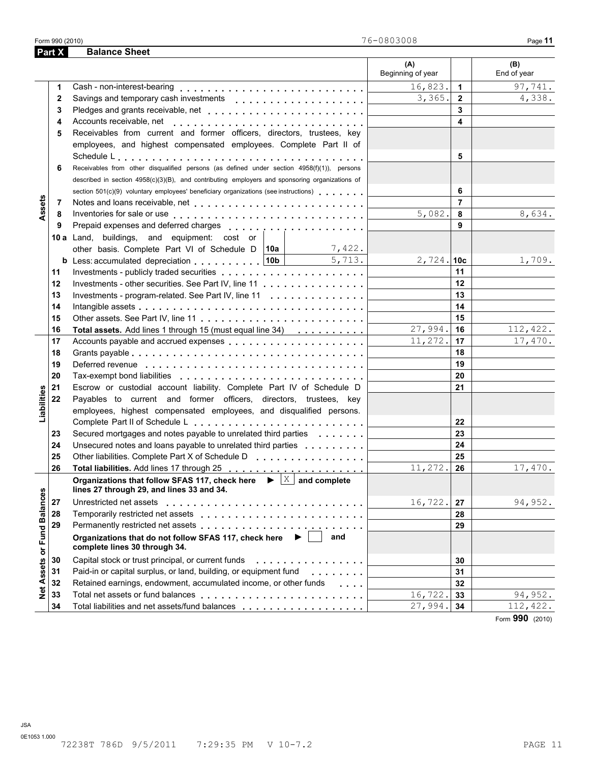|                             |    |                                                                                                                                                                                                                                | (A)<br>Beginning of year |                | (B)<br>End of year |
|-----------------------------|----|--------------------------------------------------------------------------------------------------------------------------------------------------------------------------------------------------------------------------------|--------------------------|----------------|--------------------|
|                             | 1  |                                                                                                                                                                                                                                | 16,823.                  | $\mathbf{1}$   | 97,741.            |
|                             | 2  |                                                                                                                                                                                                                                | 3,365.                   | $\overline{2}$ | 4,338.             |
|                             | 3  |                                                                                                                                                                                                                                |                          | 3              |                    |
|                             | 4  | Accounts receivable, net enterprise and accounts receivable, net enterprise and accounts received and accounts                                                                                                                 |                          | 4              |                    |
|                             | 5  | Receivables from current and former officers, directors, trustees, key                                                                                                                                                         |                          |                |                    |
|                             |    | employees, and highest compensated employees. Complete Part II of                                                                                                                                                              |                          |                |                    |
|                             |    |                                                                                                                                                                                                                                |                          | 5              |                    |
|                             | 6  | Receivables from other disqualified persons (as defined under section 4958(f)(1)), persons                                                                                                                                     |                          |                |                    |
|                             |    | described in section 4958(c)(3)(B), and contributing employers and sponsoring organizations of                                                                                                                                 |                          |                |                    |
|                             |    | section 501(c)(9) voluntary employees' beneficiary organizations (see instructions)                                                                                                                                            |                          | 6              |                    |
|                             | 7  |                                                                                                                                                                                                                                |                          | $\overline{7}$ |                    |
| Assets                      | 8  |                                                                                                                                                                                                                                | 5,082.                   | 8              | 8,634.             |
|                             | 9  |                                                                                                                                                                                                                                |                          | 9              |                    |
|                             |    | 10 a Land, buildings, and equipment: cost or                                                                                                                                                                                   |                          |                |                    |
|                             |    | 7,422.<br>other basis. Complete Part VI of Schedule D   10a                                                                                                                                                                    |                          |                |                    |
|                             |    | 5,713.<br><b>b</b> Less accumulated depreciation 10b                                                                                                                                                                           | $2,724.$ 10c             |                | 1,709.             |
|                             | 11 |                                                                                                                                                                                                                                |                          | 11             |                    |
|                             | 12 | Investments - other securities. See Part IV, line 11                                                                                                                                                                           |                          | 12             |                    |
|                             | 13 | Investments - program-related. See Part IV, line 11                                                                                                                                                                            |                          | 13             |                    |
|                             | 14 |                                                                                                                                                                                                                                |                          | 14             |                    |
|                             | 15 |                                                                                                                                                                                                                                |                          | 15             |                    |
|                             | 16 | Total assets. Add lines 1 through 15 (must equal line 34)                                                                                                                                                                      | 27,994.                  | 16             | 112,422.           |
|                             | 17 |                                                                                                                                                                                                                                | 11,272.                  | 17             | 17,470.            |
|                             | 18 |                                                                                                                                                                                                                                |                          | 18             |                    |
|                             | 19 |                                                                                                                                                                                                                                |                          | 19             |                    |
|                             | 20 |                                                                                                                                                                                                                                |                          | 20             |                    |
|                             | 21 | Escrow or custodial account liability. Complete Part IV of Schedule D                                                                                                                                                          |                          | 21             |                    |
| Liabilities                 | 22 | Payables to current and former officers, directors, trustees, key                                                                                                                                                              |                          |                |                    |
|                             |    | employees, highest compensated employees, and disqualified persons.                                                                                                                                                            |                          |                |                    |
|                             |    |                                                                                                                                                                                                                                |                          | 22             |                    |
|                             | 23 | Secured mortgages and notes payable to unrelated third parties                                                                                                                                                                 |                          | 23             |                    |
|                             | 24 | Unsecured notes and loans payable to unrelated third parties                                                                                                                                                                   |                          | 24             |                    |
|                             | 25 | Other liabilities. Complete Part X of Schedule D                                                                                                                                                                               |                          | 25             |                    |
|                             | 26 |                                                                                                                                                                                                                                | 11,272.                  | 26             | 17,470.            |
|                             |    | Organizations that follow SFAS 117, check here $\blacktriangleright \lfloor X \rfloor$ and complete                                                                                                                            |                          |                |                    |
| m                           |    | lines 27 through 29, and lines 33 and 34.                                                                                                                                                                                      |                          |                |                    |
|                             | 27 |                                                                                                                                                                                                                                | 16,722.                  | 27             | 94,952.            |
|                             | 28 | Temporarily restricted net assets entertainment of the set of the set of the set of the set of the set of the set of the set of the set of the set of the set of the set of the set of the set of the set of the set of the se |                          | 28             |                    |
|                             | 29 |                                                                                                                                                                                                                                |                          | 29             |                    |
| Net Assets or Fund Balances |    | Organizations that do not follow SFAS 117, check here $\blacktriangleright$<br>and<br>complete lines 30 through 34.                                                                                                            |                          |                |                    |
|                             | 30 | Capital stock or trust principal, or current funds<br>.                                                                                                                                                                        |                          | 30             |                    |
|                             | 31 | Paid-in or capital surplus, or land, building, or equipment fund<br>1.1.1.1.1.1.1                                                                                                                                              |                          | 31             |                    |
|                             | 32 | Retained earnings, endowment, accumulated income, or other funds<br>$\sim$ $\sim$ $\sim$ $\sim$                                                                                                                                |                          | 32             |                    |
|                             | 33 |                                                                                                                                                                                                                                | 16,722.                  | 33             | 94,952.            |
|                             | 34 |                                                                                                                                                                                                                                | 27,994.                  | 34             | 112,422.           |

Form **990** (2010)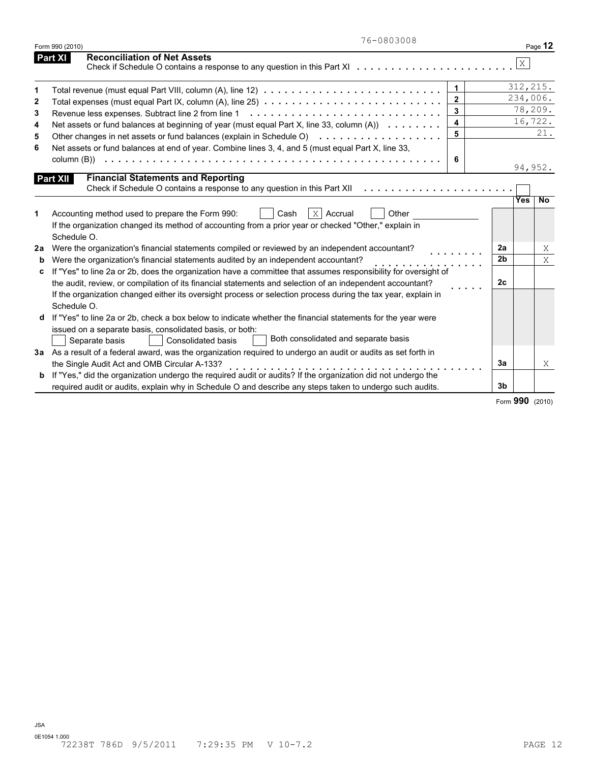|              | 76-0803008<br>Form 990 (2010)                                                                                                                                                                           |              |                | Page 12               |
|--------------|---------------------------------------------------------------------------------------------------------------------------------------------------------------------------------------------------------|--------------|----------------|-----------------------|
|              | <b>Reconciliation of Net Assets</b><br><b>Part XI</b><br>Check if Schedule O contains a response to any question in this Part X $1, \ldots, \ldots, \ldots, \ldots, \ldots, \ldots$                     |              |                | $\mathbf X$           |
| 1            | Total revenue (must equal Part VIII, column (A), line 12) $\ldots \ldots \ldots \ldots \ldots \ldots \ldots \ldots \ldots \ldots$                                                                       | $\mathbf{1}$ |                | 312, 215.             |
| $\mathbf{2}$ |                                                                                                                                                                                                         | $\mathbf{2}$ |                | 234,006.              |
| 3            | Revenue less expenses. Subtract line 2 from line 1                                                                                                                                                      | 3            |                | 78,209.               |
| 4            | Net assets or fund balances at beginning of year (must equal Part X, line 33, column (A))                                                                                                               | 4            |                | 16,722.               |
| 5            |                                                                                                                                                                                                         | 5            |                | 21.                   |
| 6            | Net assets or fund balances at end of year. Combine lines 3, 4, and 5 (must equal Part X, line 33,                                                                                                      |              |                |                       |
|              |                                                                                                                                                                                                         | 6            |                | 94,952.               |
|              | <b>Financial Statements and Reporting</b><br>Part XII<br>Check if Schedule O contains a response to any question in this Part XII                                                                       |              |                | Yes<br>$\overline{N}$ |
| 1            | $X$ Accrual<br>Accounting method used to prepare the Form 990:<br>Other<br>Cash<br>If the organization changed its method of accounting from a prior year or checked "Other," explain in<br>Schedule O. |              |                |                       |
| 2a           | Were the organization's financial statements compiled or reviewed by an independent accountant?                                                                                                         |              | 2a             | X                     |
| b            | Were the organization's financial statements audited by an independent accountant?                                                                                                                      |              | 2 <sub>b</sub> | X                     |
| c            | If "Yes" to line 2a or 2b, does the organization have a committee that assumes responsibility for oversight of                                                                                          |              |                |                       |
|              | the audit, review, or compilation of its financial statements and selection of an independent accountant?                                                                                               |              | 2 <sub>c</sub> |                       |
|              | If the organization changed either its oversight process or selection process during the tax year, explain in<br>Schedule O.                                                                            |              |                |                       |
|              | If "Yes" to line 2a or 2b, check a box below to indicate whether the financial statements for the year were                                                                                             |              |                |                       |
|              | issued on a separate basis, consolidated basis, or both:<br>Both consolidated and separate basis<br>Separate basis<br><b>Consolidated basis</b>                                                         |              |                |                       |
|              | 3a As a result of a federal award, was the organization required to undergo an audit or audits as set forth in                                                                                          |              |                |                       |
|              | the Single Audit Act and OMB Circular A-133?                                                                                                                                                            |              | 3a             | X                     |
| b            | If "Yes," did the organization undergo the required audit or audits? If the organization did not undergo the                                                                                            |              |                |                       |
|              | required audit or audits, explain why in Schedule O and describe any steps taken to undergo such audits.                                                                                                |              | 3b             |                       |

Form **990** (2010)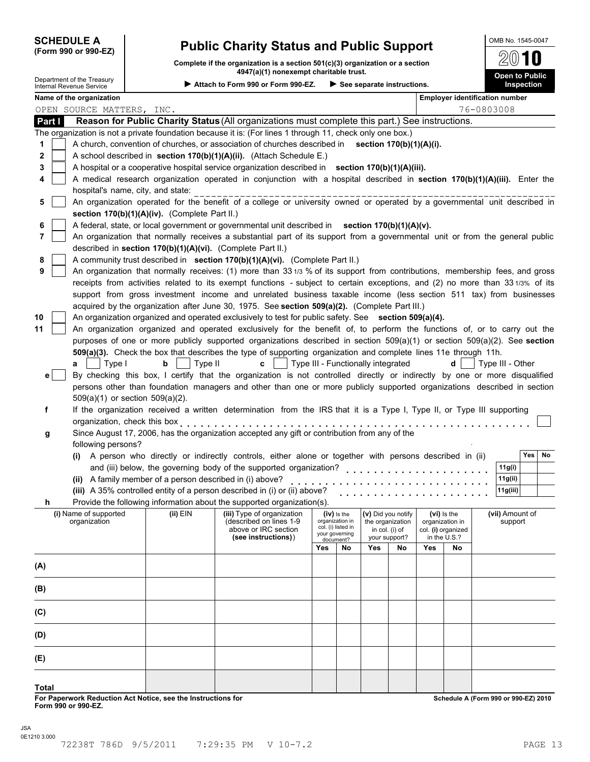# **SCHEDULE A Public Charity Status and Public Support (Form 990 or 990-EZ)**

**Complete if the organization is a section 501(c)(3) organization or a section 4947(a)(1) nonexempt charitable trust.**

| Department of the Treasury<br><b>Internal Revenue Service</b> |                                   |                                                            | 4947 (a)(1) NONEXEMPL CHANGORE LIUSL<br>▶ Attach to Form 990 or Form 990-EZ.                                                 |                                       |                             | $\blacktriangleright$ See separate instructions. |                                 |     |                                       |            |                  | Open to Public<br>Inspection |
|---------------------------------------------------------------|-----------------------------------|------------------------------------------------------------|------------------------------------------------------------------------------------------------------------------------------|---------------------------------------|-----------------------------|--------------------------------------------------|---------------------------------|-----|---------------------------------------|------------|------------------|------------------------------|
| Name of the organization                                      |                                   |                                                            |                                                                                                                              |                                       |                             |                                                  |                                 |     | <b>Employer identification number</b> |            |                  |                              |
|                                                               | OPEN SOURCE MATTERS, INC.         |                                                            |                                                                                                                              |                                       |                             |                                                  |                                 |     |                                       | 76-0803008 |                  |                              |
| Part I                                                        |                                   |                                                            | Reason for Public Charity Status (All organizations must complete this part.) See instructions.                              |                                       |                             |                                                  |                                 |     |                                       |            |                  |                              |
|                                                               |                                   |                                                            | The organization is not a private foundation because it is: (For lines 1 through 11, check only one box.)                    |                                       |                             |                                                  |                                 |     |                                       |            |                  |                              |
| 1                                                             |                                   |                                                            | A church, convention of churches, or association of churches described in section 170(b)(1)(A)(i).                           |                                       |                             |                                                  |                                 |     |                                       |            |                  |                              |
| 2                                                             |                                   |                                                            | A school described in section 170(b)(1)(A)(ii). (Attach Schedule E.)                                                         |                                       |                             |                                                  |                                 |     |                                       |            |                  |                              |
| 3                                                             |                                   |                                                            | A hospital or a cooperative hospital service organization described in section 170(b)(1)(A)(iii).                            |                                       |                             |                                                  |                                 |     |                                       |            |                  |                              |
| 4                                                             |                                   |                                                            | A medical research organization operated in conjunction with a hospital described in section 170(b)(1)(A)(iii). Enter the    |                                       |                             |                                                  |                                 |     |                                       |            |                  |                              |
|                                                               | hospital's name, city, and state: |                                                            |                                                                                                                              |                                       |                             |                                                  |                                 |     |                                       |            |                  |                              |
| 5                                                             |                                   |                                                            | An organization operated for the benefit of a college or university owned or operated by a governmental unit described in    |                                       |                             |                                                  |                                 |     |                                       |            |                  |                              |
|                                                               |                                   | section 170(b)(1)(A)(iv). (Complete Part II.)              |                                                                                                                              |                                       |                             |                                                  |                                 |     |                                       |            |                  |                              |
| 6                                                             |                                   |                                                            | A federal, state, or local government or governmental unit described in section 170(b)(1)(A)(v).                             |                                       |                             |                                                  |                                 |     |                                       |            |                  |                              |
| 7                                                             |                                   |                                                            | An organization that normally receives a substantial part of its support from a governmental unit or from the general public |                                       |                             |                                                  |                                 |     |                                       |            |                  |                              |
|                                                               |                                   | described in section 170(b)(1)(A)(vi). (Complete Part II.) |                                                                                                                              |                                       |                             |                                                  |                                 |     |                                       |            |                  |                              |
| 8                                                             |                                   |                                                            | A community trust described in section 170(b)(1)(A)(vi). (Complete Part II.)                                                 |                                       |                             |                                                  |                                 |     |                                       |            |                  |                              |
| 9                                                             |                                   |                                                            | An organization that normally receives: (1) more than 331/3 % of its support from contributions, membership fees, and gross  |                                       |                             |                                                  |                                 |     |                                       |            |                  |                              |
|                                                               |                                   |                                                            | receipts from activities related to its exempt functions - subject to certain exceptions, and (2) no more than 331/3% of its |                                       |                             |                                                  |                                 |     |                                       |            |                  |                              |
|                                                               |                                   |                                                            | support from gross investment income and unrelated business taxable income (less section 511 tax) from businesses            |                                       |                             |                                                  |                                 |     |                                       |            |                  |                              |
|                                                               |                                   |                                                            | acquired by the organization after June 30, 1975. See section 509(a)(2). (Complete Part III.)                                |                                       |                             |                                                  |                                 |     |                                       |            |                  |                              |
| 10                                                            |                                   |                                                            | An organization organized and operated exclusively to test for public safety. See section 509(a)(4).                         |                                       |                             |                                                  |                                 |     |                                       |            |                  |                              |
| 11                                                            |                                   |                                                            | An organization organized and operated exclusively for the benefit of, to perform the functions of, or to carry out the      |                                       |                             |                                                  |                                 |     |                                       |            |                  |                              |
|                                                               |                                   |                                                            | purposes of one or more publicly supported organizations described in section 509(a)(1) or section 509(a)(2). See section    |                                       |                             |                                                  |                                 |     |                                       |            |                  |                              |
|                                                               |                                   |                                                            | 509(a)(3). Check the box that describes the type of supporting organization and complete lines 11e through 11h.              |                                       |                             |                                                  |                                 |     |                                       |            |                  |                              |
| a                                                             | Type I                            | b<br>Type II                                               | c                                                                                                                            |                                       |                             | Type III - Functionally integrated               |                                 |     | d                                     |            | Type III - Other |                              |
| $\mathbf{e}$                                                  |                                   |                                                            | By checking this box, I certify that the organization is not controlled directly or indirectly by one or more disqualified   |                                       |                             |                                                  |                                 |     |                                       |            |                  |                              |
|                                                               |                                   |                                                            | persons other than foundation managers and other than one or more publicly supported organizations described in section      |                                       |                             |                                                  |                                 |     |                                       |            |                  |                              |
|                                                               | 509(a)(1) or section 509(a)(2).   |                                                            |                                                                                                                              |                                       |                             |                                                  |                                 |     |                                       |            |                  |                              |
| f                                                             |                                   |                                                            | If the organization received a written determination from the IRS that it is a Type I, Type II, or Type III supporting       |                                       |                             |                                                  |                                 |     |                                       |            |                  |                              |
|                                                               | organization, check this box      |                                                            |                                                                                                                              |                                       |                             |                                                  |                                 |     |                                       |            |                  |                              |
| g                                                             |                                   |                                                            | Since August 17, 2006, has the organization accepted any gift or contribution from any of the                                |                                       |                             |                                                  |                                 |     |                                       |            |                  |                              |
|                                                               | following persons?                |                                                            |                                                                                                                              |                                       |                             |                                                  |                                 |     |                                       |            |                  |                              |
|                                                               |                                   |                                                            | (i) A person who directly or indirectly controls, either alone or together with persons described in (ii)                    |                                       |                             |                                                  |                                 |     |                                       |            |                  | Yes<br>No                    |
|                                                               |                                   |                                                            | and (iii) below, the governing body of the supported organization?                                                           |                                       |                             | .                                                |                                 |     |                                       |            | 11g(i)           |                              |
|                                                               |                                   | (ii) A family member of a person described in (i) above?   |                                                                                                                              |                                       |                             |                                                  |                                 |     |                                       |            | 11g(ii)          |                              |
|                                                               |                                   |                                                            | (iii) A 35% controlled entity of a person described in (i) or (ii) above?                                                    |                                       |                             |                                                  |                                 |     |                                       |            | 11g(iii)         |                              |
| n                                                             |                                   |                                                            | Provide the following information about the supported organization(s).                                                       |                                       |                             |                                                  |                                 |     |                                       |            |                  |                              |
|                                                               | (i) Name of supported             | (ii) EIN                                                   | (iii) Type of organization                                                                                                   |                                       | $(iv)$ is the               |                                                  | (v) Did you notify              |     | $(vi)$ is the                         |            | (vii) Amount of  |                              |
|                                                               | organization                      |                                                            | (described on lines 1-9                                                                                                      | organization in<br>col. (i) listed in |                             |                                                  | the organization                |     | organization in                       |            | support          |                              |
|                                                               |                                   |                                                            | above or IRC section<br>(see instructions))                                                                                  |                                       | your governing<br>document? |                                                  | in col. (i) of<br>your support? |     | col. (i) organized<br>in the U.S.?    |            |                  |                              |
|                                                               |                                   |                                                            |                                                                                                                              | Yes                                   | No                          | Yes                                              | No                              | Yes | No                                    |            |                  |                              |
|                                                               |                                   |                                                            |                                                                                                                              |                                       |                             |                                                  |                                 |     |                                       |            |                  |                              |
| (A)                                                           |                                   |                                                            |                                                                                                                              |                                       |                             |                                                  |                                 |     |                                       |            |                  |                              |
|                                                               |                                   |                                                            |                                                                                                                              |                                       |                             |                                                  |                                 |     |                                       |            |                  |                              |
| (B)                                                           |                                   |                                                            |                                                                                                                              |                                       |                             |                                                  |                                 |     |                                       |            |                  |                              |
|                                                               |                                   |                                                            |                                                                                                                              |                                       |                             |                                                  |                                 |     |                                       |            |                  |                              |
| (C)                                                           |                                   |                                                            |                                                                                                                              |                                       |                             |                                                  |                                 |     |                                       |            |                  |                              |
|                                                               |                                   |                                                            |                                                                                                                              |                                       |                             |                                                  |                                 |     |                                       |            |                  |                              |
| (D)                                                           |                                   |                                                            |                                                                                                                              |                                       |                             |                                                  |                                 |     |                                       |            |                  |                              |
|                                                               |                                   |                                                            |                                                                                                                              |                                       |                             |                                                  |                                 |     |                                       |            |                  |                              |
| (E)                                                           |                                   |                                                            |                                                                                                                              |                                       |                             |                                                  |                                 |     |                                       |            |                  |                              |
|                                                               |                                   |                                                            |                                                                                                                              |                                       |                             |                                                  |                                 |     |                                       |            |                  |                              |

**Total**

**For Paperwork Reduction Act Notice, see the Instructions for Form 990 or 990-EZ.**

**Schedule A (Form 990 or 990-EZ) 2010**

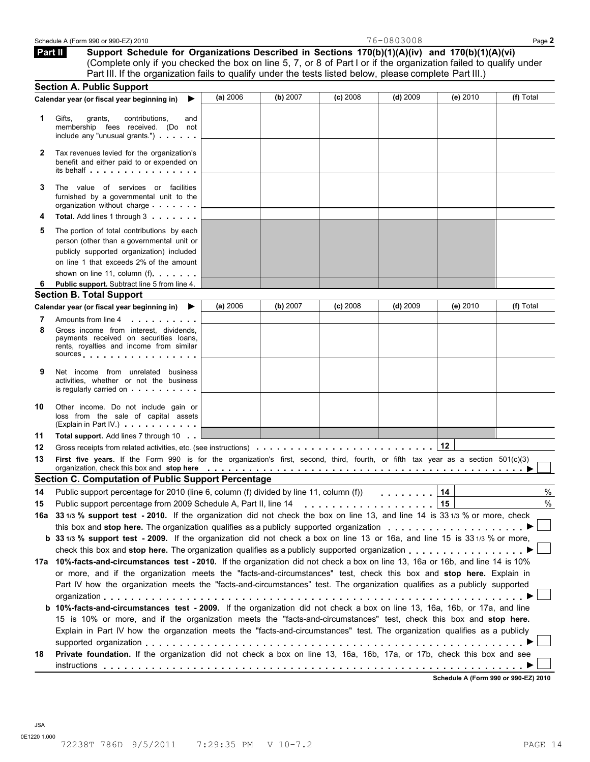| Schedule A (Form 990 or 990-EZ) 2010 | 76-0803008 | $\mathsf{Page}\,$ |
|--------------------------------------|------------|-------------------|
|                                      |            |                   |

**Support Schedule for Organizations Described in Sections 170(b)(1)(A)(iv) and 170(b)(1)(A)(vi)** (Complete only if you checked the box on line 5, 7, or 8 of Part I or if the organization failed to qualify under Part III. If the organization fails to qualify under the tests listed below, please complete Part III.)  **Part II** 

|          | <b>Section A. Public Support</b>                                                                                                                                                                                                                                                  |          |          |            |            |            |           |
|----------|-----------------------------------------------------------------------------------------------------------------------------------------------------------------------------------------------------------------------------------------------------------------------------------|----------|----------|------------|------------|------------|-----------|
|          | Calendar year (or fiscal year beginning in)<br>▶                                                                                                                                                                                                                                  | (a) 2006 | (b) 2007 | $(c)$ 2008 | $(d)$ 2009 | (e) $2010$ | (f) Total |
| 1.       | Gifts,<br>grants,<br>contributions.<br>and<br>membership fees received. (Do not<br>include any "unusual grants.")                                                                                                                                                                 |          |          |            |            |            |           |
| 2        | Tax revenues levied for the organization's<br>benefit and either paid to or expended on<br>its behalf entertainment and the set of the set of the set of the set of the set of the set of the set of the                                                                          |          |          |            |            |            |           |
| 3        | The value of services or facilities<br>furnished by a governmental unit to the<br>organization without charge                                                                                                                                                                     |          |          |            |            |            |           |
| 4        | Total. Add lines 1 through 3                                                                                                                                                                                                                                                      |          |          |            |            |            |           |
| 5        | The portion of total contributions by each<br>person (other than a governmental unit or<br>publicly supported organization) included<br>on line 1 that exceeds 2% of the amount<br>shown on line 11, column (f)                                                                   |          |          |            |            |            |           |
| 6        | Public support. Subtract line 5 from line 4.                                                                                                                                                                                                                                      |          |          |            |            |            |           |
|          | <b>Section B. Total Support</b>                                                                                                                                                                                                                                                   |          |          |            |            |            |           |
|          | Calendar year (or fiscal year beginning in)<br>▸                                                                                                                                                                                                                                  | (a) 2006 | (b) 2007 | (c) 2008   | $(d)$ 2009 | (e) 2010   | (f) Total |
| 7        | Amounts from line 4<br>.                                                                                                                                                                                                                                                          |          |          |            |            |            |           |
| 8        | Gross income from interest, dividends,<br>payments received on securities loans,<br>rents, royalties and income from similar<br>sources and the set of the set of the set of the set of the set of the set of the set of the set of the set of                                    |          |          |            |            |            |           |
| 9        | Net income from unrelated business<br>activities, whether or not the business<br>is regularly carried on <b>containing</b> is regularly carried on                                                                                                                                |          |          |            |            |            |           |
| 10       | Other income. Do not include gain or<br>loss from the sale of capital assets<br>(Explain in Part IV.)                                                                                                                                                                             |          |          |            |            |            |           |
| 11       | <b>Total support.</b> Add lines 7 through 10                                                                                                                                                                                                                                      |          |          |            |            |            |           |
| 12       | Gross receipts from related activities, etc. (see instructions)                                                                                                                                                                                                                   |          |          |            |            | 12         |           |
| 13       | First five years. If the Form 990 is for the organization's first, second, third, fourth, or fifth tax year as a section 501(c)(3)<br>organization, check this box and stop here entirially respectively respectively and stop here entirely and stop here entirely respectively. |          |          |            |            |            |           |
|          |                                                                                                                                                                                                                                                                                   |          |          |            |            |            |           |
|          | <b>Section C. Computation of Public Support Percentage</b>                                                                                                                                                                                                                        |          |          |            |            |            |           |
|          | Public support percentage for 2010 (line 6, column (f) divided by line 11, column (f))                                                                                                                                                                                            |          |          |            | .          | 14         | $\%$      |
|          |                                                                                                                                                                                                                                                                                   |          |          |            |            | 15         | %         |
|          | 16a 331/3 % support test - 2010. If the organization did not check the box on line 13, and line 14 is 331/3 % or more, check                                                                                                                                                      |          |          |            |            |            |           |
|          |                                                                                                                                                                                                                                                                                   |          |          |            |            |            |           |
|          | b 33 1/3 % support test - 2009. If the organization did not check a box on line 13 or 16a, and line 15 is 33 1/3 % or more,                                                                                                                                                       |          |          |            |            |            |           |
|          |                                                                                                                                                                                                                                                                                   |          |          |            |            |            |           |
|          | 17a 10%-facts-and-circumstances test - 2010. If the organization did not check a box on line 13, 16a or 16b, and line 14 is 10%                                                                                                                                                   |          |          |            |            |            |           |
|          | or more, and if the organization meets the "facts-and-circumstances" test, check this box and stop here. Explain in<br>Part IV how the organization meets the "facts-and-circumstances" test. The organization qualifies as a publicly supported                                  |          |          |            |            |            |           |
|          | b 10%-facts-and-circumstances test - 2009. If the organization did not check a box on line 13, 16a, 16b, or 17a, and line                                                                                                                                                         |          |          |            |            |            |           |
| 14<br>15 | 15 is 10% or more, and if the organization meets the "facts-and-circumstances" test, check this box and stop here.<br>Explain in Part IV how the organzation meets the "facts-and-circumstances" test. The organization qualifies as a publicly                                   |          |          |            |            |            |           |
| 18       | Private foundation. If the organization did not check a box on line 13, 16a, 16b, 17a, or 17b, check this box and see                                                                                                                                                             |          |          |            |            |            |           |

JSA 0E1220 1.000 72238T 786D 9/5/2011 7:29:35 PM V 10-7.2 PAGE 14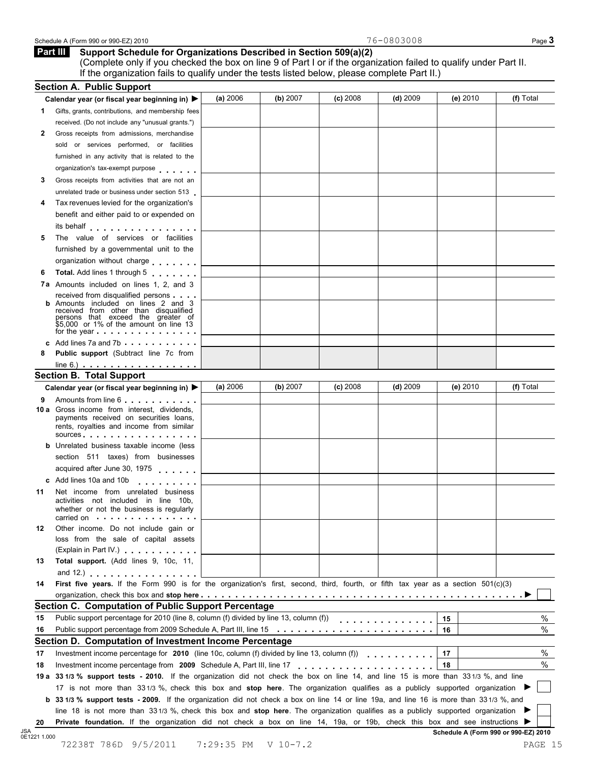#### Schedule A (Form 990 or 990-EZ) 2010 Page **3**

| <b>Part III</b> Support Schedule for Organizations Described in Section 509(a)(2) |
|-----------------------------------------------------------------------------------|
|                                                                                   |

(Complete only if you checked the box on line 9 of Part I or if the organization failed to qualify under Part II. If the organization fails to qualify under the tests listed below, please complete Part II.)

| 1. | Calendar year (or fiscal year beginning in) ▶                                                                                                                                                                                                                              | (a) 2006 | (b) $2007$ | $(c)$ 2008 | (d) $2009$ | (e) 2010 | (f) Total |
|----|----------------------------------------------------------------------------------------------------------------------------------------------------------------------------------------------------------------------------------------------------------------------------|----------|------------|------------|------------|----------|-----------|
|    | Gifts, grants, contributions, and membership fees                                                                                                                                                                                                                          |          |            |            |            |          |           |
|    | received. (Do not include any "unusual grants.")                                                                                                                                                                                                                           |          |            |            |            |          |           |
| 2  | Gross receipts from admissions, merchandise                                                                                                                                                                                                                                |          |            |            |            |          |           |
|    | sold or services performed, or facilities                                                                                                                                                                                                                                  |          |            |            |            |          |           |
|    | furnished in any activity that is related to the                                                                                                                                                                                                                           |          |            |            |            |          |           |
|    | organization's tax-exempt purpose                                                                                                                                                                                                                                          |          |            |            |            |          |           |
| 3  | Gross receipts from activities that are not an                                                                                                                                                                                                                             |          |            |            |            |          |           |
|    | unrelated trade or business under section 513                                                                                                                                                                                                                              |          |            |            |            |          |           |
| 4  | Tax revenues levied for the organization's                                                                                                                                                                                                                                 |          |            |            |            |          |           |
|    | benefit and either paid to or expended on                                                                                                                                                                                                                                  |          |            |            |            |          |           |
|    | its behalf enterprise that is a set of the set of the set of the set of the set of the set of the set of the s                                                                                                                                                             |          |            |            |            |          |           |
| 5  | The value of services or facilities                                                                                                                                                                                                                                        |          |            |            |            |          |           |
|    | furnished by a governmental unit to the                                                                                                                                                                                                                                    |          |            |            |            |          |           |
|    | organization without charge                                                                                                                                                                                                                                                |          |            |            |            |          |           |
| 6  | Total. Add lines 1 through 5                                                                                                                                                                                                                                               |          |            |            |            |          |           |
|    | 7a Amounts included on lines 1, 2, and 3                                                                                                                                                                                                                                   |          |            |            |            |          |           |
|    | received from disqualified persons                                                                                                                                                                                                                                         |          |            |            |            |          |           |
|    | <b>b</b> Amounts included on lines 2 and 3<br>received from other than disqualified                                                                                                                                                                                        |          |            |            |            |          |           |
|    | persons that exceed the greater of                                                                                                                                                                                                                                         |          |            |            |            |          |           |
|    | \$5,000 or 1% of the amount on line 13<br>for the year entitled to the set of the year.                                                                                                                                                                                    |          |            |            |            |          |           |
|    | c Add lines 7a and 7b                                                                                                                                                                                                                                                      |          |            |            |            |          |           |
| 8  | Public support (Subtract line 7c from                                                                                                                                                                                                                                      |          |            |            |            |          |           |
|    | $line 6.)$ $\ldots$ $\ldots$ $\ldots$ $\ldots$ $\ldots$ $\ldots$ $\ldots$                                                                                                                                                                                                  |          |            |            |            |          |           |
|    | <b>Section B. Total Support</b>                                                                                                                                                                                                                                            |          |            |            |            |          |           |
|    | Calendar year (or fiscal year beginning in) ▶                                                                                                                                                                                                                              | (a) 2006 | (b) $2007$ | $(c)$ 2008 | $(d)$ 2009 | (e) 2010 | (f) Total |
| 9  | Amounts from line 6                                                                                                                                                                                                                                                        |          |            |            |            |          |           |
|    | <b>10 a</b> Gross income from interest, dividends,                                                                                                                                                                                                                         |          |            |            |            |          |           |
|    | payments received on securities loans,                                                                                                                                                                                                                                     |          |            |            |            |          |           |
|    | rents, royalties and income from similar<br>sources entering the set of the set of the set of the set of the set of the set of the set of the set of the set of the set of the set of the set of the set of the set of the set of the set of the set of the set of the set |          |            |            |            |          |           |
|    | <b>b</b> Unrelated business taxable income (less                                                                                                                                                                                                                           |          |            |            |            |          |           |
|    | section 511 taxes) from businesses                                                                                                                                                                                                                                         |          |            |            |            |          |           |
|    |                                                                                                                                                                                                                                                                            |          |            |            |            |          |           |
|    |                                                                                                                                                                                                                                                                            |          |            |            |            |          |           |
|    | acquired after June 30, 1975                                                                                                                                                                                                                                               |          |            |            |            |          |           |
|    | c Add lines 10a and 10b<br>.                                                                                                                                                                                                                                               |          |            |            |            |          |           |
| 11 | Net income from unrelated business                                                                                                                                                                                                                                         |          |            |            |            |          |           |
|    | activities not included in line 10b,<br>whether or not the business is regularly                                                                                                                                                                                           |          |            |            |            |          |           |
|    | carried on experience and the set of the set of the set of the set of the set of the set of the set of the set of the set of the set of the set of the set of the set of the set of the set of the set of the set of the set o                                             |          |            |            |            |          |           |
| 12 | Other income. Do not include gain or                                                                                                                                                                                                                                       |          |            |            |            |          |           |
|    | loss from the sale of capital assets                                                                                                                                                                                                                                       |          |            |            |            |          |           |
|    | (Explain in Part IV.) <b>All Accords</b>                                                                                                                                                                                                                                   |          |            |            |            |          |           |
| 13 | Total support. (Add lines 9, 10c, 11,                                                                                                                                                                                                                                      |          |            |            |            |          |           |
|    | and 12.) $\cdots$ $\cdots$ $\cdots$ $\cdots$                                                                                                                                                                                                                               |          |            |            |            |          |           |
| 14 | First five years. If the Form 990 is for the organization's first, second, third, fourth, or fifth tax year as a section 501(c)(3)                                                                                                                                         |          |            |            |            |          |           |
|    |                                                                                                                                                                                                                                                                            |          |            |            |            |          |           |
|    | Section C. Computation of Public Support Percentage                                                                                                                                                                                                                        |          |            |            |            |          |           |
| 15 | Public support percentage for 2010 (line 8, column (f) divided by line 13, column (f))                                                                                                                                                                                     |          |            |            | .          | 15       | $\%$      |
| 16 |                                                                                                                                                                                                                                                                            |          |            |            |            | 16       | $\%$      |
|    | Section D. Computation of Investment Income Percentage                                                                                                                                                                                                                     |          |            |            |            |          |           |
| 17 | Investment income percentage for 2010 (line 10c, column (f) divided by line 13, column (f)                                                                                                                                                                                 |          |            |            |            | 17       |           |
| 18 | Investment income percentage from 2009 Schedule A, Part III, line 17                                                                                                                                                                                                       |          |            |            |            | 18       |           |
|    | 19 a 33 1/3 % support tests - 2010. If the organization did not check the box on line 14, and line 15 is more than 33 1/3 %, and line                                                                                                                                      |          |            |            |            |          |           |
|    | 17 is not more than 331/3 %, check this box and stop here. The organization qualifies as a publicly supported organization                                                                                                                                                 |          |            |            |            |          | %<br>$\%$ |
|    | <b>b</b> 33 1/3 % support tests - 2009. If the organization did not check a box on line 14 or line 19a, and line 16 is more than 33 1/3 %, and                                                                                                                             |          |            |            |            |          |           |
|    | line 18 is not more than 331/3 %, check this box and stop here. The organization qualifies as a publicly supported organization                                                                                                                                            |          |            |            |            |          |           |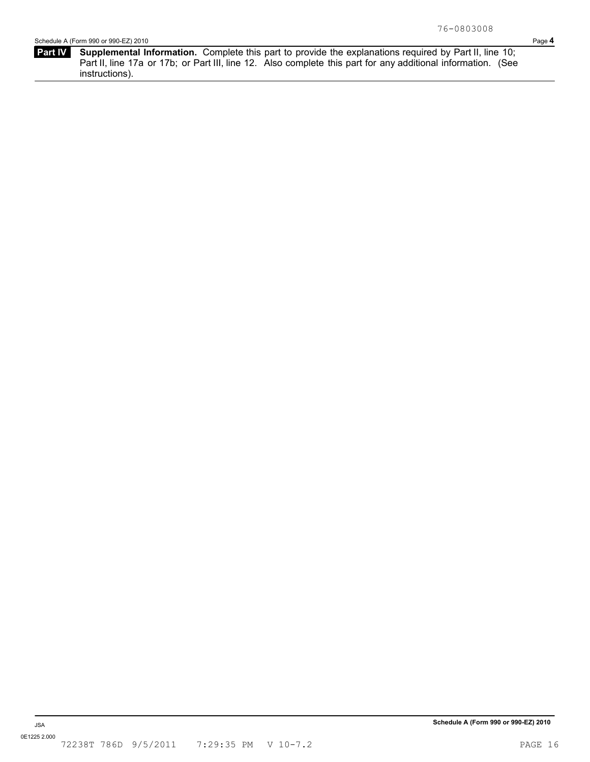**Part IV** Supplemental Information. Complete this part to provide the explanations required by Part II, line 10; Part II, line 17a or 17b; or Part III, line 12. Also complete this part for any additional information. (See instructions).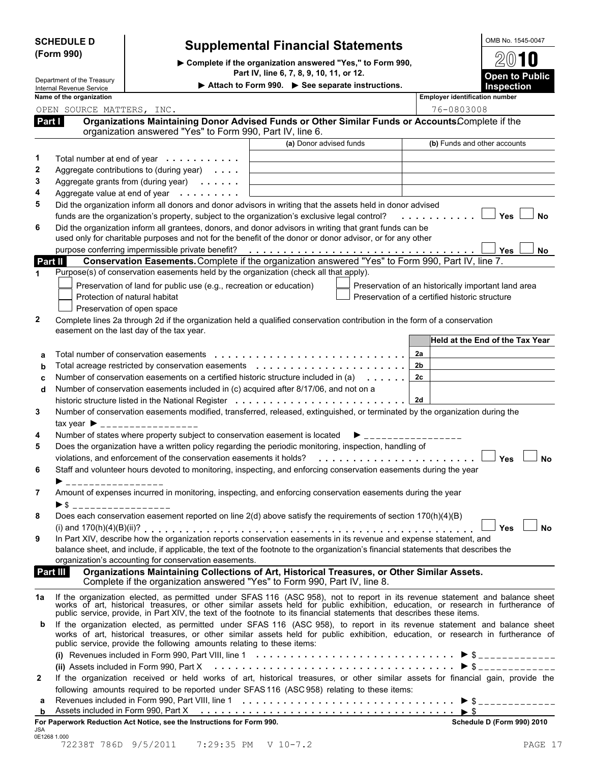| <b>SCHEDULE D</b> |  |
|-------------------|--|
| (Form 990)        |  |

# **Supplemental Financial Statements**

I**Complete if the organization answered "Yes," to Form 990, Part IV, line 6, 7, 8, 9, 10, 11, or 12.**

**Department of the Treasury Internal Revenue Service Comment of the Treasury Internal Revenue Service** 

| <b>Open to Public</b><br><b>Inspection</b> |
|--------------------------------------------|
| $2(0)$ 1 0                                 |
| OMB No. 1545-0047                          |
|                                            |

 $\mathbf{I}$ 

| Name of the organization                                                                                                                                                                                                           | <b>Employer identification number</b>               |
|------------------------------------------------------------------------------------------------------------------------------------------------------------------------------------------------------------------------------------|-----------------------------------------------------|
| OPEN SOURCE MATTERS, INC.                                                                                                                                                                                                          | 76-0803008                                          |
| Organizations Maintaining Donor Advised Funds or Other Similar Funds or AccountsComplete if the<br>Part I<br>organization answered "Yes" to Form 990, Part IV, line 6.                                                             |                                                     |
| (a) Donor advised funds                                                                                                                                                                                                            | (b) Funds and other accounts                        |
| Total number at end of year                                                                                                                                                                                                        |                                                     |
| Aggregate contributions to (during year)                                                                                                                                                                                           |                                                     |
| Aggregate grants from (during year)                                                                                                                                                                                                |                                                     |
| Aggregate value at end of year                                                                                                                                                                                                     |                                                     |
| Did the organization inform all donors and donor advisors in writing that the assets held in donor advised                                                                                                                         |                                                     |
| funds are the organization's property, subject to the organization's exclusive legal control?                                                                                                                                      | Yes<br><u>. 1</u><br><b>No</b>                      |
| Did the organization inform all grantees, donors, and donor advisors in writing that grant funds can be                                                                                                                            |                                                     |
| used only for charitable purposes and not for the benefit of the donor or donor advisor, or for any other                                                                                                                          |                                                     |
|                                                                                                                                                                                                                                    | Yes<br>No                                           |
| Conservation Easements. Complete if the organization answered "Yes" to Form 990, Part IV, line 7.<br>Part II                                                                                                                       |                                                     |
| Purpose(s) of conservation easements held by the organization (check all that apply).                                                                                                                                              |                                                     |
| Preservation of land for public use (e.g., recreation or education)                                                                                                                                                                | Preservation of an historically important land area |
| Protection of natural habitat                                                                                                                                                                                                      | Preservation of a certified historic structure      |
| Preservation of open space                                                                                                                                                                                                         |                                                     |
| Complete lines 2a through 2d if the organization held a qualified conservation contribution in the form of a conservation                                                                                                          |                                                     |
| easement on the last day of the tax year.                                                                                                                                                                                          |                                                     |
|                                                                                                                                                                                                                                    | Held at the End of the Tax Year                     |
|                                                                                                                                                                                                                                    | 2a                                                  |
| Total acreage restricted by conservation easements <b>Fig. 1.</b> All Allergian Acreage in the set of the set of the set of the set of the set of the set of the set of the set of the set of the set of the set of the set of the | 2b                                                  |
| Number of conservation easements on a certified historic structure included in (a)                                                                                                                                                 | 2c                                                  |
| Number of conservation easements included in (c) acquired after 8/17/06, and not on a                                                                                                                                              |                                                     |
|                                                                                                                                                                                                                                    | 2d                                                  |
| Number of conservation easements modified, transferred, released, extinguished, or terminated by the organization during the                                                                                                       |                                                     |
| tax year $\triangleright$ __________________                                                                                                                                                                                       |                                                     |
| Number of states where property subject to conservation easement is located<br>$\blacktriangleright$ $\lrcorner$ $\lrcorner$ $\lrcorner$                                                                                           |                                                     |
| Does the organization have a written policy regarding the periodic monitoring, inspection, handling of                                                                                                                             |                                                     |
| violations, and enforcement of the conservation easements it holds?                                                                                                                                                                | Yes<br><b>No</b>                                    |
| Staff and volunteer hours devoted to monitoring, inspecting, and enforcing conservation easements during the year                                                                                                                  |                                                     |
| _____________<br>Amount of expenses incurred in monitoring, inspecting, and enforcing conservation easements during the year                                                                                                       |                                                     |
| $\triangleright$ \$ ____________________                                                                                                                                                                                           |                                                     |
| Does each conservation easement reported on line 2(d) above satisfy the requirements of section 170(h)(4)(B)                                                                                                                       |                                                     |
|                                                                                                                                                                                                                                    |                                                     |
| In Part XIV, describe how the organization reports conservation easements in its revenue and expense statement, and                                                                                                                |                                                     |
| balance sheet, and include, if applicable, the text of the footnote to the organization's financial statements that describes the                                                                                                  |                                                     |
| organization's accounting for conservation easements.                                                                                                                                                                              |                                                     |
| Part III<br>Organizations Maintaining Collections of Art, Historical Treasures, or Other Similar Assets.<br>Complete if the organization answered "Yes" to Form 990, Part IV, line 8.                                              |                                                     |
| If the organization elected, as permitted under SFAS 116 (ASC 958), not to report in its revenue statement and balance sheet<br>1a                                                                                                 |                                                     |
| works of art, historical treasures, or other similar assets held for public exhibition, education, or research in furtherance of public service, provide, in Part XIV, the text of the footnote to its financial statements th     |                                                     |
| If the organization elected, as permitted under SFAS 116 (ASC 958), to report in its revenue statement and balance sheet<br>b                                                                                                      |                                                     |
| works of art, historical treasures, or other similar assets held for public exhibition, education, or research in furtherance of<br>public service, provide the following amounts relating to these items:                         |                                                     |
| (i) Revenues included in Form 990, Part VIII, line 1 $\ldots \ldots \ldots \ldots \ldots \ldots \ldots \ldots \ldots \vdots$                                                                                                       |                                                     |
| (ii) Assets included in Form 990, Part X $\ldots \ldots \ldots \ldots \ldots \ldots \ldots \ldots \ldots \ldots \ldots \ldots$ ► \$ $\downarrow$                                                                                   |                                                     |
| If the organization received or held works of art, historical treasures, or other similar assets for financial gain, provide the                                                                                                   |                                                     |
| following amounts required to be reported under SFAS116 (ASC958) relating to these items:                                                                                                                                          |                                                     |
| а<br>b                                                                                                                                                                                                                             |                                                     |
|                                                                                                                                                                                                                                    |                                                     |
| For Paperwork Reduction Act Notice, see the Instructions for Form 990.<br>JSA                                                                                                                                                      | Schedule D (Form 990) 2010                          |
| 0E1268 1.000<br>72238T 786D 9/5/2011 7:29:35 PM V 10-7.2                                                                                                                                                                           | PAGE 17                                             |
|                                                                                                                                                                                                                                    |                                                     |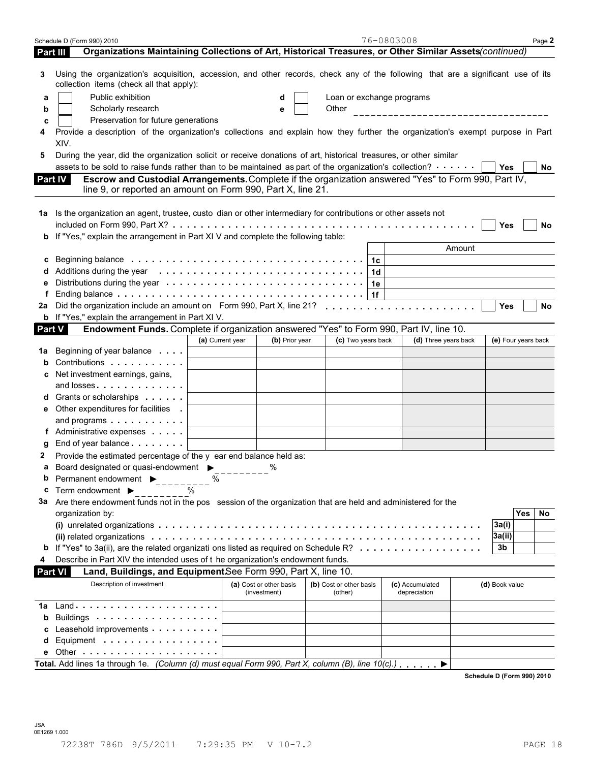| Organizations Maintaining Collections of Art, Historical Treasures, or Other Similar Assets(continued)<br>Part III<br>Using the organization's acquisition, accession, and other records, check any of the following that are a significant use of its<br>З<br>collection items (check all that apply):<br>Public exhibition<br>Loan or exchange programs<br>d<br>а<br>Other<br>Scholarly research<br>_________________________________<br>b<br>е<br>Preservation for future generations<br>c<br>Provide a description of the organization's collections and explain how they further the organization's exempt purpose in Part<br>XIV.<br>During the year, did the organization solicit or receive donations of art, historical treasures, or other similar<br>5<br>assets to be sold to raise funds rather than to be maintained as part of the organization's collection? $\cdots$<br>Yes<br>No.<br>Escrow and Custodial Arrangements. Complete if the organization answered "Yes" to Form 990, Part IV,<br><b>Part IV</b><br>line 9, or reported an amount on Form 990, Part X, line 21.<br>1a Is the organization an agent, trustee, custo dian or other intermediary for contributions or other assets not<br>Yes<br>No<br>If "Yes," explain the arrangement in Part XI V and complete the following table:<br>b<br>Amount<br>1c<br>c<br>1d<br>1e<br>1f<br>f<br>Did the organization include an amount on Form 990, Part X, line 21?<br><b>Yes</b><br><b>No</b><br>2a<br><b>b</b> If "Yes," explain the arrangement in Part XI V.<br>Endowment Funds. Complete if organization answered "Yes" to Form 990, Part IV, line 10.<br><b>Part V</b><br>(c) Two years back<br>(d) Three years back<br>(a) Current year<br>(b) Prior year<br>(e) Four years back<br>Beginning of year balance<br>1a<br>Contributions<br>b<br>Net investment earnings, gains,<br>and losses<br>Grants or scholarships <b>State of State State</b><br>a<br>Other expenditures for facilities<br>е<br>and programs<br>f Administrative expenses<br>End of year balance expansion of year balance<br>g<br>Provide the estimated percentage of the y ear end balance held as:<br>2<br>Board designated or quasi-endowment $\triangleright$ %<br>Permanent endowment ▶<br>b<br>℅<br>Term endowment $\blacktriangleright$<br>%<br>с<br>3a Are there endowment funds not in the pos session of the organization that are held and administered for the<br>Yes<br>No<br>organization by:<br>3a(i)<br>3a(ii)<br>If "Yes" to 3a(ii), are the related organizati ons listed as required on Schedule R?<br>3b<br>b<br>Describe in Part XIV the intended uses of t he organization's endowment funds.<br>4<br>Land, Buildings, and EquipmentSee Form 990, Part X, line 10.<br><b>Part VI</b><br>Description of investment<br>(a) Cost or other basis<br>(b) Cost or other basis<br>(c) Accumulated<br>(d) Book value<br>(investment)<br>(other)<br>depreciation<br>1a<br>Buildings<br>b<br>Leasehold improvements expressions are all the set of the set of the set of the set of the set of the set of the set of the set of the set of the set of the set of the set of the set of the set of the set of the set of the<br>Equipment<br>d<br>Total. Add lines 1a through 1e. (Column (d) must equal Form 990, Part X, column (B), line $10(c)$ .) | Schedule D (Form 990) 2010 |  | 76-0803008 | Page 2 |
|---------------------------------------------------------------------------------------------------------------------------------------------------------------------------------------------------------------------------------------------------------------------------------------------------------------------------------------------------------------------------------------------------------------------------------------------------------------------------------------------------------------------------------------------------------------------------------------------------------------------------------------------------------------------------------------------------------------------------------------------------------------------------------------------------------------------------------------------------------------------------------------------------------------------------------------------------------------------------------------------------------------------------------------------------------------------------------------------------------------------------------------------------------------------------------------------------------------------------------------------------------------------------------------------------------------------------------------------------------------------------------------------------------------------------------------------------------------------------------------------------------------------------------------------------------------------------------------------------------------------------------------------------------------------------------------------------------------------------------------------------------------------------------------------------------------------------------------------------------------------------------------------------------------------------------------------------------------------------------------------------------------------------------------------------------------------------------------------------------------------------------------------------------------------------------------------------------------------------------------------------------------------------------------------------------------------------------------------------------------------------------------------------------------------------------------------------------------------------------------------------------------------------------------------------------------------------------------------------------------------------------------------------------------------------------------------------------------------------------------------------------------------------------------------------------------------------------------------------------------------------------------------------------------------------------------------------------------------------------------------------------------------------------------------------------------------------------------------------------------------------------------------------------------------------------------------------------------------------------------------------------------------------------------------------------------------|----------------------------|--|------------|--------|
|                                                                                                                                                                                                                                                                                                                                                                                                                                                                                                                                                                                                                                                                                                                                                                                                                                                                                                                                                                                                                                                                                                                                                                                                                                                                                                                                                                                                                                                                                                                                                                                                                                                                                                                                                                                                                                                                                                                                                                                                                                                                                                                                                                                                                                                                                                                                                                                                                                                                                                                                                                                                                                                                                                                                                                                                                                                                                                                                                                                                                                                                                                                                                                                                                                                                                                                     |                            |  |            |        |
|                                                                                                                                                                                                                                                                                                                                                                                                                                                                                                                                                                                                                                                                                                                                                                                                                                                                                                                                                                                                                                                                                                                                                                                                                                                                                                                                                                                                                                                                                                                                                                                                                                                                                                                                                                                                                                                                                                                                                                                                                                                                                                                                                                                                                                                                                                                                                                                                                                                                                                                                                                                                                                                                                                                                                                                                                                                                                                                                                                                                                                                                                                                                                                                                                                                                                                                     |                            |  |            |        |
|                                                                                                                                                                                                                                                                                                                                                                                                                                                                                                                                                                                                                                                                                                                                                                                                                                                                                                                                                                                                                                                                                                                                                                                                                                                                                                                                                                                                                                                                                                                                                                                                                                                                                                                                                                                                                                                                                                                                                                                                                                                                                                                                                                                                                                                                                                                                                                                                                                                                                                                                                                                                                                                                                                                                                                                                                                                                                                                                                                                                                                                                                                                                                                                                                                                                                                                     |                            |  |            |        |
|                                                                                                                                                                                                                                                                                                                                                                                                                                                                                                                                                                                                                                                                                                                                                                                                                                                                                                                                                                                                                                                                                                                                                                                                                                                                                                                                                                                                                                                                                                                                                                                                                                                                                                                                                                                                                                                                                                                                                                                                                                                                                                                                                                                                                                                                                                                                                                                                                                                                                                                                                                                                                                                                                                                                                                                                                                                                                                                                                                                                                                                                                                                                                                                                                                                                                                                     |                            |  |            |        |
|                                                                                                                                                                                                                                                                                                                                                                                                                                                                                                                                                                                                                                                                                                                                                                                                                                                                                                                                                                                                                                                                                                                                                                                                                                                                                                                                                                                                                                                                                                                                                                                                                                                                                                                                                                                                                                                                                                                                                                                                                                                                                                                                                                                                                                                                                                                                                                                                                                                                                                                                                                                                                                                                                                                                                                                                                                                                                                                                                                                                                                                                                                                                                                                                                                                                                                                     |                            |  |            |        |
|                                                                                                                                                                                                                                                                                                                                                                                                                                                                                                                                                                                                                                                                                                                                                                                                                                                                                                                                                                                                                                                                                                                                                                                                                                                                                                                                                                                                                                                                                                                                                                                                                                                                                                                                                                                                                                                                                                                                                                                                                                                                                                                                                                                                                                                                                                                                                                                                                                                                                                                                                                                                                                                                                                                                                                                                                                                                                                                                                                                                                                                                                                                                                                                                                                                                                                                     |                            |  |            |        |
|                                                                                                                                                                                                                                                                                                                                                                                                                                                                                                                                                                                                                                                                                                                                                                                                                                                                                                                                                                                                                                                                                                                                                                                                                                                                                                                                                                                                                                                                                                                                                                                                                                                                                                                                                                                                                                                                                                                                                                                                                                                                                                                                                                                                                                                                                                                                                                                                                                                                                                                                                                                                                                                                                                                                                                                                                                                                                                                                                                                                                                                                                                                                                                                                                                                                                                                     |                            |  |            |        |
|                                                                                                                                                                                                                                                                                                                                                                                                                                                                                                                                                                                                                                                                                                                                                                                                                                                                                                                                                                                                                                                                                                                                                                                                                                                                                                                                                                                                                                                                                                                                                                                                                                                                                                                                                                                                                                                                                                                                                                                                                                                                                                                                                                                                                                                                                                                                                                                                                                                                                                                                                                                                                                                                                                                                                                                                                                                                                                                                                                                                                                                                                                                                                                                                                                                                                                                     |                            |  |            |        |
|                                                                                                                                                                                                                                                                                                                                                                                                                                                                                                                                                                                                                                                                                                                                                                                                                                                                                                                                                                                                                                                                                                                                                                                                                                                                                                                                                                                                                                                                                                                                                                                                                                                                                                                                                                                                                                                                                                                                                                                                                                                                                                                                                                                                                                                                                                                                                                                                                                                                                                                                                                                                                                                                                                                                                                                                                                                                                                                                                                                                                                                                                                                                                                                                                                                                                                                     |                            |  |            |        |
|                                                                                                                                                                                                                                                                                                                                                                                                                                                                                                                                                                                                                                                                                                                                                                                                                                                                                                                                                                                                                                                                                                                                                                                                                                                                                                                                                                                                                                                                                                                                                                                                                                                                                                                                                                                                                                                                                                                                                                                                                                                                                                                                                                                                                                                                                                                                                                                                                                                                                                                                                                                                                                                                                                                                                                                                                                                                                                                                                                                                                                                                                                                                                                                                                                                                                                                     |                            |  |            |        |
|                                                                                                                                                                                                                                                                                                                                                                                                                                                                                                                                                                                                                                                                                                                                                                                                                                                                                                                                                                                                                                                                                                                                                                                                                                                                                                                                                                                                                                                                                                                                                                                                                                                                                                                                                                                                                                                                                                                                                                                                                                                                                                                                                                                                                                                                                                                                                                                                                                                                                                                                                                                                                                                                                                                                                                                                                                                                                                                                                                                                                                                                                                                                                                                                                                                                                                                     |                            |  |            |        |
|                                                                                                                                                                                                                                                                                                                                                                                                                                                                                                                                                                                                                                                                                                                                                                                                                                                                                                                                                                                                                                                                                                                                                                                                                                                                                                                                                                                                                                                                                                                                                                                                                                                                                                                                                                                                                                                                                                                                                                                                                                                                                                                                                                                                                                                                                                                                                                                                                                                                                                                                                                                                                                                                                                                                                                                                                                                                                                                                                                                                                                                                                                                                                                                                                                                                                                                     |                            |  |            |        |
|                                                                                                                                                                                                                                                                                                                                                                                                                                                                                                                                                                                                                                                                                                                                                                                                                                                                                                                                                                                                                                                                                                                                                                                                                                                                                                                                                                                                                                                                                                                                                                                                                                                                                                                                                                                                                                                                                                                                                                                                                                                                                                                                                                                                                                                                                                                                                                                                                                                                                                                                                                                                                                                                                                                                                                                                                                                                                                                                                                                                                                                                                                                                                                                                                                                                                                                     |                            |  |            |        |
|                                                                                                                                                                                                                                                                                                                                                                                                                                                                                                                                                                                                                                                                                                                                                                                                                                                                                                                                                                                                                                                                                                                                                                                                                                                                                                                                                                                                                                                                                                                                                                                                                                                                                                                                                                                                                                                                                                                                                                                                                                                                                                                                                                                                                                                                                                                                                                                                                                                                                                                                                                                                                                                                                                                                                                                                                                                                                                                                                                                                                                                                                                                                                                                                                                                                                                                     |                            |  |            |        |
|                                                                                                                                                                                                                                                                                                                                                                                                                                                                                                                                                                                                                                                                                                                                                                                                                                                                                                                                                                                                                                                                                                                                                                                                                                                                                                                                                                                                                                                                                                                                                                                                                                                                                                                                                                                                                                                                                                                                                                                                                                                                                                                                                                                                                                                                                                                                                                                                                                                                                                                                                                                                                                                                                                                                                                                                                                                                                                                                                                                                                                                                                                                                                                                                                                                                                                                     |                            |  |            |        |
|                                                                                                                                                                                                                                                                                                                                                                                                                                                                                                                                                                                                                                                                                                                                                                                                                                                                                                                                                                                                                                                                                                                                                                                                                                                                                                                                                                                                                                                                                                                                                                                                                                                                                                                                                                                                                                                                                                                                                                                                                                                                                                                                                                                                                                                                                                                                                                                                                                                                                                                                                                                                                                                                                                                                                                                                                                                                                                                                                                                                                                                                                                                                                                                                                                                                                                                     |                            |  |            |        |
|                                                                                                                                                                                                                                                                                                                                                                                                                                                                                                                                                                                                                                                                                                                                                                                                                                                                                                                                                                                                                                                                                                                                                                                                                                                                                                                                                                                                                                                                                                                                                                                                                                                                                                                                                                                                                                                                                                                                                                                                                                                                                                                                                                                                                                                                                                                                                                                                                                                                                                                                                                                                                                                                                                                                                                                                                                                                                                                                                                                                                                                                                                                                                                                                                                                                                                                     |                            |  |            |        |
|                                                                                                                                                                                                                                                                                                                                                                                                                                                                                                                                                                                                                                                                                                                                                                                                                                                                                                                                                                                                                                                                                                                                                                                                                                                                                                                                                                                                                                                                                                                                                                                                                                                                                                                                                                                                                                                                                                                                                                                                                                                                                                                                                                                                                                                                                                                                                                                                                                                                                                                                                                                                                                                                                                                                                                                                                                                                                                                                                                                                                                                                                                                                                                                                                                                                                                                     |                            |  |            |        |
|                                                                                                                                                                                                                                                                                                                                                                                                                                                                                                                                                                                                                                                                                                                                                                                                                                                                                                                                                                                                                                                                                                                                                                                                                                                                                                                                                                                                                                                                                                                                                                                                                                                                                                                                                                                                                                                                                                                                                                                                                                                                                                                                                                                                                                                                                                                                                                                                                                                                                                                                                                                                                                                                                                                                                                                                                                                                                                                                                                                                                                                                                                                                                                                                                                                                                                                     |                            |  |            |        |
|                                                                                                                                                                                                                                                                                                                                                                                                                                                                                                                                                                                                                                                                                                                                                                                                                                                                                                                                                                                                                                                                                                                                                                                                                                                                                                                                                                                                                                                                                                                                                                                                                                                                                                                                                                                                                                                                                                                                                                                                                                                                                                                                                                                                                                                                                                                                                                                                                                                                                                                                                                                                                                                                                                                                                                                                                                                                                                                                                                                                                                                                                                                                                                                                                                                                                                                     |                            |  |            |        |
|                                                                                                                                                                                                                                                                                                                                                                                                                                                                                                                                                                                                                                                                                                                                                                                                                                                                                                                                                                                                                                                                                                                                                                                                                                                                                                                                                                                                                                                                                                                                                                                                                                                                                                                                                                                                                                                                                                                                                                                                                                                                                                                                                                                                                                                                                                                                                                                                                                                                                                                                                                                                                                                                                                                                                                                                                                                                                                                                                                                                                                                                                                                                                                                                                                                                                                                     |                            |  |            |        |
|                                                                                                                                                                                                                                                                                                                                                                                                                                                                                                                                                                                                                                                                                                                                                                                                                                                                                                                                                                                                                                                                                                                                                                                                                                                                                                                                                                                                                                                                                                                                                                                                                                                                                                                                                                                                                                                                                                                                                                                                                                                                                                                                                                                                                                                                                                                                                                                                                                                                                                                                                                                                                                                                                                                                                                                                                                                                                                                                                                                                                                                                                                                                                                                                                                                                                                                     |                            |  |            |        |
|                                                                                                                                                                                                                                                                                                                                                                                                                                                                                                                                                                                                                                                                                                                                                                                                                                                                                                                                                                                                                                                                                                                                                                                                                                                                                                                                                                                                                                                                                                                                                                                                                                                                                                                                                                                                                                                                                                                                                                                                                                                                                                                                                                                                                                                                                                                                                                                                                                                                                                                                                                                                                                                                                                                                                                                                                                                                                                                                                                                                                                                                                                                                                                                                                                                                                                                     |                            |  |            |        |
|                                                                                                                                                                                                                                                                                                                                                                                                                                                                                                                                                                                                                                                                                                                                                                                                                                                                                                                                                                                                                                                                                                                                                                                                                                                                                                                                                                                                                                                                                                                                                                                                                                                                                                                                                                                                                                                                                                                                                                                                                                                                                                                                                                                                                                                                                                                                                                                                                                                                                                                                                                                                                                                                                                                                                                                                                                                                                                                                                                                                                                                                                                                                                                                                                                                                                                                     |                            |  |            |        |
|                                                                                                                                                                                                                                                                                                                                                                                                                                                                                                                                                                                                                                                                                                                                                                                                                                                                                                                                                                                                                                                                                                                                                                                                                                                                                                                                                                                                                                                                                                                                                                                                                                                                                                                                                                                                                                                                                                                                                                                                                                                                                                                                                                                                                                                                                                                                                                                                                                                                                                                                                                                                                                                                                                                                                                                                                                                                                                                                                                                                                                                                                                                                                                                                                                                                                                                     |                            |  |            |        |
|                                                                                                                                                                                                                                                                                                                                                                                                                                                                                                                                                                                                                                                                                                                                                                                                                                                                                                                                                                                                                                                                                                                                                                                                                                                                                                                                                                                                                                                                                                                                                                                                                                                                                                                                                                                                                                                                                                                                                                                                                                                                                                                                                                                                                                                                                                                                                                                                                                                                                                                                                                                                                                                                                                                                                                                                                                                                                                                                                                                                                                                                                                                                                                                                                                                                                                                     |                            |  |            |        |
|                                                                                                                                                                                                                                                                                                                                                                                                                                                                                                                                                                                                                                                                                                                                                                                                                                                                                                                                                                                                                                                                                                                                                                                                                                                                                                                                                                                                                                                                                                                                                                                                                                                                                                                                                                                                                                                                                                                                                                                                                                                                                                                                                                                                                                                                                                                                                                                                                                                                                                                                                                                                                                                                                                                                                                                                                                                                                                                                                                                                                                                                                                                                                                                                                                                                                                                     |                            |  |            |        |
|                                                                                                                                                                                                                                                                                                                                                                                                                                                                                                                                                                                                                                                                                                                                                                                                                                                                                                                                                                                                                                                                                                                                                                                                                                                                                                                                                                                                                                                                                                                                                                                                                                                                                                                                                                                                                                                                                                                                                                                                                                                                                                                                                                                                                                                                                                                                                                                                                                                                                                                                                                                                                                                                                                                                                                                                                                                                                                                                                                                                                                                                                                                                                                                                                                                                                                                     |                            |  |            |        |
|                                                                                                                                                                                                                                                                                                                                                                                                                                                                                                                                                                                                                                                                                                                                                                                                                                                                                                                                                                                                                                                                                                                                                                                                                                                                                                                                                                                                                                                                                                                                                                                                                                                                                                                                                                                                                                                                                                                                                                                                                                                                                                                                                                                                                                                                                                                                                                                                                                                                                                                                                                                                                                                                                                                                                                                                                                                                                                                                                                                                                                                                                                                                                                                                                                                                                                                     |                            |  |            |        |
|                                                                                                                                                                                                                                                                                                                                                                                                                                                                                                                                                                                                                                                                                                                                                                                                                                                                                                                                                                                                                                                                                                                                                                                                                                                                                                                                                                                                                                                                                                                                                                                                                                                                                                                                                                                                                                                                                                                                                                                                                                                                                                                                                                                                                                                                                                                                                                                                                                                                                                                                                                                                                                                                                                                                                                                                                                                                                                                                                                                                                                                                                                                                                                                                                                                                                                                     |                            |  |            |        |
|                                                                                                                                                                                                                                                                                                                                                                                                                                                                                                                                                                                                                                                                                                                                                                                                                                                                                                                                                                                                                                                                                                                                                                                                                                                                                                                                                                                                                                                                                                                                                                                                                                                                                                                                                                                                                                                                                                                                                                                                                                                                                                                                                                                                                                                                                                                                                                                                                                                                                                                                                                                                                                                                                                                                                                                                                                                                                                                                                                                                                                                                                                                                                                                                                                                                                                                     |                            |  |            |        |
|                                                                                                                                                                                                                                                                                                                                                                                                                                                                                                                                                                                                                                                                                                                                                                                                                                                                                                                                                                                                                                                                                                                                                                                                                                                                                                                                                                                                                                                                                                                                                                                                                                                                                                                                                                                                                                                                                                                                                                                                                                                                                                                                                                                                                                                                                                                                                                                                                                                                                                                                                                                                                                                                                                                                                                                                                                                                                                                                                                                                                                                                                                                                                                                                                                                                                                                     |                            |  |            |        |
|                                                                                                                                                                                                                                                                                                                                                                                                                                                                                                                                                                                                                                                                                                                                                                                                                                                                                                                                                                                                                                                                                                                                                                                                                                                                                                                                                                                                                                                                                                                                                                                                                                                                                                                                                                                                                                                                                                                                                                                                                                                                                                                                                                                                                                                                                                                                                                                                                                                                                                                                                                                                                                                                                                                                                                                                                                                                                                                                                                                                                                                                                                                                                                                                                                                                                                                     |                            |  |            |        |
|                                                                                                                                                                                                                                                                                                                                                                                                                                                                                                                                                                                                                                                                                                                                                                                                                                                                                                                                                                                                                                                                                                                                                                                                                                                                                                                                                                                                                                                                                                                                                                                                                                                                                                                                                                                                                                                                                                                                                                                                                                                                                                                                                                                                                                                                                                                                                                                                                                                                                                                                                                                                                                                                                                                                                                                                                                                                                                                                                                                                                                                                                                                                                                                                                                                                                                                     |                            |  |            |        |
|                                                                                                                                                                                                                                                                                                                                                                                                                                                                                                                                                                                                                                                                                                                                                                                                                                                                                                                                                                                                                                                                                                                                                                                                                                                                                                                                                                                                                                                                                                                                                                                                                                                                                                                                                                                                                                                                                                                                                                                                                                                                                                                                                                                                                                                                                                                                                                                                                                                                                                                                                                                                                                                                                                                                                                                                                                                                                                                                                                                                                                                                                                                                                                                                                                                                                                                     |                            |  |            |        |
|                                                                                                                                                                                                                                                                                                                                                                                                                                                                                                                                                                                                                                                                                                                                                                                                                                                                                                                                                                                                                                                                                                                                                                                                                                                                                                                                                                                                                                                                                                                                                                                                                                                                                                                                                                                                                                                                                                                                                                                                                                                                                                                                                                                                                                                                                                                                                                                                                                                                                                                                                                                                                                                                                                                                                                                                                                                                                                                                                                                                                                                                                                                                                                                                                                                                                                                     |                            |  |            |        |
|                                                                                                                                                                                                                                                                                                                                                                                                                                                                                                                                                                                                                                                                                                                                                                                                                                                                                                                                                                                                                                                                                                                                                                                                                                                                                                                                                                                                                                                                                                                                                                                                                                                                                                                                                                                                                                                                                                                                                                                                                                                                                                                                                                                                                                                                                                                                                                                                                                                                                                                                                                                                                                                                                                                                                                                                                                                                                                                                                                                                                                                                                                                                                                                                                                                                                                                     |                            |  |            |        |
|                                                                                                                                                                                                                                                                                                                                                                                                                                                                                                                                                                                                                                                                                                                                                                                                                                                                                                                                                                                                                                                                                                                                                                                                                                                                                                                                                                                                                                                                                                                                                                                                                                                                                                                                                                                                                                                                                                                                                                                                                                                                                                                                                                                                                                                                                                                                                                                                                                                                                                                                                                                                                                                                                                                                                                                                                                                                                                                                                                                                                                                                                                                                                                                                                                                                                                                     |                            |  |            |        |
|                                                                                                                                                                                                                                                                                                                                                                                                                                                                                                                                                                                                                                                                                                                                                                                                                                                                                                                                                                                                                                                                                                                                                                                                                                                                                                                                                                                                                                                                                                                                                                                                                                                                                                                                                                                                                                                                                                                                                                                                                                                                                                                                                                                                                                                                                                                                                                                                                                                                                                                                                                                                                                                                                                                                                                                                                                                                                                                                                                                                                                                                                                                                                                                                                                                                                                                     |                            |  |            |        |
|                                                                                                                                                                                                                                                                                                                                                                                                                                                                                                                                                                                                                                                                                                                                                                                                                                                                                                                                                                                                                                                                                                                                                                                                                                                                                                                                                                                                                                                                                                                                                                                                                                                                                                                                                                                                                                                                                                                                                                                                                                                                                                                                                                                                                                                                                                                                                                                                                                                                                                                                                                                                                                                                                                                                                                                                                                                                                                                                                                                                                                                                                                                                                                                                                                                                                                                     |                            |  |            |        |
|                                                                                                                                                                                                                                                                                                                                                                                                                                                                                                                                                                                                                                                                                                                                                                                                                                                                                                                                                                                                                                                                                                                                                                                                                                                                                                                                                                                                                                                                                                                                                                                                                                                                                                                                                                                                                                                                                                                                                                                                                                                                                                                                                                                                                                                                                                                                                                                                                                                                                                                                                                                                                                                                                                                                                                                                                                                                                                                                                                                                                                                                                                                                                                                                                                                                                                                     |                            |  |            |        |
|                                                                                                                                                                                                                                                                                                                                                                                                                                                                                                                                                                                                                                                                                                                                                                                                                                                                                                                                                                                                                                                                                                                                                                                                                                                                                                                                                                                                                                                                                                                                                                                                                                                                                                                                                                                                                                                                                                                                                                                                                                                                                                                                                                                                                                                                                                                                                                                                                                                                                                                                                                                                                                                                                                                                                                                                                                                                                                                                                                                                                                                                                                                                                                                                                                                                                                                     |                            |  |            |        |
|                                                                                                                                                                                                                                                                                                                                                                                                                                                                                                                                                                                                                                                                                                                                                                                                                                                                                                                                                                                                                                                                                                                                                                                                                                                                                                                                                                                                                                                                                                                                                                                                                                                                                                                                                                                                                                                                                                                                                                                                                                                                                                                                                                                                                                                                                                                                                                                                                                                                                                                                                                                                                                                                                                                                                                                                                                                                                                                                                                                                                                                                                                                                                                                                                                                                                                                     |                            |  |            |        |
|                                                                                                                                                                                                                                                                                                                                                                                                                                                                                                                                                                                                                                                                                                                                                                                                                                                                                                                                                                                                                                                                                                                                                                                                                                                                                                                                                                                                                                                                                                                                                                                                                                                                                                                                                                                                                                                                                                                                                                                                                                                                                                                                                                                                                                                                                                                                                                                                                                                                                                                                                                                                                                                                                                                                                                                                                                                                                                                                                                                                                                                                                                                                                                                                                                                                                                                     |                            |  |            |        |
|                                                                                                                                                                                                                                                                                                                                                                                                                                                                                                                                                                                                                                                                                                                                                                                                                                                                                                                                                                                                                                                                                                                                                                                                                                                                                                                                                                                                                                                                                                                                                                                                                                                                                                                                                                                                                                                                                                                                                                                                                                                                                                                                                                                                                                                                                                                                                                                                                                                                                                                                                                                                                                                                                                                                                                                                                                                                                                                                                                                                                                                                                                                                                                                                                                                                                                                     |                            |  |            |        |
|                                                                                                                                                                                                                                                                                                                                                                                                                                                                                                                                                                                                                                                                                                                                                                                                                                                                                                                                                                                                                                                                                                                                                                                                                                                                                                                                                                                                                                                                                                                                                                                                                                                                                                                                                                                                                                                                                                                                                                                                                                                                                                                                                                                                                                                                                                                                                                                                                                                                                                                                                                                                                                                                                                                                                                                                                                                                                                                                                                                                                                                                                                                                                                                                                                                                                                                     |                            |  |            |        |
|                                                                                                                                                                                                                                                                                                                                                                                                                                                                                                                                                                                                                                                                                                                                                                                                                                                                                                                                                                                                                                                                                                                                                                                                                                                                                                                                                                                                                                                                                                                                                                                                                                                                                                                                                                                                                                                                                                                                                                                                                                                                                                                                                                                                                                                                                                                                                                                                                                                                                                                                                                                                                                                                                                                                                                                                                                                                                                                                                                                                                                                                                                                                                                                                                                                                                                                     |                            |  |            |        |
|                                                                                                                                                                                                                                                                                                                                                                                                                                                                                                                                                                                                                                                                                                                                                                                                                                                                                                                                                                                                                                                                                                                                                                                                                                                                                                                                                                                                                                                                                                                                                                                                                                                                                                                                                                                                                                                                                                                                                                                                                                                                                                                                                                                                                                                                                                                                                                                                                                                                                                                                                                                                                                                                                                                                                                                                                                                                                                                                                                                                                                                                                                                                                                                                                                                                                                                     |                            |  |            |        |

**Schedule D (Form 990) 2010**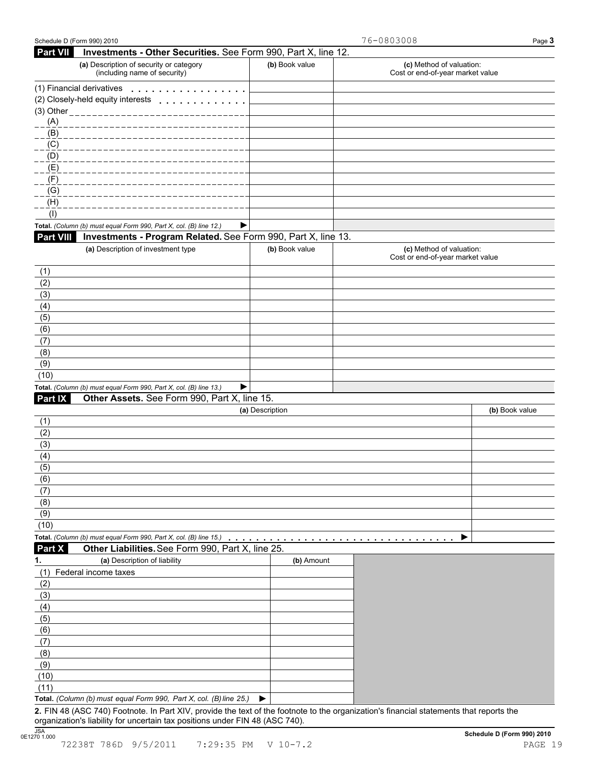| Schedule D (Form 990) 2010 |                                                                                                                                         |                 | 76-0803008                                                   | Page 3         |
|----------------------------|-----------------------------------------------------------------------------------------------------------------------------------------|-----------------|--------------------------------------------------------------|----------------|
| <b>Part VII</b>            | Investments - Other Securities. See Form 990, Part X, line 12.                                                                          |                 |                                                              |                |
|                            | (a) Description of security or category<br>(including name of security)                                                                 | (b) Book value  | (c) Method of valuation:<br>Cost or end-of-year market value |                |
|                            | (1) Financial derivatives<br>.                                                                                                          |                 |                                                              |                |
|                            | (2) Closely-held equity interests<br>.                                                                                                  |                 |                                                              |                |
|                            | (3) Other ________________                                                                                                              |                 |                                                              |                |
| (A)                        |                                                                                                                                         |                 |                                                              |                |
| (B)                        |                                                                                                                                         |                 |                                                              |                |
| (C)                        |                                                                                                                                         |                 |                                                              |                |
| (D)                        |                                                                                                                                         |                 |                                                              |                |
| (E)                        |                                                                                                                                         |                 |                                                              |                |
| (F)<br>(G)                 |                                                                                                                                         |                 |                                                              |                |
| (H)                        |                                                                                                                                         |                 |                                                              |                |
| (1)                        |                                                                                                                                         |                 |                                                              |                |
|                            | Total. (Column (b) must equal Form 990, Part X, col. (B) line 12.)<br>▶                                                                 |                 |                                                              |                |
| <b>Part VIII</b>           | Investments - Program Related. See Form 990, Part X, line 13.                                                                           |                 |                                                              |                |
|                            | (a) Description of investment type                                                                                                      | (b) Book value  | (c) Method of valuation:                                     |                |
|                            |                                                                                                                                         |                 | Cost or end-of-year market value                             |                |
| (1)                        |                                                                                                                                         |                 |                                                              |                |
| (2)                        |                                                                                                                                         |                 |                                                              |                |
| (3)                        |                                                                                                                                         |                 |                                                              |                |
| (4)                        |                                                                                                                                         |                 |                                                              |                |
| (5)<br>(6)                 |                                                                                                                                         |                 |                                                              |                |
| (7)                        |                                                                                                                                         |                 |                                                              |                |
| (8)                        |                                                                                                                                         |                 |                                                              |                |
| (9)                        |                                                                                                                                         |                 |                                                              |                |
| (10)                       |                                                                                                                                         |                 |                                                              |                |
|                            | Total. (Column (b) must equal Form 990, Part X, col. (B) line 13.)<br>▶                                                                 |                 |                                                              |                |
| Part IX                    | Other Assets. See Form 990, Part X, line 15.                                                                                            |                 |                                                              |                |
|                            |                                                                                                                                         | (a) Description |                                                              | (b) Book value |
| (1)                        |                                                                                                                                         |                 |                                                              |                |
| (2)                        |                                                                                                                                         |                 |                                                              |                |
| (3)                        |                                                                                                                                         |                 |                                                              |                |
| (4)                        |                                                                                                                                         |                 |                                                              |                |
| (5)                        |                                                                                                                                         |                 |                                                              |                |
| (6)                        |                                                                                                                                         |                 |                                                              |                |
| (7)                        |                                                                                                                                         |                 |                                                              |                |
| (8)                        |                                                                                                                                         |                 |                                                              |                |
| (9)                        |                                                                                                                                         |                 |                                                              |                |
| (10)                       |                                                                                                                                         |                 |                                                              |                |
|                            | Total. (Column (b) must equal Form 990, Part X, col. (B) line 15.)                                                                      | .               |                                                              |                |
| Part X                     | Other Liabilities. See Form 990, Part X, line 25.                                                                                       |                 |                                                              |                |
| 1.                         | (a) Description of liability                                                                                                            | (b) Amount      |                                                              |                |
| (1)                        | Federal income taxes                                                                                                                    |                 |                                                              |                |
| (2)                        |                                                                                                                                         |                 |                                                              |                |
| (3)                        |                                                                                                                                         |                 |                                                              |                |
| (4)                        |                                                                                                                                         |                 |                                                              |                |
| (5)                        |                                                                                                                                         |                 |                                                              |                |
| (6)                        |                                                                                                                                         |                 |                                                              |                |
| (7)                        |                                                                                                                                         |                 |                                                              |                |
| (8)                        |                                                                                                                                         |                 |                                                              |                |
| (9)                        |                                                                                                                                         |                 |                                                              |                |
| (10)                       |                                                                                                                                         |                 |                                                              |                |
| (11)                       | Total. (Column (b) must equal Form 990, Part X, col. (B) line 25.)                                                                      | ▶               |                                                              |                |
|                            | 2. FIN 48 (ASC 740) Footnote. In Part XIV, provide the text of the footnote to the organization's financial statements that reports the |                 |                                                              |                |
|                            |                                                                                                                                         |                 |                                                              |                |

organization's liability for uncertain tax positions under FIN 48 (ASC 740).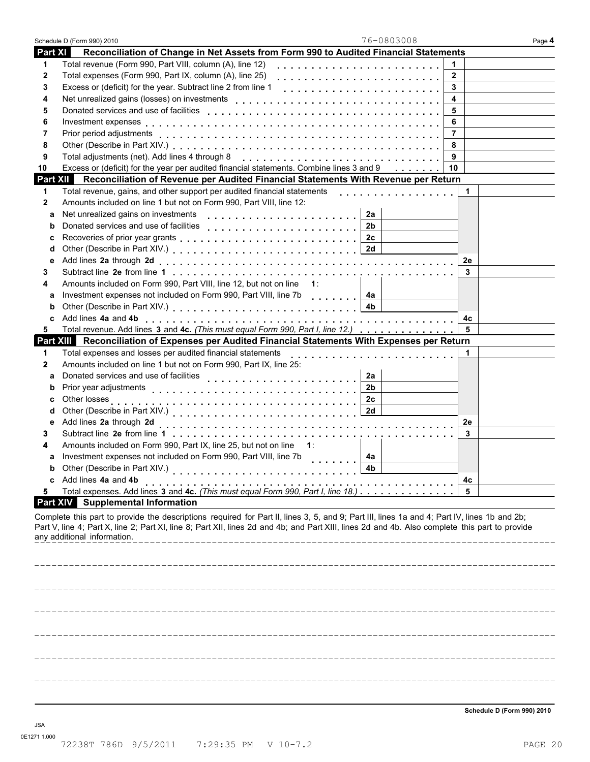|                | Schedule D (Form 990) 2010  | 76-0803008                                                                                                                                                                                                                                                                                    |                | Page 4 |
|----------------|-----------------------------|-----------------------------------------------------------------------------------------------------------------------------------------------------------------------------------------------------------------------------------------------------------------------------------------------|----------------|--------|
| <b>Part XI</b> |                             | Reconciliation of Change in Net Assets from Form 990 to Audited Financial Statements                                                                                                                                                                                                          |                |        |
| 1              |                             | Total revenue (Form 990, Part VIII, column (A), line 12)                                                                                                                                                                                                                                      | $\mathbf 1$    |        |
| 2              |                             | Total expenses (Form 990, Part IX, column (A), line 25)                                                                                                                                                                                                                                       | $\overline{2}$ |        |
| 3              |                             |                                                                                                                                                                                                                                                                                               | 3              |        |
| 4              |                             | Net unrealized gains (losses) on investments                                                                                                                                                                                                                                                  | 4              |        |
| 5              |                             |                                                                                                                                                                                                                                                                                               | 5              |        |
| 6              |                             |                                                                                                                                                                                                                                                                                               | 6              |        |
| 7              |                             |                                                                                                                                                                                                                                                                                               | $\overline{7}$ |        |
| 8              |                             |                                                                                                                                                                                                                                                                                               | 8              |        |
| 9              |                             | Total adjustments (net). Add lines 4 through 8                                                                                                                                                                                                                                                | 9              |        |
| 10             |                             | Excess or (deficit) for the year per audited financial statements. Combine lines 3 and 9 10                                                                                                                                                                                                   |                |        |
|                |                             | Part XII Reconciliation of Revenue per Audited Financial Statements With Revenue per Return                                                                                                                                                                                                   |                |        |
| 1              |                             | Total revenue, gains, and other support per audited financial statements<br>.                                                                                                                                                                                                                 | 1.             |        |
| 2              |                             | Amounts included on line 1 but not on Form 990, Part VIII, line 12:                                                                                                                                                                                                                           |                |        |
| a              |                             | Net unrealized gains on investments<br>2a                                                                                                                                                                                                                                                     |                |        |
| b              |                             | 2b                                                                                                                                                                                                                                                                                            |                |        |
| с              |                             | 2с                                                                                                                                                                                                                                                                                            |                |        |
| d              |                             | 2d                                                                                                                                                                                                                                                                                            |                |        |
| е              |                             |                                                                                                                                                                                                                                                                                               | 2е             |        |
| 3              |                             |                                                                                                                                                                                                                                                                                               | 3              |        |
| 4              |                             | Amounts included on Form 990, Part VIII, line 12, but not on line<br>$-1$ :                                                                                                                                                                                                                   |                |        |
| a              |                             | Investment expenses not included on Form 990, Part VIII, line 7b [1, 1, 1, 1, 1, 1]<br>4a                                                                                                                                                                                                     |                |        |
| b              |                             | 4b                                                                                                                                                                                                                                                                                            |                |        |
| c              |                             |                                                                                                                                                                                                                                                                                               | 4с             |        |
| 5              |                             | Total revenue. Add lines 3 and 4c. (This must equal Form 990, Part I, line 12.)                                                                                                                                                                                                               | 5              |        |
|                |                             | Part XIII Reconciliation of Expenses per Audited Financial Statements With Expenses per Return                                                                                                                                                                                                |                |        |
| 1              |                             | Total expenses and losses per audited financial statements                                                                                                                                                                                                                                    |                |        |
| 2              |                             | Amounts included on line 1 but not on Form 990, Part IX, line 25:                                                                                                                                                                                                                             |                |        |
| a              |                             | Donated services and use of facilities<br>2a                                                                                                                                                                                                                                                  |                |        |
| b              | Prior year adjustments      | 2 <sub>b</sub>                                                                                                                                                                                                                                                                                |                |        |
| c              | Other losses                | 2c                                                                                                                                                                                                                                                                                            |                |        |
| d              |                             | 2d                                                                                                                                                                                                                                                                                            |                |        |
| е              | Add lines 2a through 2d     |                                                                                                                                                                                                                                                                                               | 2е             |        |
| з              |                             |                                                                                                                                                                                                                                                                                               | 3              |        |
| 4              |                             | Amounts included on Form 990, Part IX, line 25, but not on line 1:                                                                                                                                                                                                                            |                |        |
| a              |                             | Investment expenses not included on Form 990, Part VIII, line 7b<br>4a                                                                                                                                                                                                                        |                |        |
|                |                             | Other (Describe in Part XIV.)<br>4b                                                                                                                                                                                                                                                           |                |        |
| c              | Add lines 4a and 4b         |                                                                                                                                                                                                                                                                                               | 4c             |        |
| 5              |                             | Total expenses. Add lines 3 and 4c. (This must equal Form 990, Part I, line 18.)                                                                                                                                                                                                              | 5              |        |
|                |                             | <b>Part XIV</b> Supplemental Information                                                                                                                                                                                                                                                      |                |        |
|                | any additional information. | Complete this part to provide the descriptions required for Part II, lines 3, 5, and 9; Part III, lines 1a and 4; Part IV, lines 1b and 2b;<br>Part V, line 4; Part X, line 2; Part XI, line 8; Part XII, lines 2d and 4b; and Part XIII, lines 2d and 4b. Also complete this part to provide |                |        |
|                |                             |                                                                                                                                                                                                                                                                                               |                |        |
|                |                             |                                                                                                                                                                                                                                                                                               |                |        |
|                |                             |                                                                                                                                                                                                                                                                                               |                |        |
|                |                             |                                                                                                                                                                                                                                                                                               |                |        |
|                |                             |                                                                                                                                                                                                                                                                                               |                |        |
|                |                             |                                                                                                                                                                                                                                                                                               |                |        |
|                |                             |                                                                                                                                                                                                                                                                                               |                |        |
|                |                             |                                                                                                                                                                                                                                                                                               |                |        |
|                |                             |                                                                                                                                                                                                                                                                                               |                |        |
|                |                             |                                                                                                                                                                                                                                                                                               |                |        |
|                |                             |                                                                                                                                                                                                                                                                                               |                |        |
|                |                             |                                                                                                                                                                                                                                                                                               |                |        |
|                |                             |                                                                                                                                                                                                                                                                                               |                |        |

**Schedule D (Form 990) 2010**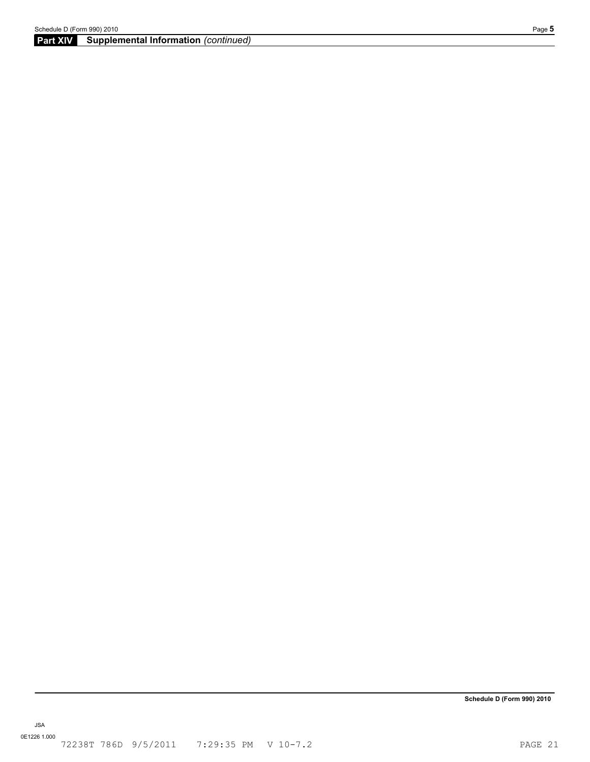## **Part XIV Supplemental Information** *(continued)*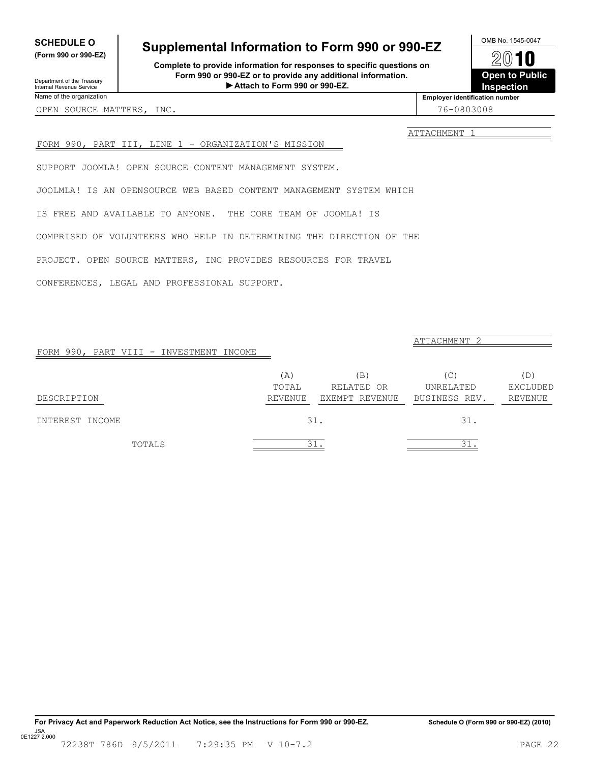# <span id="page-21-0"></span>**SCHEDULE O**<br>
(Form 990 or 990-EZ)
<br> **Supplemental Information to Form 990 or 990-EZ**<br>
2010

**Complete to provide information for responses to specific questions on Form 990 or 990-EZ or to provide any additional information. Attach to Form 990 or 990-EZ. Inspection** Department of the Treasury I

 $20$  **Open to Public Employer identification number**

**(Form 990 or 990-EZ)**

ATTACHMENT 1

#### FORM 990, PART III, LINE 1 - ORGANIZATION'S MISSION

SUPPORT JOOMLA! OPEN SOURCE CONTENT MANAGEMENT SYSTEM.

JOOLMLA! IS AN OPENSOURCE WEB BASED CONTENT MANAGEMENT SYSTEM WHICH

IS FREE AND AVAILABLE TO ANYONE. THE CORE TEAM OF JOOMLA! IS

COMPRISED OF VOLUNTEERS WHO HELP IN DETERMINING THE DIRECTION OF THE

PROJECT. OPEN SOURCE MATTERS, INC PROVIDES RESOURCES FOR TRAVEL

CONFERENCES, LEGAL AND PROFESSIONAL SUPPORT.

| FORM 990, PART VIII - INVESTMENT INCOME |              |                   | ATTACHMENT 2     |                 |
|-----------------------------------------|--------------|-------------------|------------------|-----------------|
|                                         | (A)<br>TOTAL | (B)<br>RELATED OR | (C)<br>UNRELATED | (D)<br>EXCLUDED |
| DESCRIPTION                             | REVENUE      | EXEMPT REVENUE    | BUSINESS REV.    | <b>REVENUE</b>  |
| INTEREST INCOME                         |              | 31.               | 31.              |                 |
| TOTALS                                  |              | 31.               | 31               |                 |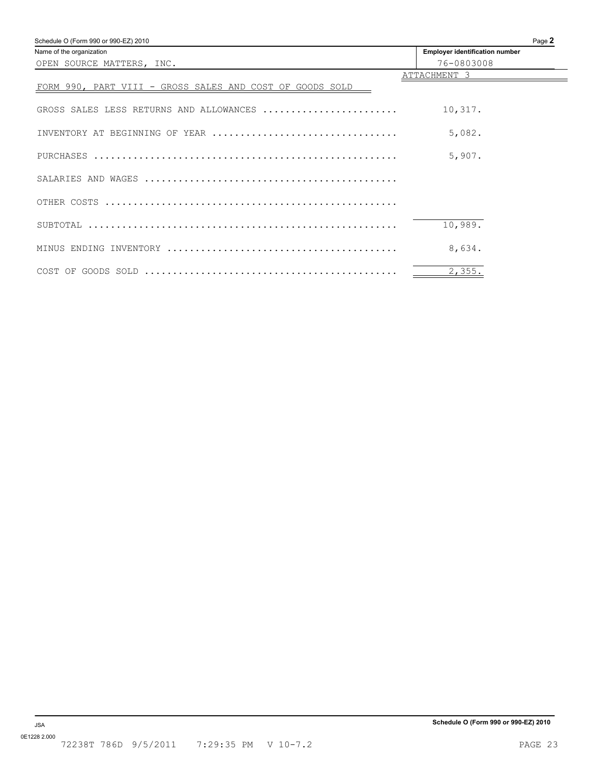<span id="page-22-0"></span>

| Schedule O (Form 990 or 990-EZ) 2010                     | Page 2                                |
|----------------------------------------------------------|---------------------------------------|
| Name of the organization                                 | <b>Employer identification number</b> |
| OPEN SOURCE MATTERS, INC.                                | 76-0803008                            |
|                                                          | ATTACHMENT 3                          |
| FORM 990, PART VIII - GROSS SALES AND COST OF GOODS SOLD |                                       |
|                                                          |                                       |
| GROSS SALES LESS RETURNS AND ALLOWANCES                  | 10,317.                               |
|                                                          |                                       |
|                                                          | 5,082.                                |
|                                                          | 5,907.                                |
|                                                          |                                       |
|                                                          |                                       |
|                                                          |                                       |
|                                                          |                                       |
|                                                          | 10,989.                               |
|                                                          |                                       |
|                                                          | 8,634.                                |
|                                                          |                                       |
|                                                          | 2,355.                                |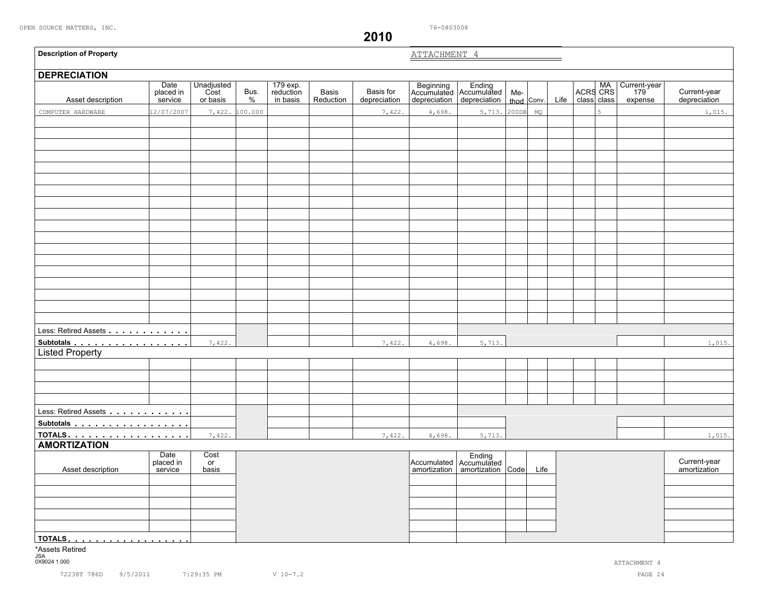**2010**

<span id="page-23-0"></span>

| <b>Description of Property</b>      |                              |                                |              |                                   |                    |                           | ATTACHMENT 4 |                                                             |       |            |      |                         |                                |                              |
|-------------------------------------|------------------------------|--------------------------------|--------------|-----------------------------------|--------------------|---------------------------|--------------|-------------------------------------------------------------|-------|------------|------|-------------------------|--------------------------------|------------------------------|
| <b>DEPRECIATION</b>                 |                              |                                |              |                                   |                    |                           |              |                                                             |       |            |      |                         |                                |                              |
| Asset description                   | Date<br>placed in<br>service | Unadjusted<br>Cost<br>or basis | Bus.<br>$\%$ | 179 exp.<br>reduction<br>in basis | Basis<br>Reduction | Basis for<br>depreciation | depreciation | Beginning Ending<br>Accumulated Accumulated<br>depreciation | Me-   | thod Conv. | Life | ACRS CRS<br>class class | Current-year<br>179<br>expense | Current-year<br>depreciation |
| COMPUTER HARDWARE                   | .2/07/2007                   | 7,422.                         | 100.000      |                                   |                    | 7,422.                    | 4,698.       | 5,713.                                                      | 200DB | MQ         |      | 5                       |                                | 1,015.                       |
|                                     |                              |                                |              |                                   |                    |                           |              |                                                             |       |            |      |                         |                                |                              |
|                                     |                              |                                |              |                                   |                    |                           |              |                                                             |       |            |      |                         |                                |                              |
|                                     |                              |                                |              |                                   |                    |                           |              |                                                             |       |            |      |                         |                                |                              |
|                                     |                              |                                |              |                                   |                    |                           |              |                                                             |       |            |      |                         |                                |                              |
|                                     |                              |                                |              |                                   |                    |                           |              |                                                             |       |            |      |                         |                                |                              |
|                                     |                              |                                |              |                                   |                    |                           |              |                                                             |       |            |      |                         |                                |                              |
|                                     |                              |                                |              |                                   |                    |                           |              |                                                             |       |            |      |                         |                                |                              |
|                                     |                              |                                |              |                                   |                    |                           |              |                                                             |       |            |      |                         |                                |                              |
|                                     |                              |                                |              |                                   |                    |                           |              |                                                             |       |            |      |                         |                                |                              |
|                                     |                              |                                |              |                                   |                    |                           |              |                                                             |       |            |      |                         |                                |                              |
|                                     |                              |                                |              |                                   |                    |                           |              |                                                             |       |            |      |                         |                                |                              |
|                                     |                              |                                |              |                                   |                    |                           |              |                                                             |       |            |      |                         |                                |                              |
|                                     |                              |                                |              |                                   |                    |                           |              |                                                             |       |            |      |                         |                                |                              |
|                                     |                              |                                |              |                                   |                    |                           |              |                                                             |       |            |      |                         |                                |                              |
|                                     |                              |                                |              |                                   |                    |                           |              |                                                             |       |            |      |                         |                                |                              |
|                                     |                              |                                |              |                                   |                    |                           |              |                                                             |       |            |      |                         |                                |                              |
|                                     |                              |                                |              |                                   |                    |                           |              |                                                             |       |            |      |                         |                                |                              |
|                                     |                              |                                |              |                                   |                    |                           |              |                                                             |       |            |      |                         |                                |                              |
| Less: Retired Assets                |                              |                                |              |                                   |                    |                           |              |                                                             |       |            |      |                         |                                |                              |
| Subtotals<br><b>Listed Property</b> |                              | 7,422.                         |              |                                   |                    | 7,422.                    | 4,698.       | 5,713.                                                      |       |            |      |                         |                                | 1,015.                       |
|                                     |                              |                                |              |                                   |                    |                           |              |                                                             |       |            |      |                         |                                |                              |
|                                     |                              |                                |              |                                   |                    |                           |              |                                                             |       |            |      |                         |                                |                              |
|                                     |                              |                                |              |                                   |                    |                           |              |                                                             |       |            |      |                         |                                |                              |
|                                     |                              |                                |              |                                   |                    |                           |              |                                                             |       |            |      |                         |                                |                              |
|                                     |                              |                                |              |                                   |                    |                           |              |                                                             |       |            |      |                         |                                |                              |
| Less: Retired Assets                |                              |                                |              |                                   |                    |                           |              |                                                             |       |            |      |                         |                                |                              |
| Subtotals<br>TOTALS.                |                              | 7,422.                         |              |                                   |                    | 7,422.                    | 4,698.       | 5,713.                                                      |       |            |      |                         |                                | 1,015.                       |
| <b>AMORTIZATION</b>                 |                              |                                |              |                                   |                    |                           |              |                                                             |       |            |      |                         |                                |                              |
|                                     | Date                         | Cost                           |              |                                   |                    |                           |              |                                                             |       |            |      |                         |                                |                              |
| Asset description                   | placed in<br>service         | or<br>basis                    |              |                                   |                    |                           |              | Accumulated Accumulated<br>amortization amortization Code   |       | Life       |      |                         |                                | Current-year<br>amortization |
|                                     |                              |                                |              |                                   |                    |                           |              |                                                             |       |            |      |                         |                                |                              |
|                                     |                              |                                |              |                                   |                    |                           |              |                                                             |       |            |      |                         |                                |                              |
|                                     |                              |                                |              |                                   |                    |                           |              |                                                             |       |            |      |                         |                                |                              |
|                                     |                              |                                |              |                                   |                    |                           |              |                                                             |       |            |      |                         |                                |                              |
|                                     |                              |                                |              |                                   |                    |                           |              |                                                             |       |            |      |                         |                                |                              |
| <u>  TOTALS</u>                     |                              |                                |              |                                   |                    |                           |              |                                                             |       |            |      |                         |                                |                              |
| *Assets Retired                     |                              |                                |              |                                   |                    |                           |              |                                                             |       |            |      |                         |                                |                              |
| JSA<br>0X9024 1.000                 |                              |                                |              |                                   |                    |                           |              |                                                             |       |            |      |                         | ATTACHMENT 4                   |                              |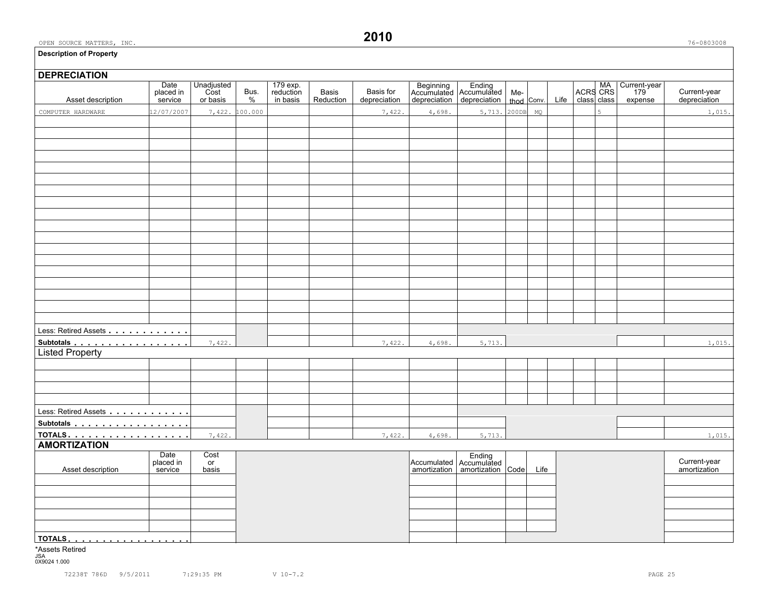#### **Description of Property**

**DEPRECIATION**

# Date Unadjusted 179 exp. 189 exp.<br>placed in Cost Bus. reduction Basis Basis for Accumulated Accumulated Me- ACRS CRS 179 Current-year Asset description service or basis % in basis Reduction depreciation depreciation depreciation thod Conv. Life class class expense depreciation Less: Retired Assets . . . . . . . . . . . . Subtotals **manual**<br>Listed Property Less: Retired Assets manual manual models **Subtotals <u>mate in the mate of the second</u> materials in the second materials of**  $\frac{1}{7,422}$ **AMORTIZATION**<br>AMORTIZATION<br>Date Cost Date Cost Ending<br>placed in or Ending<br>service basis and the place of the cumulated Accumulated Accumulated<br>amortization amortization placed in or a community of the Current-year and Accumulated Accumulated Accumulated Current-year and Current-year Asset description service basis amortization amortization amortization amortization code Life amortization amortization **TOTALS**mmmmmmmmmmmmmmmmmm \*Assets Retired COMPUTER HARDWARE 12/07/2007 7,422. 100.000 7, 122. 7,422. 4,698. 5,713. 200DB MQ 5 1, 1015.  $7,422.$  4,698. 5,713. 1,015. **7,422.** 1,015. 1,015. 1,015. 7,422.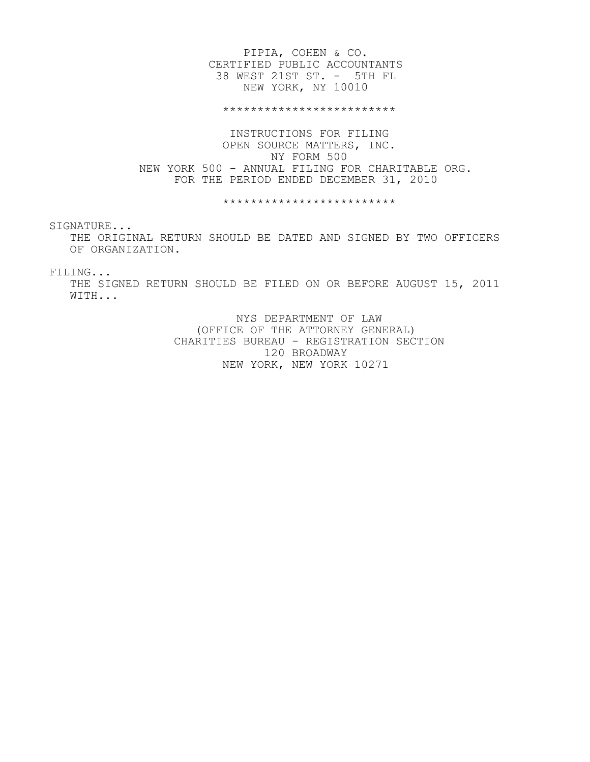### PIPIA, COHEN & CO. CERTIFIED PUBLIC ACCOUNTANTS 38 WEST 21ST ST. - 5TH FL NEW YORK, NY 10010

\*\*\*\*\*\*\*\*\*\*\*\*\*\*\*\*\*\*\*\*\*\*\*\*\*

 INSTRUCTIONS FOR FILING OPEN SOURCE MATTERS, INC. NY FORM 500 NEW YORK 500 - ANNUAL FILING FOR CHARITABLE ORG. FOR THE PERIOD ENDED DECEMBER 31, 2010

\*\*\*\*\*\*\*\*\*\*\*\*\*\*\*\*\*\*\*\*\*\*\*\*\*

SIGNATURE...

 THE ORIGINAL RETURN SHOULD BE DATED AND SIGNED BY TWO OFFICERS OF ORGANIZATION.

FILING...

 THE SIGNED RETURN SHOULD BE FILED ON OR BEFORE AUGUST 15, 2011 WITH...

> NYS DEPARTMENT OF LAW (OFFICE OF THE ATTORNEY GENERAL) CHARITIES BUREAU - REGISTRATION SECTION 120 BROADWAY NEW YORK, NEW YORK 10271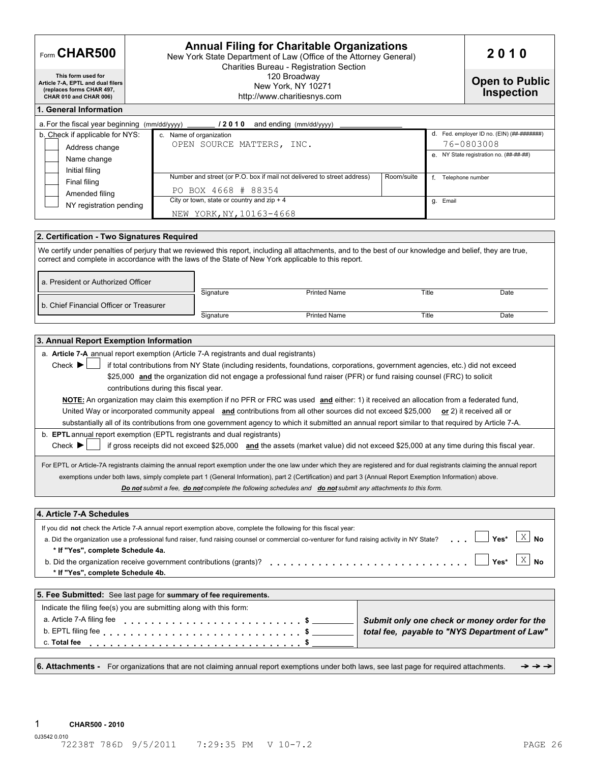| Form CHAR500                                                                                                   | 2010                                                                                                                                                                                                                                                                                                                                                                                                                                                                                                                                                                                                                                                                                                                                                                                                                                                                                                                                                                                                                                                                                                                                                                                                                                                                                       |            |                                                       |
|----------------------------------------------------------------------------------------------------------------|--------------------------------------------------------------------------------------------------------------------------------------------------------------------------------------------------------------------------------------------------------------------------------------------------------------------------------------------------------------------------------------------------------------------------------------------------------------------------------------------------------------------------------------------------------------------------------------------------------------------------------------------------------------------------------------------------------------------------------------------------------------------------------------------------------------------------------------------------------------------------------------------------------------------------------------------------------------------------------------------------------------------------------------------------------------------------------------------------------------------------------------------------------------------------------------------------------------------------------------------------------------------------------------------|------------|-------------------------------------------------------|
| This form used for<br>Article 7-A, EPTL and dual filers<br>(replaces forms CHAR 497,<br>CHAR 010 and CHAR 006) | <b>Open to Public</b><br><b>Inspection</b>                                                                                                                                                                                                                                                                                                                                                                                                                                                                                                                                                                                                                                                                                                                                                                                                                                                                                                                                                                                                                                                                                                                                                                                                                                                 |            |                                                       |
| 1. General Information                                                                                         |                                                                                                                                                                                                                                                                                                                                                                                                                                                                                                                                                                                                                                                                                                                                                                                                                                                                                                                                                                                                                                                                                                                                                                                                                                                                                            |            |                                                       |
|                                                                                                                | a. For the fiscal year beginning $(mm/dd/yyyy)$ _______ / 2 0 1 0 and ending $(mm/dd/yyyy)$                                                                                                                                                                                                                                                                                                                                                                                                                                                                                                                                                                                                                                                                                                                                                                                                                                                                                                                                                                                                                                                                                                                                                                                                |            |                                                       |
| b. Check if applicable for NYS:                                                                                | c. Name of organization                                                                                                                                                                                                                                                                                                                                                                                                                                                                                                                                                                                                                                                                                                                                                                                                                                                                                                                                                                                                                                                                                                                                                                                                                                                                    |            |                                                       |
| Address change                                                                                                 | OPEN SOURCE MATTERS, INC.                                                                                                                                                                                                                                                                                                                                                                                                                                                                                                                                                                                                                                                                                                                                                                                                                                                                                                                                                                                                                                                                                                                                                                                                                                                                  |            | 76-0803008<br>e. NY State registration no. (##-##-##) |
| Name change                                                                                                    |                                                                                                                                                                                                                                                                                                                                                                                                                                                                                                                                                                                                                                                                                                                                                                                                                                                                                                                                                                                                                                                                                                                                                                                                                                                                                            |            |                                                       |
| Initial filing                                                                                                 | Number and street (or P.O. box if mail not delivered to street address)                                                                                                                                                                                                                                                                                                                                                                                                                                                                                                                                                                                                                                                                                                                                                                                                                                                                                                                                                                                                                                                                                                                                                                                                                    | Room/suite | f. Telephone number                                   |
| Final filing<br>Amended filing                                                                                 | PO BOX 4668 # 88354                                                                                                                                                                                                                                                                                                                                                                                                                                                                                                                                                                                                                                                                                                                                                                                                                                                                                                                                                                                                                                                                                                                                                                                                                                                                        |            |                                                       |
| NY registration pending                                                                                        | City or town, state or country and $zip + 4$                                                                                                                                                                                                                                                                                                                                                                                                                                                                                                                                                                                                                                                                                                                                                                                                                                                                                                                                                                                                                                                                                                                                                                                                                                               | g. Email   |                                                       |
|                                                                                                                | NEW YORK, NY, 10163-4668                                                                                                                                                                                                                                                                                                                                                                                                                                                                                                                                                                                                                                                                                                                                                                                                                                                                                                                                                                                                                                                                                                                                                                                                                                                                   |            |                                                       |
|                                                                                                                |                                                                                                                                                                                                                                                                                                                                                                                                                                                                                                                                                                                                                                                                                                                                                                                                                                                                                                                                                                                                                                                                                                                                                                                                                                                                                            |            |                                                       |
| 2. Certification - Two Signatures Required                                                                     |                                                                                                                                                                                                                                                                                                                                                                                                                                                                                                                                                                                                                                                                                                                                                                                                                                                                                                                                                                                                                                                                                                                                                                                                                                                                                            |            |                                                       |
|                                                                                                                | We certify under penalties of perjury that we reviewed this report, including all attachments, and to the best of our knowledge and belief, they are true,<br>correct and complete in accordance with the laws of the State of New York applicable to this report.                                                                                                                                                                                                                                                                                                                                                                                                                                                                                                                                                                                                                                                                                                                                                                                                                                                                                                                                                                                                                         |            |                                                       |
| a. President or Authorized Officer                                                                             | Signature<br><b>Printed Name</b>                                                                                                                                                                                                                                                                                                                                                                                                                                                                                                                                                                                                                                                                                                                                                                                                                                                                                                                                                                                                                                                                                                                                                                                                                                                           | Title      | Date                                                  |
| b. Chief Financial Officer or Treasurer                                                                        |                                                                                                                                                                                                                                                                                                                                                                                                                                                                                                                                                                                                                                                                                                                                                                                                                                                                                                                                                                                                                                                                                                                                                                                                                                                                                            |            |                                                       |
|                                                                                                                | Signature<br><b>Printed Name</b>                                                                                                                                                                                                                                                                                                                                                                                                                                                                                                                                                                                                                                                                                                                                                                                                                                                                                                                                                                                                                                                                                                                                                                                                                                                           | Title      | Date                                                  |
|                                                                                                                |                                                                                                                                                                                                                                                                                                                                                                                                                                                                                                                                                                                                                                                                                                                                                                                                                                                                                                                                                                                                                                                                                                                                                                                                                                                                                            |            |                                                       |
| Check $\blacktriangleright$                                                                                    | a. Article 7-A annual report exemption (Article 7-A registrants and dual registrants)<br>if total contributions from NY State (including residents, foundations, corporations, government agencies, etc.) did not exceed                                                                                                                                                                                                                                                                                                                                                                                                                                                                                                                                                                                                                                                                                                                                                                                                                                                                                                                                                                                                                                                                   |            |                                                       |
| Check $\blacktriangleright$                                                                                    | \$25,000 and the organization did not engage a professional fund raiser (PFR) or fund raising counsel (FRC) to solicit<br>contributions during this fiscal year.<br>NOTE: An organization may claim this exemption if no PFR or FRC was used and either: 1) it received an allocation from a federated fund,<br>United Way or incorporated community appeal and contributions from all other sources did not exceed \$25,000 or 2) it received all or<br>substantially all of its contributions from one government agency to which it submitted an annual report similar to that required by Article 7-A.<br>b. EPTL annual report exemption (EPTL registrants and dual registrants)<br>if gross receipts did not exceed \$25,000 and the assets (market value) did not exceed \$25,000 at any time during this fiscal year.<br>For EPTL or Article-7A registrants claiming the annual report exemption under the one law under which they are registered and for dual registrants claiming the annual report<br>exemptions under both laws, simply complete part 1 (General Information), part 2 (Certification) and part 3 (Annual Report Exemption Information) above.<br>Do not submit a fee, do not complete the following schedules and do not submit any attachments to this form. |            |                                                       |
| 3. Annual Report Exemption Information<br>4. Article 7-A Schedules                                             |                                                                                                                                                                                                                                                                                                                                                                                                                                                                                                                                                                                                                                                                                                                                                                                                                                                                                                                                                                                                                                                                                                                                                                                                                                                                                            |            |                                                       |
| * If "Yes", complete Schedule 4a.<br>* If "Yes", complete Schedule 4b.                                         | If you did not check the Article 7-A annual report exemption above, complete the following for this fiscal year:<br>a. Did the organization use a professional fund raiser, fund raising counsel or commercial co-venturer for fund raising activity in NY State?<br>b. Did the organization receive government contributions (grants)?                                                                                                                                                                                                                                                                                                                                                                                                                                                                                                                                                                                                                                                                                                                                                                                                                                                                                                                                                    |            | $X \mid No$<br>Yes*<br>X                              |
|                                                                                                                |                                                                                                                                                                                                                                                                                                                                                                                                                                                                                                                                                                                                                                                                                                                                                                                                                                                                                                                                                                                                                                                                                                                                                                                                                                                                                            |            |                                                       |
|                                                                                                                | 5. Fee Submitted: See last page for summary of fee requirements.                                                                                                                                                                                                                                                                                                                                                                                                                                                                                                                                                                                                                                                                                                                                                                                                                                                                                                                                                                                                                                                                                                                                                                                                                           |            |                                                       |
| Indicate the filing fee(s) you are submitting along with this form:<br>a. Article 7-A filing fee               |                                                                                                                                                                                                                                                                                                                                                                                                                                                                                                                                                                                                                                                                                                                                                                                                                                                                                                                                                                                                                                                                                                                                                                                                                                                                                            |            |                                                       |
|                                                                                                                |                                                                                                                                                                                                                                                                                                                                                                                                                                                                                                                                                                                                                                                                                                                                                                                                                                                                                                                                                                                                                                                                                                                                                                                                                                                                                            |            | Submit only one check or money order for the          |
| c. Total fee                                                                                                   |                                                                                                                                                                                                                                                                                                                                                                                                                                                                                                                                                                                                                                                                                                                                                                                                                                                                                                                                                                                                                                                                                                                                                                                                                                                                                            |            | total fee, payable to "NYS Department of Law"         |